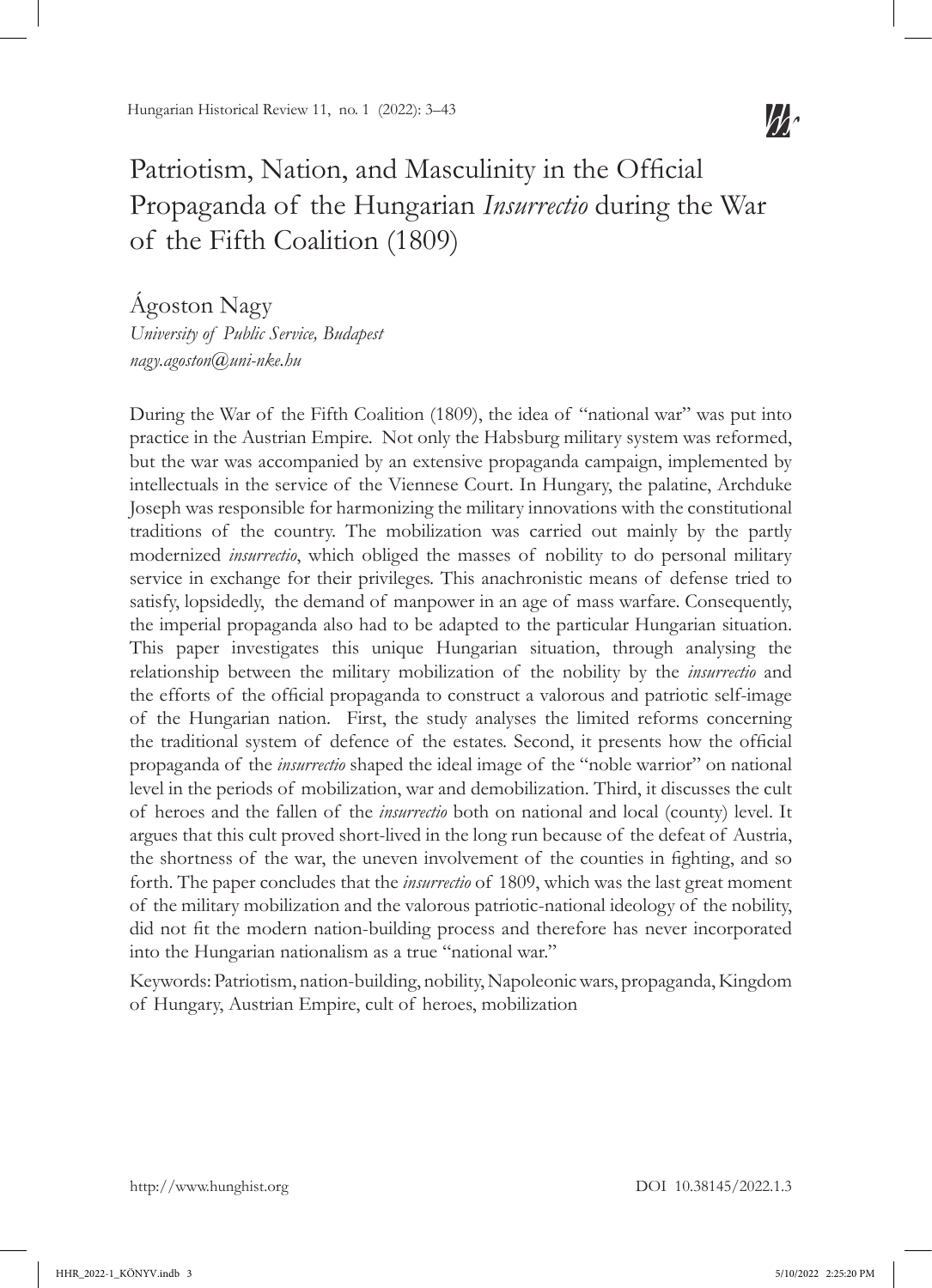

# Patriotism, Nation, and Masculinity in the Official Propaganda of the Hungarian *Insurrectio* during the War of the Fifth Coalition (1809)

Ágoston Nagy *University of Public Service, Budapest nagy.agoston@uni-nke.hu*

During the War of the Fifth Coalition (1809), the idea of "national war" was put into practice in the Austrian Empire. Not only the Habsburg military system was reformed, but the war was accompanied by an extensive propaganda campaign, implemented by intellectuals in the service of the Viennese Court. In Hungary, the palatine, Archduke Joseph was responsible for harmonizing the military innovations with the constitutional traditions of the country. The mobilization was carried out mainly by the partly modernized *insurrectio*, which obliged the masses of nobility to do personal military service in exchange for their privileges. This anachronistic means of defense tried to satisfy, lopsidedly, the demand of manpower in an age of mass warfare. Consequently, the imperial propaganda also had to be adapted to the particular Hungarian situation. This paper investigates this unique Hungarian situation, through analysing the relationship between the military mobilization of the nobility by the *insurrectio* and the efforts of the official propaganda to construct a valorous and patriotic self-image of the Hungarian nation. First, the study analyses the limited reforms concerning the traditional system of defence of the estates. Second, it presents how the official propaganda of the *insurrectio* shaped the ideal image of the "noble warrior" on national level in the periods of mobilization, war and demobilization. Third, it discusses the cult of heroes and the fallen of the *insurrectio* both on national and local (county) level. It argues that this cult proved short-lived in the long run because of the defeat of Austria, the shortness of the war, the uneven involvement of the counties in fighting, and so forth. The paper concludes that the *insurrectio* of 1809, which was the last great moment of the military mobilization and the valorous patriotic-national ideology of the nobility, did not fit the modern nation-building process and therefore has never incorporated into the Hungarian nationalism as a true "national war."

Keywords: Patriotism, nation-building, nobility, Napoleonic wars, propaganda, Kingdom of Hungary, Austrian Empire, cult of heroes, mobilization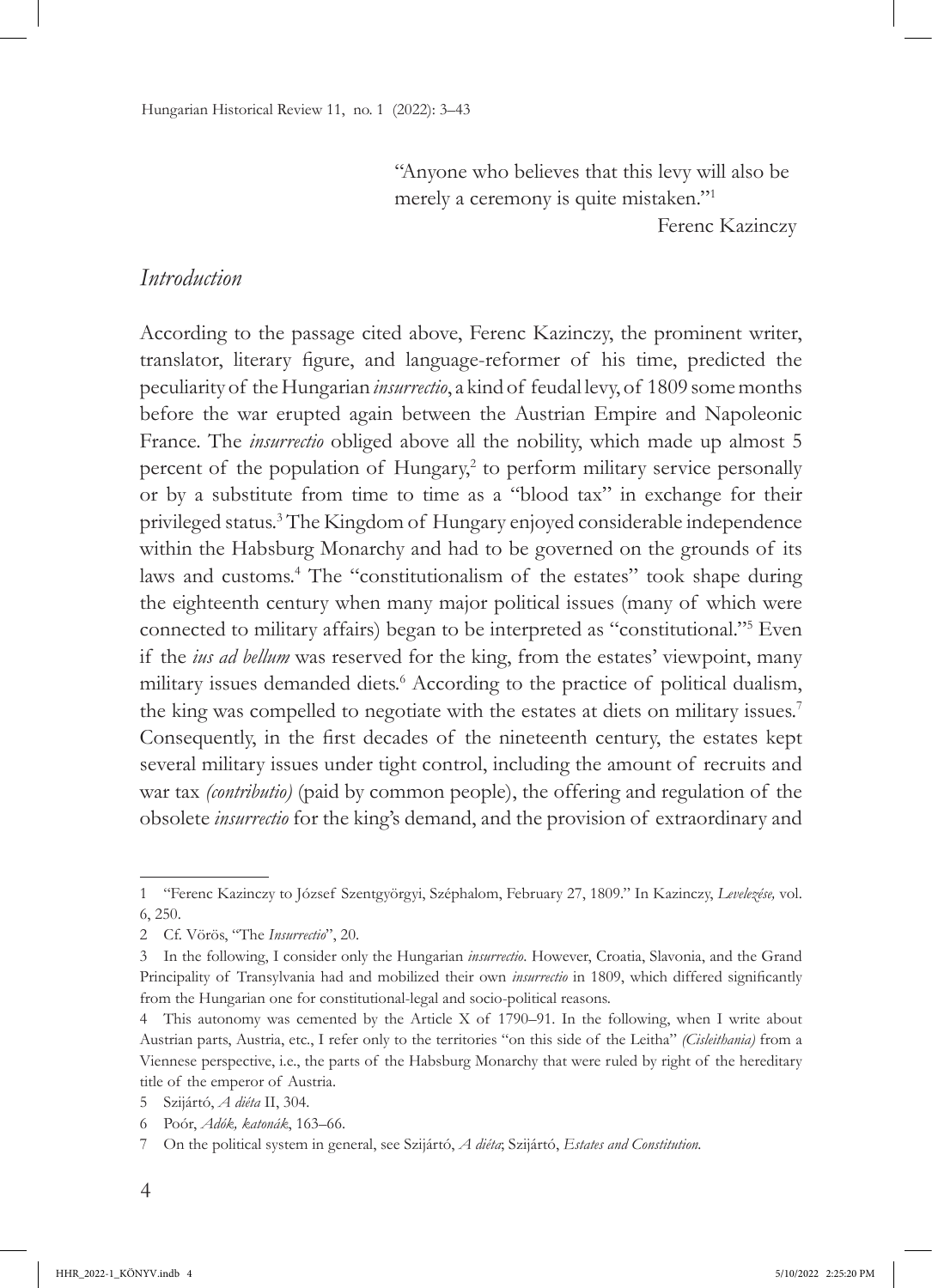"Anyone who believes that this levy will also be merely a ceremony is quite mistaken."<sup>1</sup>

Ferenc Kazinczy

#### *Introduction*

According to the passage cited above, Ferenc Kazinczy, the prominent writer, translator, literary figure, and language-reformer of his time, predicted the peculiarity of the Hungarian *insurrectio*, a kind of feudal levy, of 1809 some months before the war erupted again between the Austrian Empire and Napoleonic France. The *insurrectio* obliged above all the nobility, which made up almost 5 percent of the population of Hungary,<sup>2</sup> to perform military service personally or by a substitute from time to time as a "blood tax" in exchange for their privileged status.3 The Kingdom of Hungary enjoyed considerable independence within the Habsburg Monarchy and had to be governed on the grounds of its laws and customs.<sup>4</sup> The "constitutionalism of the estates" took shape during the eighteenth century when many major political issues (many of which were connected to military affairs) began to be interpreted as "constitutional."<sup>5</sup> Even if the *ius ad bellum* was reserved for the king, from the estates' viewpoint, many military issues demanded diets.<sup>6</sup> According to the practice of political dualism, the king was compelled to negotiate with the estates at diets on military issues.7 Consequently, in the first decades of the nineteenth century, the estates kept several military issues under tight control, including the amount of recruits and war tax *(contributio)* (paid by common people), the offering and regulation of the obsolete *insurrectio* for the king's demand, and the provision of extraordinary and

<sup>1</sup> "Ferenc Kazinczy to József Szentgyörgyi, Széphalom, February 27, 1809." In Kazinczy, *Levelezése,* vol. 6, 250.

<sup>2</sup> Cf. Vörös, "The *Insurrectio*", 20.

<sup>3</sup> In the following, I consider only the Hungarian *insurrectio*. However, Croatia, Slavonia, and the Grand Principality of Transylvania had and mobilized their own *insurrectio* in 1809, which differed significantly from the Hungarian one for constitutional-legal and socio-political reasons.

<sup>4</sup> This autonomy was cemented by the Article X of 1790–91. In the following, when I write about Austrian parts, Austria, etc., I refer only to the territories "on this side of the Leitha" *(Cisleithania)* from a Viennese perspective, i.e., the parts of the Habsburg Monarchy that were ruled by right of the hereditary title of the emperor of Austria.

<sup>5</sup> Szijártó, *A diéta* II, 304.

<sup>6</sup> Poór, *Adók, katonák*, 163–66.

<sup>7</sup> On the political system in general, see Szijártó, *A diéta*; Szijártó, *Estates and Constitution.*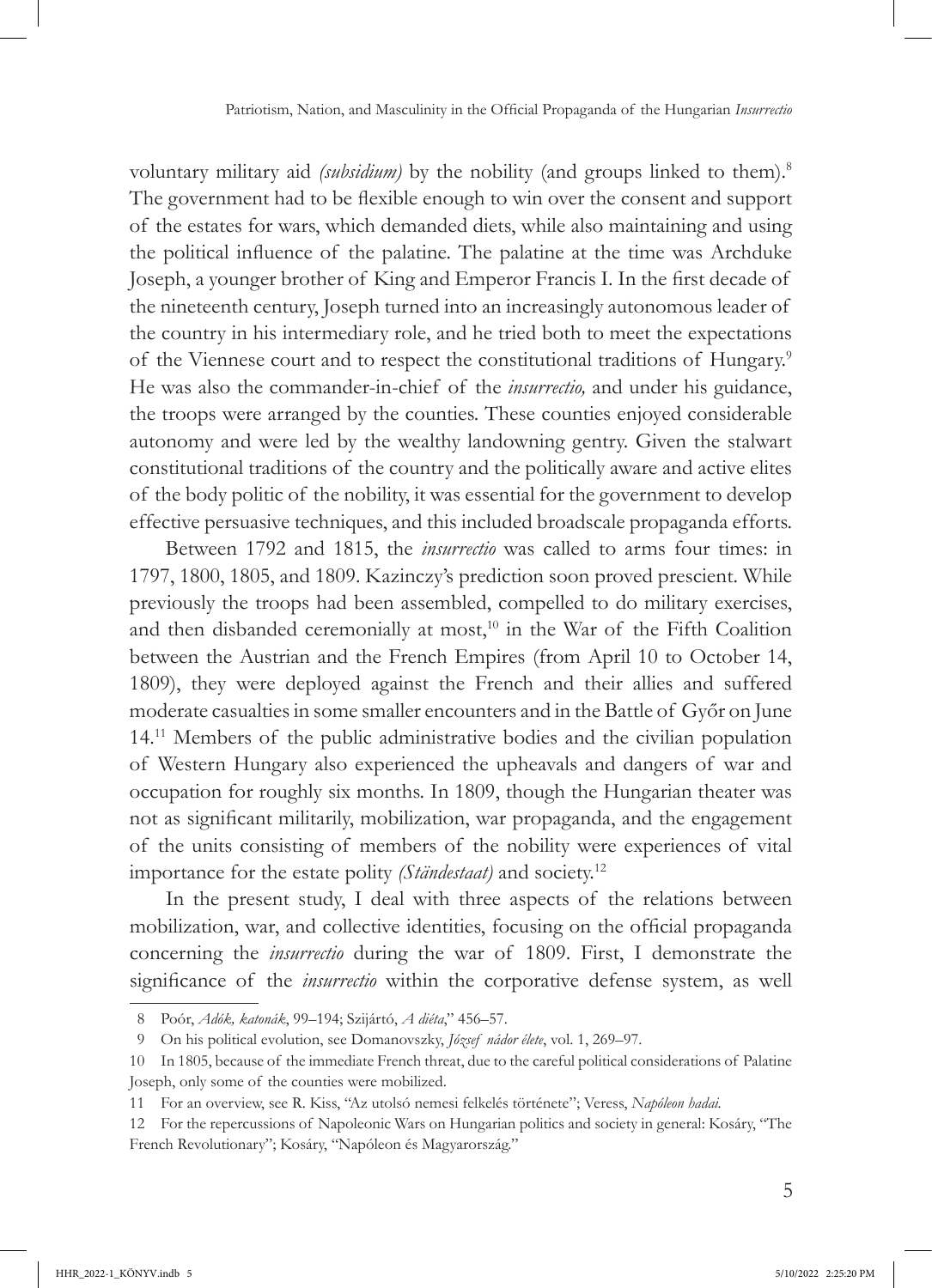voluntary military aid *(subsidium)* by the nobility (and groups linked to them).<sup>8</sup> The government had to be flexible enough to win over the consent and support of the estates for wars, which demanded diets, while also maintaining and using the political influence of the palatine. The palatine at the time was Archduke Joseph, a younger brother of King and Emperor Francis I. In the first decade of the nineteenth century, Joseph turned into an increasingly autonomous leader of the country in his intermediary role, and he tried both to meet the expectations of the Viennese court and to respect the constitutional traditions of Hungary.9 He was also the commander-in-chief of the *insurrectio,* and under his guidance, the troops were arranged by the counties. These counties enjoyed considerable autonomy and were led by the wealthy landowning gentry. Given the stalwart constitutional traditions of the country and the politically aware and active elites of the body politic of the nobility, it was essential for the government to develop effective persuasive techniques, and this included broadscale propaganda efforts.

Between 1792 and 1815, the *insurrectio* was called to arms four times: in 1797, 1800, 1805, and 1809. Kazinczy's prediction soon proved prescient. While previously the troops had been assembled, compelled to do military exercises, and then disbanded ceremonially at most,<sup>10</sup> in the War of the Fifth Coalition between the Austrian and the French Empires (from April 10 to October 14, 1809), they were deployed against the French and their allies and suffered moderate casualties in some smaller encounters and in the Battle of Győr on June 14.11 Members of the public administrative bodies and the civilian population of Western Hungary also experienced the upheavals and dangers of war and occupation for roughly six months. In 1809, though the Hungarian theater was not as significant militarily, mobilization, war propaganda, and the engagement of the units consisting of members of the nobility were experiences of vital importance for the estate polity *(Ständestaat)* and society.12

In the present study, I deal with three aspects of the relations between mobilization, war, and collective identities, focusing on the official propaganda concerning the *insurrectio* during the war of 1809. First, I demonstrate the significance of the *insurrectio* within the corporative defense system, as well

<sup>8</sup> Poór, *Adók, katonák*, 99–194; Szijártó, *A diéta*," 456–57.

<sup>9</sup> On his political evolution, see Domanovszky, *József nádor élete*, vol. 1, 269–97.

<sup>10</sup> In 1805, because of the immediate French threat, due to the careful political considerations of Palatine Joseph, only some of the counties were mobilized.

<sup>11</sup> For an overview, see R. Kiss, "Az utolsó nemesi felkelés története"; Veress, *Napóleon hadai.* 

<sup>12</sup> For the repercussions of Napoleonic Wars on Hungarian politics and society in general: Kosáry, "The French Revolutionary"; Kosáry, "Napóleon és Magyarország."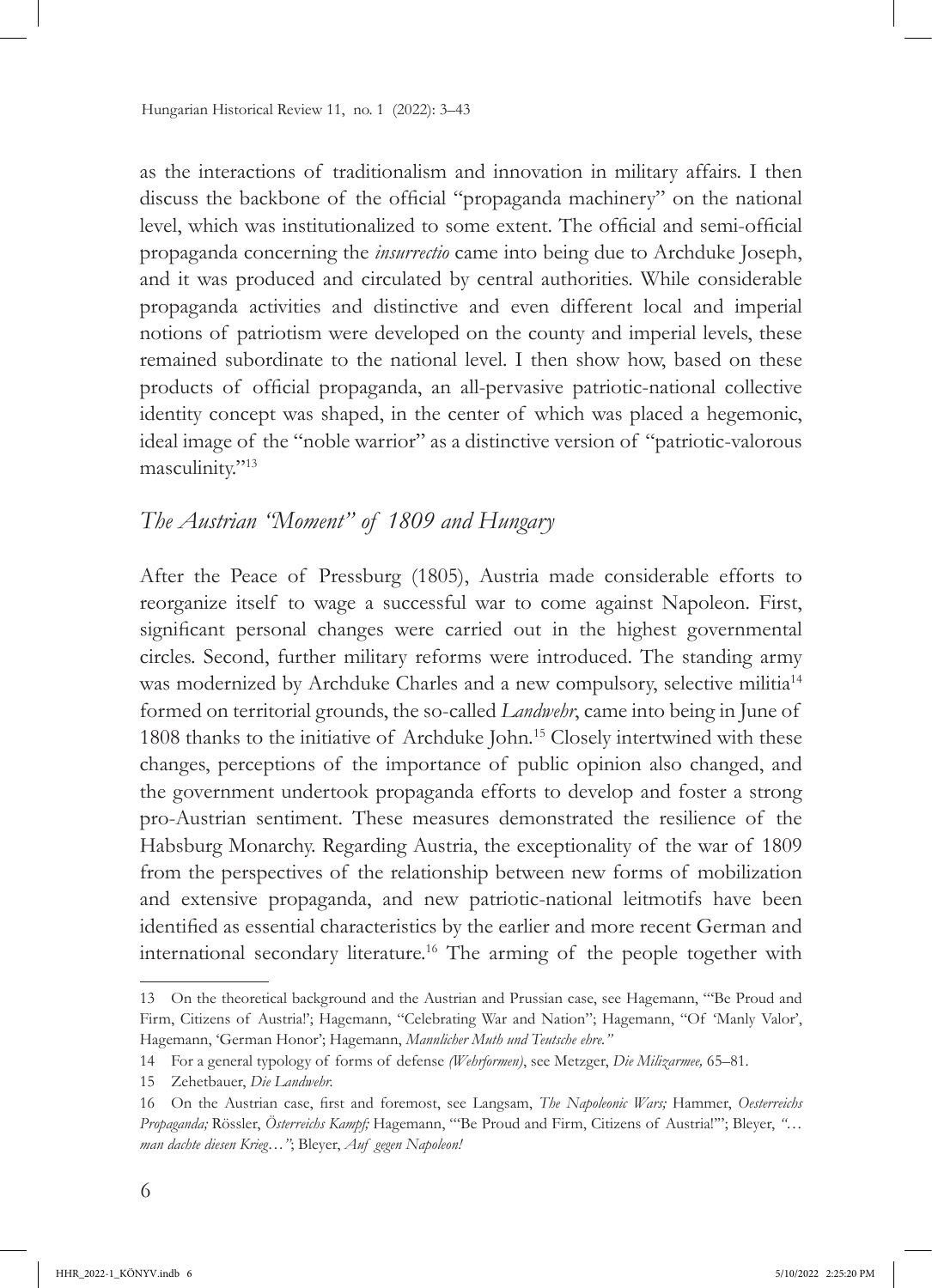as the interactions of traditionalism and innovation in military affairs. I then discuss the backbone of the official "propaganda machinery" on the national level, which was institutionalized to some extent. The official and semi-official propaganda concerning the *insurrectio* came into being due to Archduke Joseph, and it was produced and circulated by central authorities. While considerable propaganda activities and distinctive and even different local and imperial notions of patriotism were developed on the county and imperial levels, these remained subordinate to the national level. I then show how, based on these products of official propaganda, an all-pervasive patriotic-national collective identity concept was shaped, in the center of which was placed a hegemonic, ideal image of the "noble warrior" as a distinctive version of "patriotic-valorous masculinity."<sup>13</sup>

# *The Austrian "Moment" of 1809 and Hungary*

After the Peace of Pressburg (1805), Austria made considerable efforts to reorganize itself to wage a successful war to come against Napoleon. First, significant personal changes were carried out in the highest governmental circles. Second, further military reforms were introduced. The standing army was modernized by Archduke Charles and a new compulsory, selective militia<sup>14</sup> formed on territorial grounds, the so-called *Landwehr*, came into being in June of 1808 thanks to the initiative of Archduke John*.* 15 Closely intertwined with these changes, perceptions of the importance of public opinion also changed, and the government undertook propaganda efforts to develop and foster a strong pro-Austrian sentiment. These measures demonstrated the resilience of the Habsburg Monarchy. Regarding Austria, the exceptionality of the war of 1809 from the perspectives of the relationship between new forms of mobilization and extensive propaganda, and new patriotic-national leitmotifs have been identified as essential characteristics by the earlier and more recent German and international secondary literature.16 The arming of the people together with

<sup>13</sup> On the theoretical background and the Austrian and Prussian case, see Hagemann, "'Be Proud and Firm, Citizens of Austrial'; Hagemann, "Celebrating War and Nation"; Hagemann, "Of 'Manly Valor', Hagemann, 'German Honor'; Hagemann, *Mannlicher Muth und Teutsche ehre."*

<sup>14</sup> For a general typology of forms of defense *(Wehrformen)*, see Metzger, *Die Milizarmee,* 65–81.

<sup>15</sup> Zehetbauer, *Die Landwehr.*

<sup>16</sup> On the Austrian case, first and foremost, see Langsam, *The Napoleonic Wars;* Hammer, *Oesterreichs Propaganda;* Rössler, *Österreichs Kampf;* Hagemann, "'Be Proud and Firm, Citizens of Austria!'"; Bleyer, *"… man dachte diesen Krieg…"*; Bleyer, *Auf gegen Napoleon!*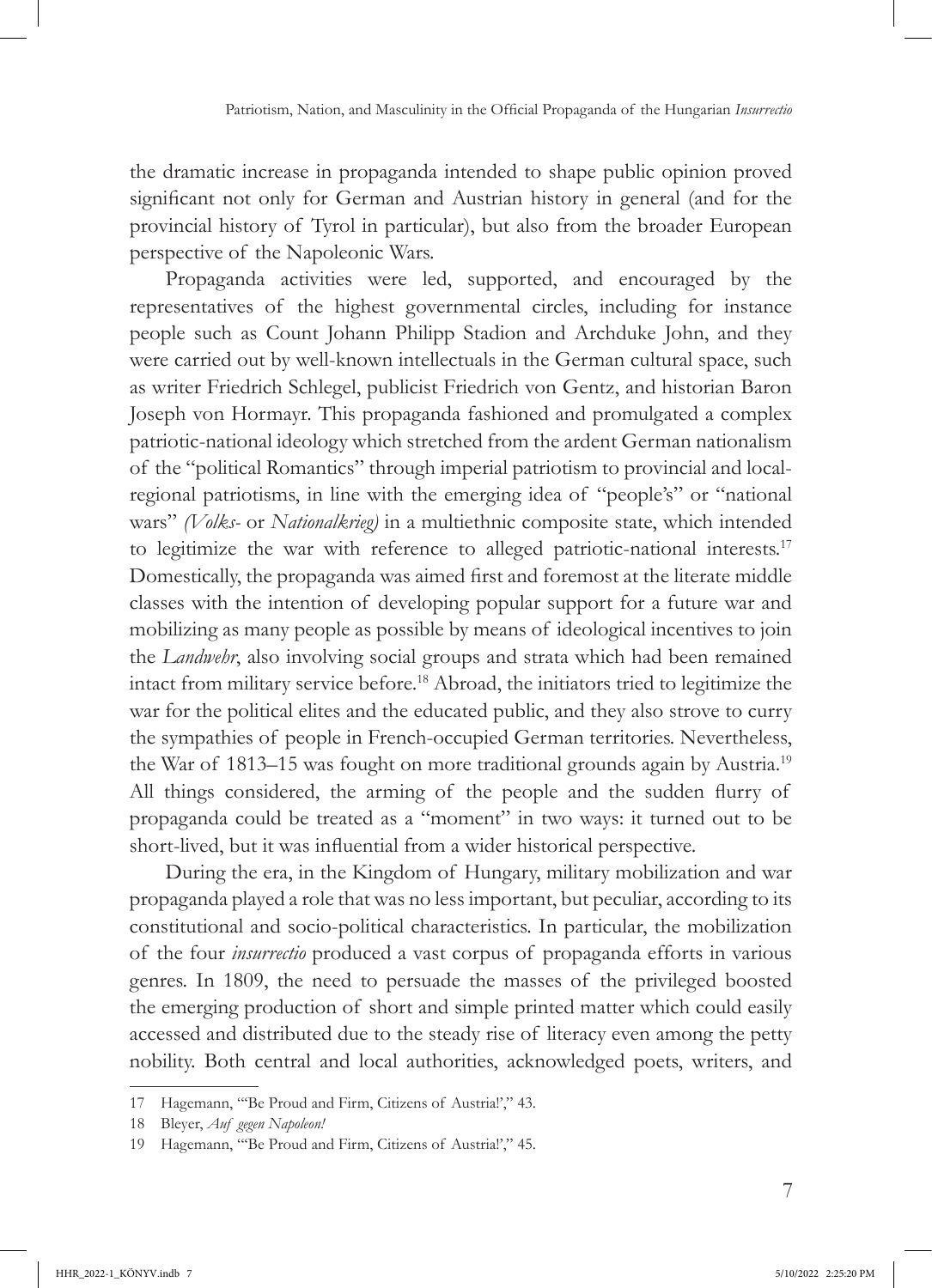the dramatic increase in propaganda intended to shape public opinion proved significant not only for German and Austrian history in general (and for the provincial history of Tyrol in particular), but also from the broader European perspective of the Napoleonic Wars.

Propaganda activities were led, supported, and encouraged by the representatives of the highest governmental circles, including for instance people such as Count Johann Philipp Stadion and Archduke John, and they were carried out by well-known intellectuals in the German cultural space, such as writer Friedrich Schlegel, publicist Friedrich von Gentz, and historian Baron Joseph von Hormayr. This propaganda fashioned and promulgated a complex patriotic-national ideology which stretched from the ardent German nationalism of the "political Romantics" through imperial patriotism to provincial and localregional patriotisms, in line with the emerging idea of "people's" or "national wars" *(Volks-* or *Nationalkrieg)* in a multiethnic composite state, which intended to legitimize the war with reference to alleged patriotic-national interests.<sup>17</sup> Domestically, the propaganda was aimed first and foremost at the literate middle classes with the intention of developing popular support for a future war and mobilizing as many people as possible by means of ideological incentives to join the *Landwehr*, also involving social groups and strata which had been remained intact from military service before.18 Abroad, the initiators tried to legitimize the war for the political elites and the educated public, and they also strove to curry the sympathies of people in French-occupied German territories. Nevertheless, the War of 1813–15 was fought on more traditional grounds again by Austria.<sup>19</sup> All things considered, the arming of the people and the sudden flurry of propaganda could be treated as a "moment" in two ways: it turned out to be short-lived, but it was influential from a wider historical perspective.

During the era, in the Kingdom of Hungary, military mobilization and war propaganda played a role that was no less important, but peculiar, according to its constitutional and socio-political characteristics. In particular, the mobilization of the four *insurrectio* produced a vast corpus of propaganda efforts in various genres. In 1809, the need to persuade the masses of the privileged boosted the emerging production of short and simple printed matter which could easily accessed and distributed due to the steady rise of literacy even among the petty nobility. Both central and local authorities, acknowledged poets, writers, and

<sup>17</sup> Hagemann, "'Be Proud and Firm, Citizens of Austria!'," 43.

<sup>18</sup> Bleyer, *Auf gegen Napoleon!*

<sup>19</sup> Hagemann, "'Be Proud and Firm, Citizens of Austria!'," 45.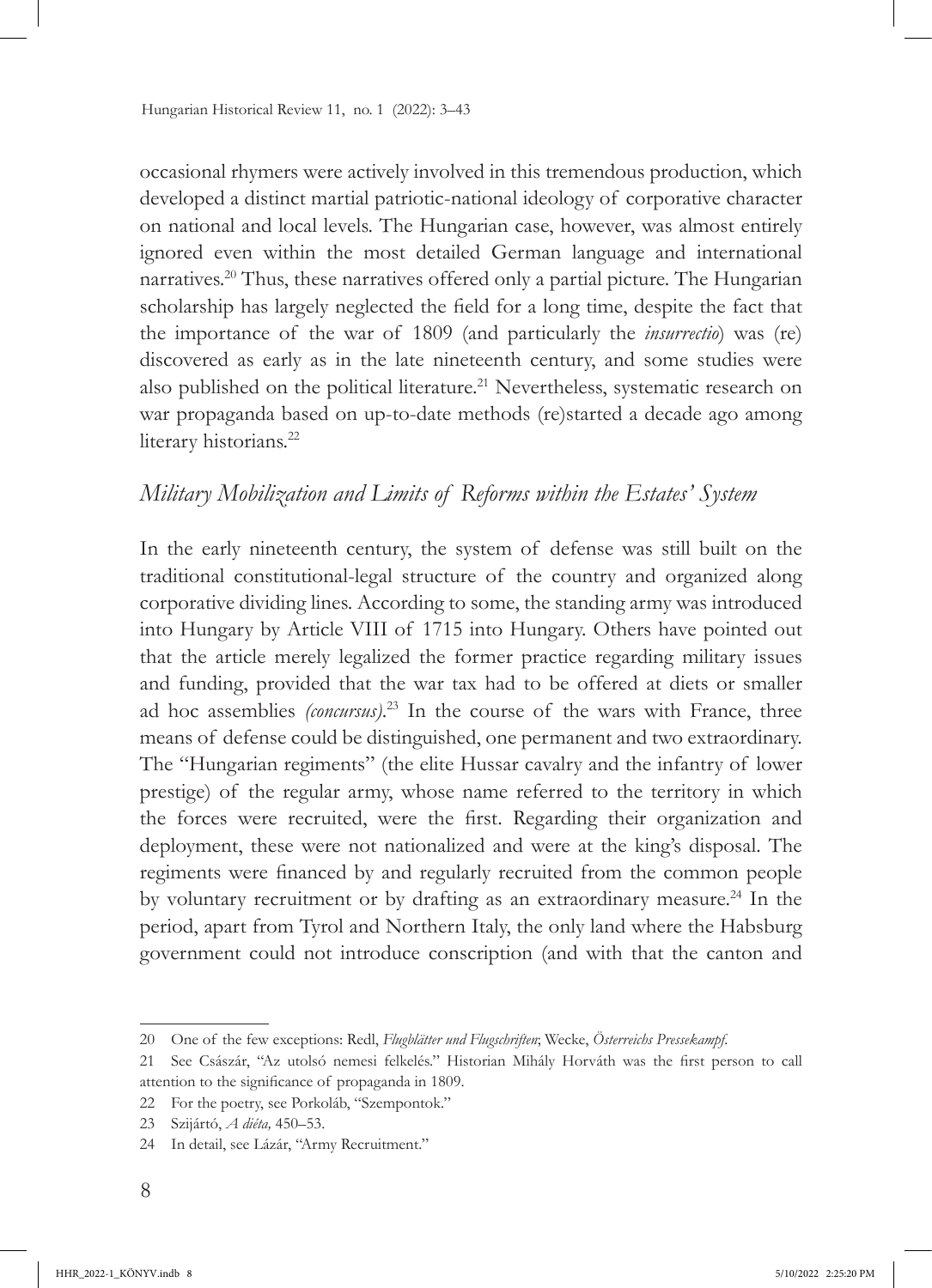occasional rhymers were actively involved in this tremendous production, which developed a distinct martial patriotic-national ideology of corporative character on national and local levels. The Hungarian case, however, was almost entirely ignored even within the most detailed German language and international narratives.20 Thus, these narratives offered only a partial picture. The Hungarian scholarship has largely neglected the field for a long time, despite the fact that the importance of the war of 1809 (and particularly the *insurrectio*) was (re) discovered as early as in the late nineteenth century, and some studies were also published on the political literature.<sup>21</sup> Nevertheless, systematic research on war propaganda based on up-to-date methods (re)started a decade ago among literary historians.<sup>22</sup>

# *Military Mobilization and Limits of Reforms within the Estates' System*

In the early nineteenth century, the system of defense was still built on the traditional constitutional-legal structure of the country and organized along corporative dividing lines. According to some, the standing army was introduced into Hungary by Article VIII of 1715 into Hungary. Others have pointed out that the article merely legalized the former practice regarding military issues and funding, provided that the war tax had to be offered at diets or smaller ad hoc assemblies *(concursus)*. 23 In the course of the wars with France, three means of defense could be distinguished, one permanent and two extraordinary. The "Hungarian regiments" (the elite Hussar cavalry and the infantry of lower prestige) of the regular army, whose name referred to the territory in which the forces were recruited, were the first. Regarding their organization and deployment, these were not nationalized and were at the king's disposal. The regiments were financed by and regularly recruited from the common people by voluntary recruitment or by drafting as an extraordinary measure.<sup>24</sup> In the period, apart from Tyrol and Northern Italy, the only land where the Habsburg government could not introduce conscription (and with that the canton and

<sup>20</sup> One of the few exceptions: Redl, *Flugblätter und Flugschriften*; Wecke, *Österreichs Pressekampf.*

<sup>21</sup> See Császár, "Az utolsó nemesi felkelés." Historian Mihály Horváth was the first person to call attention to the significance of propaganda in 1809.

<sup>22</sup> For the poetry, see Porkoláb, "Szempontok."

<sup>23</sup> Szijártó, *A diéta,* 450–53.

<sup>24</sup> In detail, see Lázár, "Army Recruitment."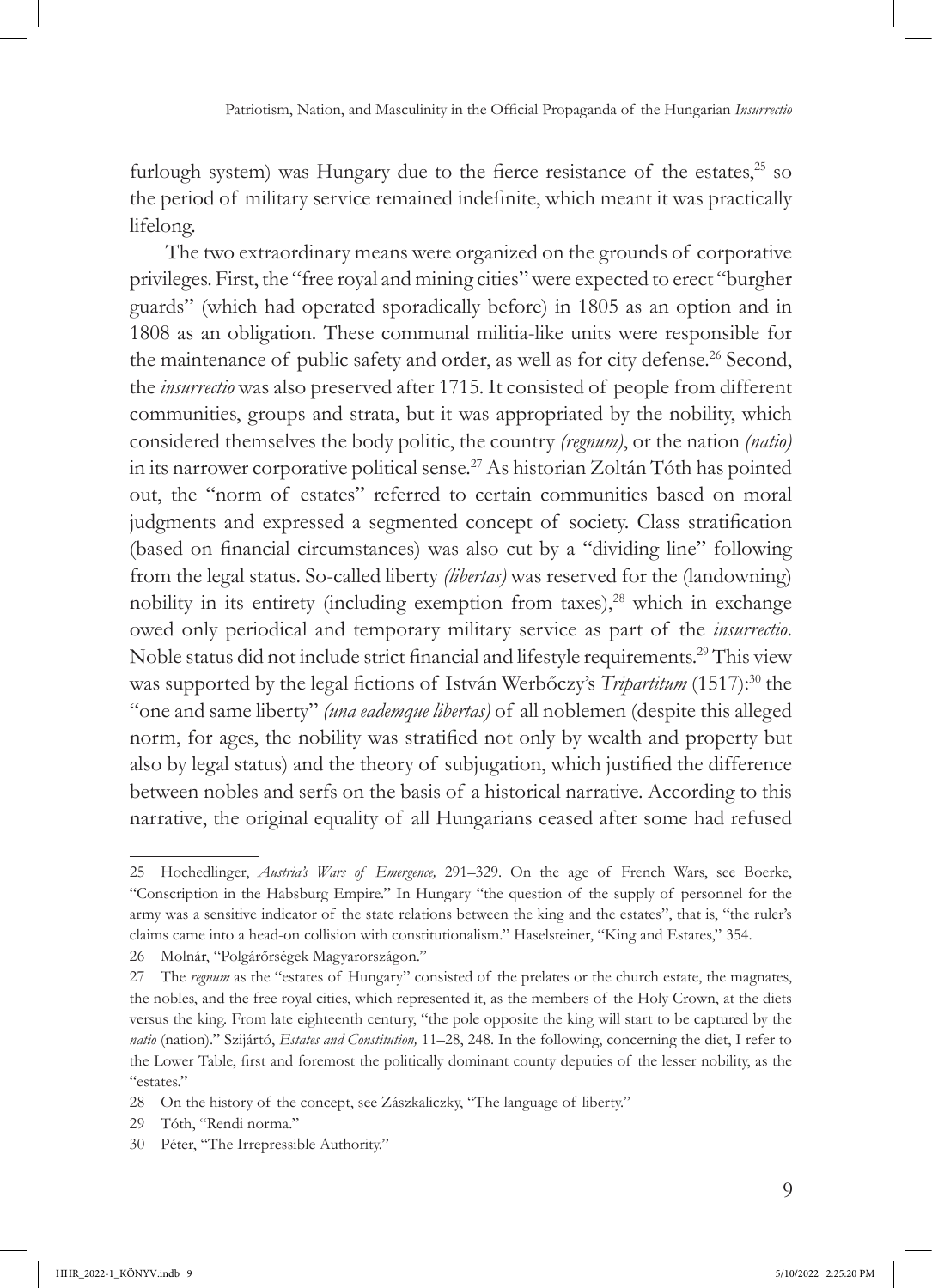furlough system) was Hungary due to the fierce resistance of the estates, $25$  so the period of military service remained indefinite, which meant it was practically lifelong.

The two extraordinary means were organized on the grounds of corporative privileges. First, the "free royal and mining cities" were expected to erect "burgher guards" (which had operated sporadically before) in 1805 as an option and in 1808 as an obligation. These communal militia-like units were responsible for the maintenance of public safety and order, as well as for city defense.<sup>26</sup> Second, the *insurrectio* was also preserved after 1715. It consisted of people from different communities, groups and strata, but it was appropriated by the nobility, which considered themselves the body politic, the country *(regnum)*, or the nation *(natio)*  in its narrower corporative political sense.27 As historian Zoltán Tóth has pointed out, the "norm of estates" referred to certain communities based on moral judgments and expressed a segmented concept of society. Class stratification (based on financial circumstances) was also cut by a "dividing line" following from the legal status. So-called liberty *(libertas)* was reserved for the (landowning) nobility in its entirety (including exemption from taxes), $28$  which in exchange owed only periodical and temporary military service as part of the *insurrectio*. Noble status did not include strict financial and lifestyle requirements.29 This view was supported by the legal fictions of István Werbőczy's *Tripartitum* (1517):<sup>30</sup> the "one and same liberty" *(una eademque libertas)* of all noblemen (despite this alleged norm, for ages, the nobility was stratified not only by wealth and property but also by legal status) and the theory of subjugation, which justified the difference between nobles and serfs on the basis of a historical narrative. According to this narrative, the original equality of all Hungarians ceased after some had refused

<sup>25</sup> Hochedlinger, *Austria's Wars of Emergence,* 291–329. On the age of French Wars, see Boerke, "Conscription in the Habsburg Empire." In Hungary "the question of the supply of personnel for the army was a sensitive indicator of the state relations between the king and the estates", that is, "the ruler's claims came into a head-on collision with constitutionalism." Haselsteiner, "King and Estates," 354.

<sup>26</sup> Molnár, "Polgárőrségek Magyarországon."

<sup>27</sup> The *regnum* as the "estates of Hungary" consisted of the prelates or the church estate, the magnates, the nobles, and the free royal cities, which represented it, as the members of the Holy Crown, at the diets versus the king. From late eighteenth century, "the pole opposite the king will start to be captured by the *natio* (nation)." Szijártó, *Estates and Constitution,* 11–28, 248. In the following, concerning the diet, I refer to the Lower Table, first and foremost the politically dominant county deputies of the lesser nobility, as the "estates."

<sup>28</sup> On the history of the concept, see Zászkaliczky, "The language of liberty."

<sup>29</sup> Tóth, "Rendi norma."

<sup>30</sup> Péter, "The Irrepressible Authority."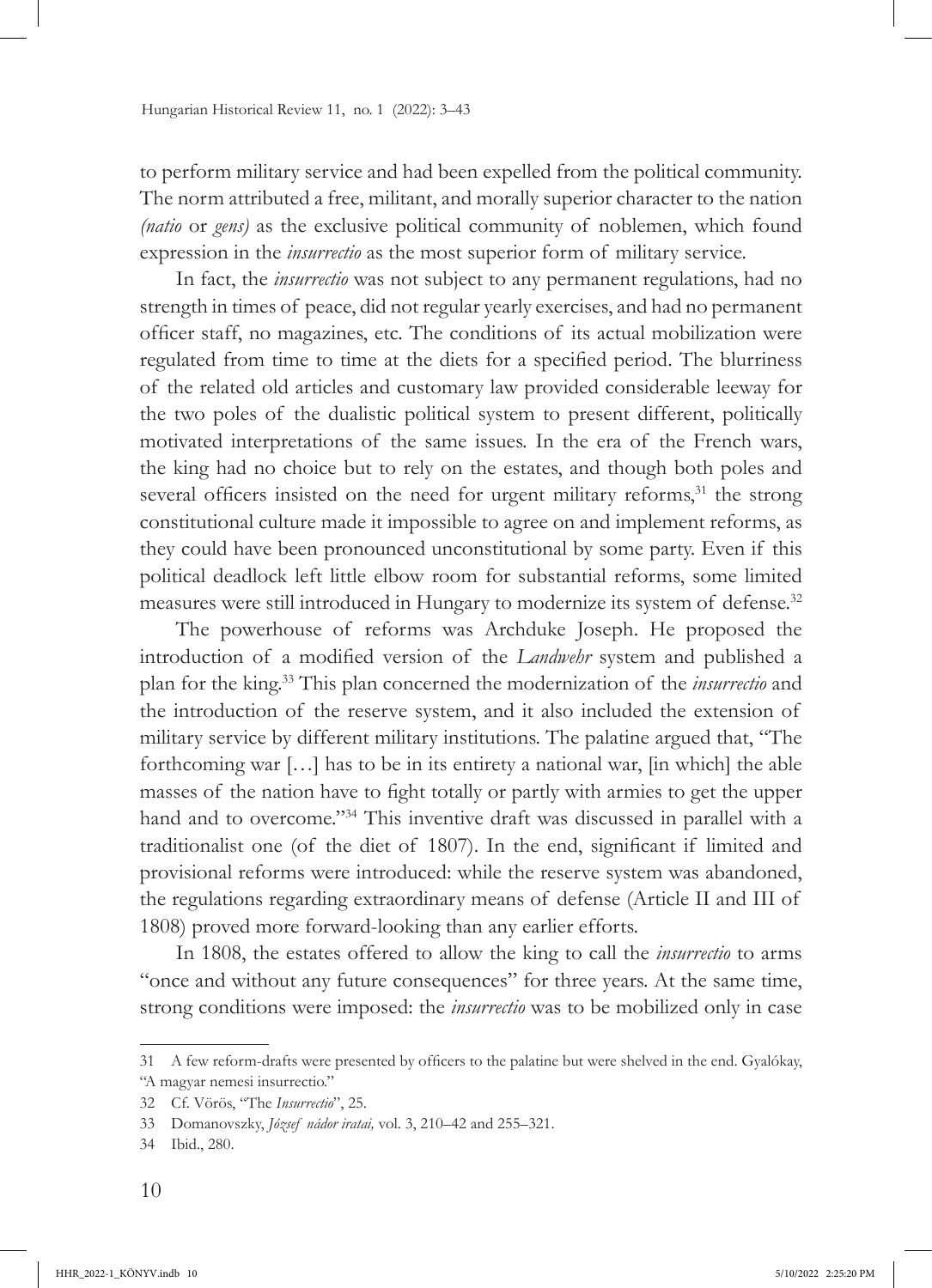to perform military service and had been expelled from the political community. The norm attributed a free, militant, and morally superior character to the nation *(natio* or *gens)* as the exclusive political community of noblemen, which found expression in the *insurrectio* as the most superior form of military service.

In fact, the *insurrectio* was not subject to any permanent regulations, had no strength in times of peace, did not regular yearly exercises, and had no permanent officer staff, no magazines, etc. The conditions of its actual mobilization were regulated from time to time at the diets for a specified period. The blurriness of the related old articles and customary law provided considerable leeway for the two poles of the dualistic political system to present different, politically motivated interpretations of the same issues. In the era of the French wars, the king had no choice but to rely on the estates, and though both poles and several officers insisted on the need for urgent military reforms,<sup>31</sup> the strong constitutional culture made it impossible to agree on and implement reforms, as they could have been pronounced unconstitutional by some party. Even if this political deadlock left little elbow room for substantial reforms, some limited measures were still introduced in Hungary to modernize its system of defense.<sup>32</sup>

The powerhouse of reforms was Archduke Joseph. He proposed the introduction of a modified version of the *Landwehr* system and published a plan for the king.33 This plan concerned the modernization of the *insurrectio* and the introduction of the reserve system, and it also included the extension of military service by different military institutions. The palatine argued that, "The forthcoming war […] has to be in its entirety a national war, [in which] the able masses of the nation have to fight totally or partly with armies to get the upper hand and to overcome."34 This inventive draft was discussed in parallel with a traditionalist one (of the diet of 1807). In the end, significant if limited and provisional reforms were introduced: while the reserve system was abandoned, the regulations regarding extraordinary means of defense (Article II and III of 1808) proved more forward-looking than any earlier efforts.

In 1808, the estates offered to allow the king to call the *insurrectio* to arms "once and without any future consequences" for three years. At the same time, strong conditions were imposed: the *insurrectio* was to be mobilized only in case

<sup>31</sup> A few reform-drafts were presented by officers to the palatine but were shelved in the end. Gyalókay, "A magyar nemesi insurrectio."

<sup>32</sup> Cf. Vörös, "The *Insurrectio*", 25.

<sup>33</sup> Domanovszky, *József nádor iratai,* vol. 3, 210–42 and 255–321.

<sup>34</sup> Ibid., 280.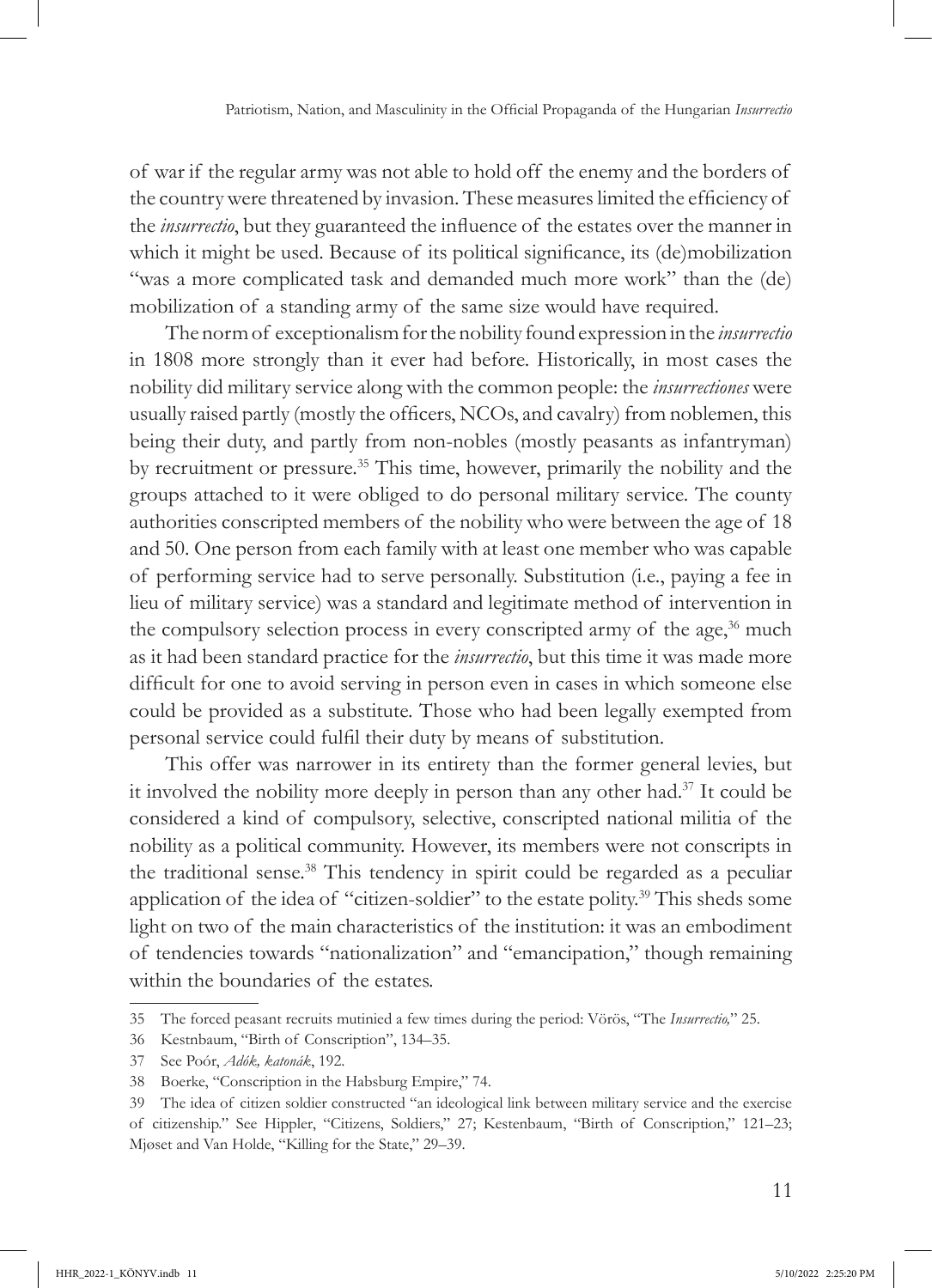of war if the regular army was not able to hold off the enemy and the borders of the country were threatened by invasion. These measures limited the efficiency of the *insurrectio*, but they guaranteed the influence of the estates over the manner in which it might be used. Because of its political significance, its (de)mobilization "was a more complicated task and demanded much more work" than the (de) mobilization of a standing army of the same size would have required.

The norm of exceptionalism for the nobility found expression in the *insurrectio* in 1808 more strongly than it ever had before. Historically, in most cases the nobility did military service along with the common people: the *insurrectiones* were usually raised partly (mostly the officers, NCOs, and cavalry) from noblemen, this being their duty, and partly from non-nobles (mostly peasants as infantryman) by recruitment or pressure.35 This time, however, primarily the nobility and the groups attached to it were obliged to do personal military service. The county authorities conscripted members of the nobility who were between the age of 18 and 50. One person from each family with at least one member who was capable of performing service had to serve personally. Substitution (i.e., paying a fee in lieu of military service) was a standard and legitimate method of intervention in the compulsory selection process in every conscripted army of the age, $36$  much as it had been standard practice for the *insurrectio*, but this time it was made more difficult for one to avoid serving in person even in cases in which someone else could be provided as a substitute. Those who had been legally exempted from personal service could fulfil their duty by means of substitution.

This offer was narrower in its entirety than the former general levies, but it involved the nobility more deeply in person than any other had.37 It could be considered a kind of compulsory, selective, conscripted national militia of the nobility as a political community. However, its members were not conscripts in the traditional sense.<sup>38</sup> This tendency in spirit could be regarded as a peculiar application of the idea of "citizen-soldier" to the estate polity.39 This sheds some light on two of the main characteristics of the institution: it was an embodiment of tendencies towards "nationalization" and "emancipation," though remaining within the boundaries of the estates.

<sup>35</sup> The forced peasant recruits mutinied a few times during the period: Vörös, "The *Insurrectio,*" 25.

<sup>36</sup> Kestnbaum, "Birth of Conscription", 134–35.

<sup>37</sup> See Poór, *Adók, katonák*, 192.

<sup>38</sup> Boerke, "Conscription in the Habsburg Empire," 74.

<sup>39</sup> The idea of citizen soldier constructed "an ideological link between military service and the exercise of citizenship." See Hippler, "Citizens, Soldiers," 27; Kestenbaum, "Birth of Conscription," 121–23; Mjøset and Van Holde, "Killing for the State," 29–39.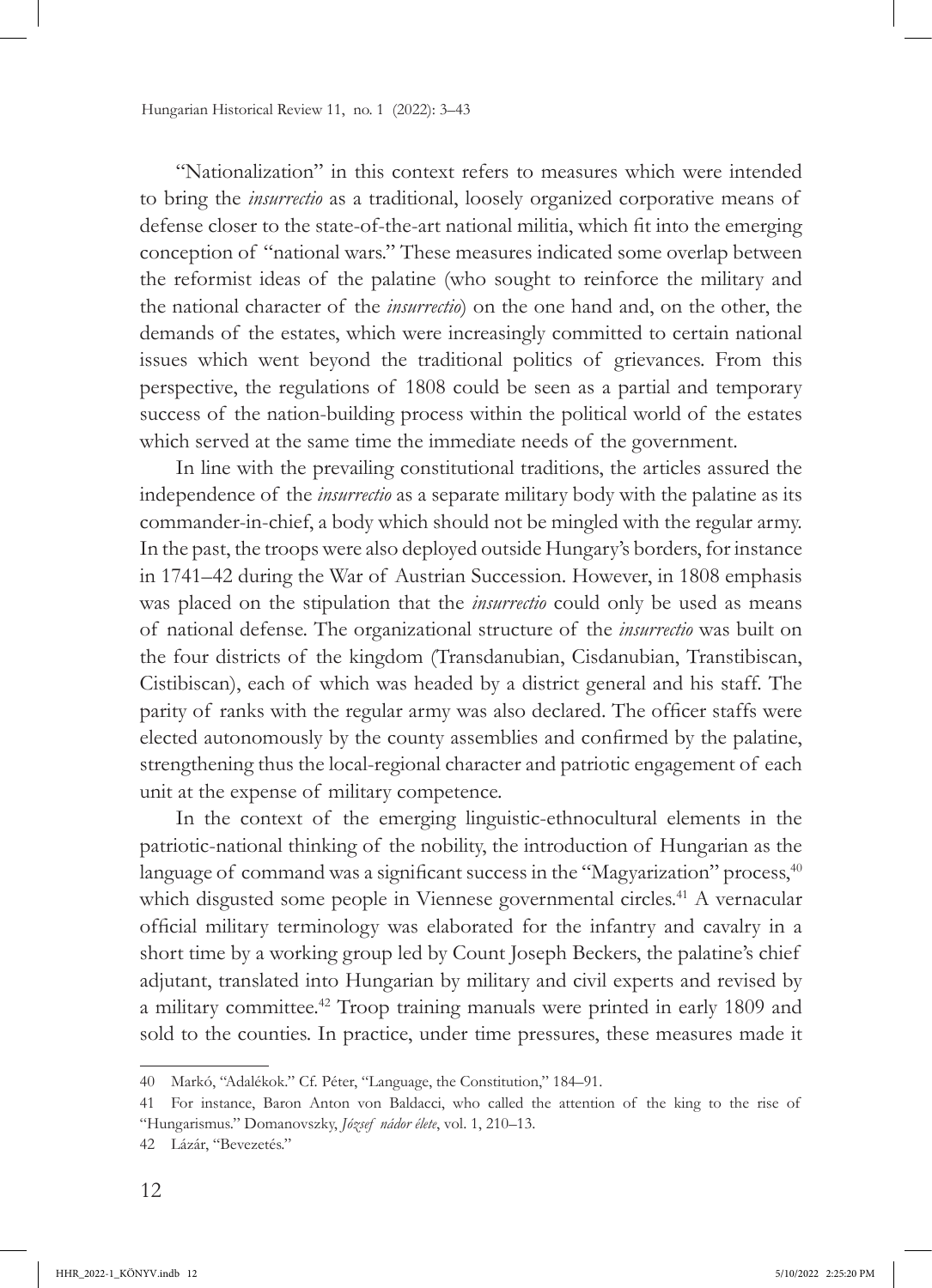"Nationalization" in this context refers to measures which were intended to bring the *insurrectio* as a traditional, loosely organized corporative means of defense closer to the state-of-the-art national militia, which fit into the emerging conception of "national wars." These measures indicated some overlap between the reformist ideas of the palatine (who sought to reinforce the military and the national character of the *insurrectio*) on the one hand and, on the other, the demands of the estates, which were increasingly committed to certain national issues which went beyond the traditional politics of grievances. From this perspective, the regulations of 1808 could be seen as a partial and temporary success of the nation-building process within the political world of the estates which served at the same time the immediate needs of the government.

In line with the prevailing constitutional traditions, the articles assured the independence of the *insurrectio* as a separate military body with the palatine as its commander-in-chief, a body which should not be mingled with the regular army. In the past, the troops were also deployed outside Hungary's borders, for instance in 1741–42 during the War of Austrian Succession. However, in 1808 emphasis was placed on the stipulation that the *insurrectio* could only be used as means of national defense. The organizational structure of the *insurrectio* was built on the four districts of the kingdom (Transdanubian, Cisdanubian, Transtibiscan, Cistibiscan), each of which was headed by a district general and his staff. The parity of ranks with the regular army was also declared. The officer staffs were elected autonomously by the county assemblies and confirmed by the palatine, strengthening thus the local-regional character and patriotic engagement of each unit at the expense of military competence.

In the context of the emerging linguistic-ethnocultural elements in the patriotic-national thinking of the nobility, the introduction of Hungarian as the language of command was a significant success in the "Magyarization" process,<sup>40</sup> which disgusted some people in Viennese governmental circles.<sup>41</sup> A vernacular official military terminology was elaborated for the infantry and cavalry in a short time by a working group led by Count Joseph Beckers, the palatine's chief adjutant, translated into Hungarian by military and civil experts and revised by a military committee.42 Troop training manuals were printed in early 1809 and sold to the counties. In practice, under time pressures, these measures made it

<sup>40</sup> Markó, "Adalékok." Cf. Péter, "Language, the Constitution," 184–91.

<sup>41</sup> For instance, Baron Anton von Baldacci, who called the attention of the king to the rise of "Hungarismus." Domanovszky, *József nádor élete*, vol. 1, 210–13.

<sup>42</sup> Lázár, "Bevezetés."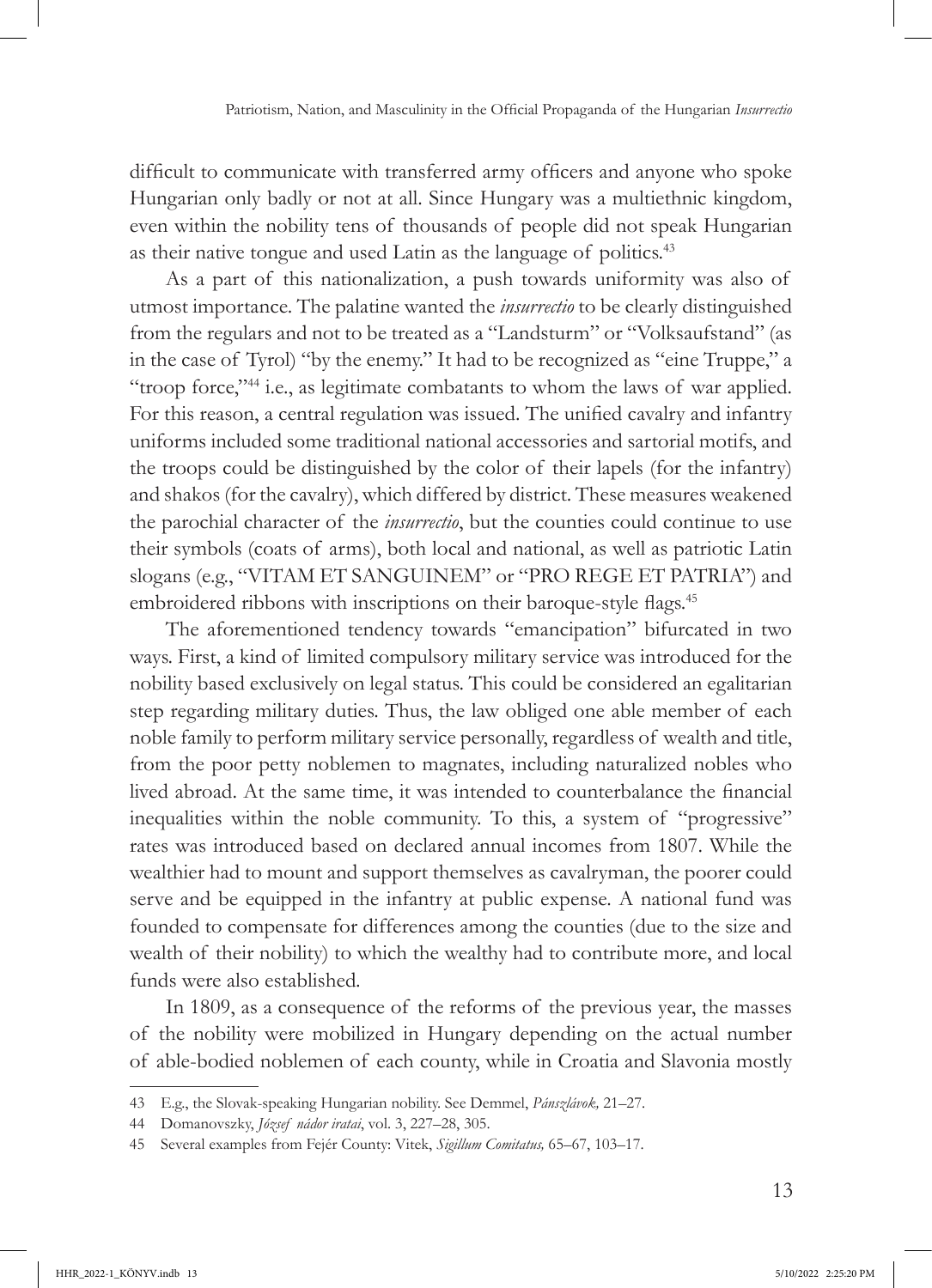difficult to communicate with transferred army officers and anyone who spoke Hungarian only badly or not at all. Since Hungary was a multiethnic kingdom, even within the nobility tens of thousands of people did not speak Hungarian as their native tongue and used Latin as the language of politics.<sup>43</sup>

As a part of this nationalization, a push towards uniformity was also of utmost importance. The palatine wanted the *insurrectio* to be clearly distinguished from the regulars and not to be treated as a "Landsturm" or "Volksaufstand" (as in the case of Tyrol) "by the enemy." It had to be recognized as "eine Truppe," a "troop force,"<sup>44</sup> i.e., as legitimate combatants to whom the laws of war applied. For this reason, a central regulation was issued. The unified cavalry and infantry uniforms included some traditional national accessories and sartorial motifs, and the troops could be distinguished by the color of their lapels (for the infantry) and shakos (for the cavalry), which differed by district. These measures weakened the parochial character of the *insurrectio*, but the counties could continue to use their symbols (coats of arms), both local and national, as well as patriotic Latin slogans (e.g., "VITAM ET SANGUINEM" or "PRO REGE ET PATRIA") and embroidered ribbons with inscriptions on their baroque-style flags.<sup>45</sup>

The aforementioned tendency towards "emancipation" bifurcated in two ways. First, a kind of limited compulsory military service was introduced for the nobility based exclusively on legal status. This could be considered an egalitarian step regarding military duties. Thus, the law obliged one able member of each noble family to perform military service personally, regardless of wealth and title, from the poor petty noblemen to magnates, including naturalized nobles who lived abroad. At the same time, it was intended to counterbalance the financial inequalities within the noble community. To this, a system of "progressive" rates was introduced based on declared annual incomes from 1807. While the wealthier had to mount and support themselves as cavalryman, the poorer could serve and be equipped in the infantry at public expense. A national fund was founded to compensate for differences among the counties (due to the size and wealth of their nobility) to which the wealthy had to contribute more, and local funds were also established*.*

In 1809, as a consequence of the reforms of the previous year, the masses of the nobility were mobilized in Hungary depending on the actual number of able-bodied noblemen of each county, while in Croatia and Slavonia mostly

<sup>43</sup> E.g., the Slovak-speaking Hungarian nobility. See Demmel, *Pánszlávok,* 21–27.

<sup>44</sup> Domanovszky, *József nádor iratai*, vol. 3, 227–28, 305.

<sup>45</sup> Several examples from Fejér County: Vitek, *Sigillum Comitatus,* 65–67, 103–17.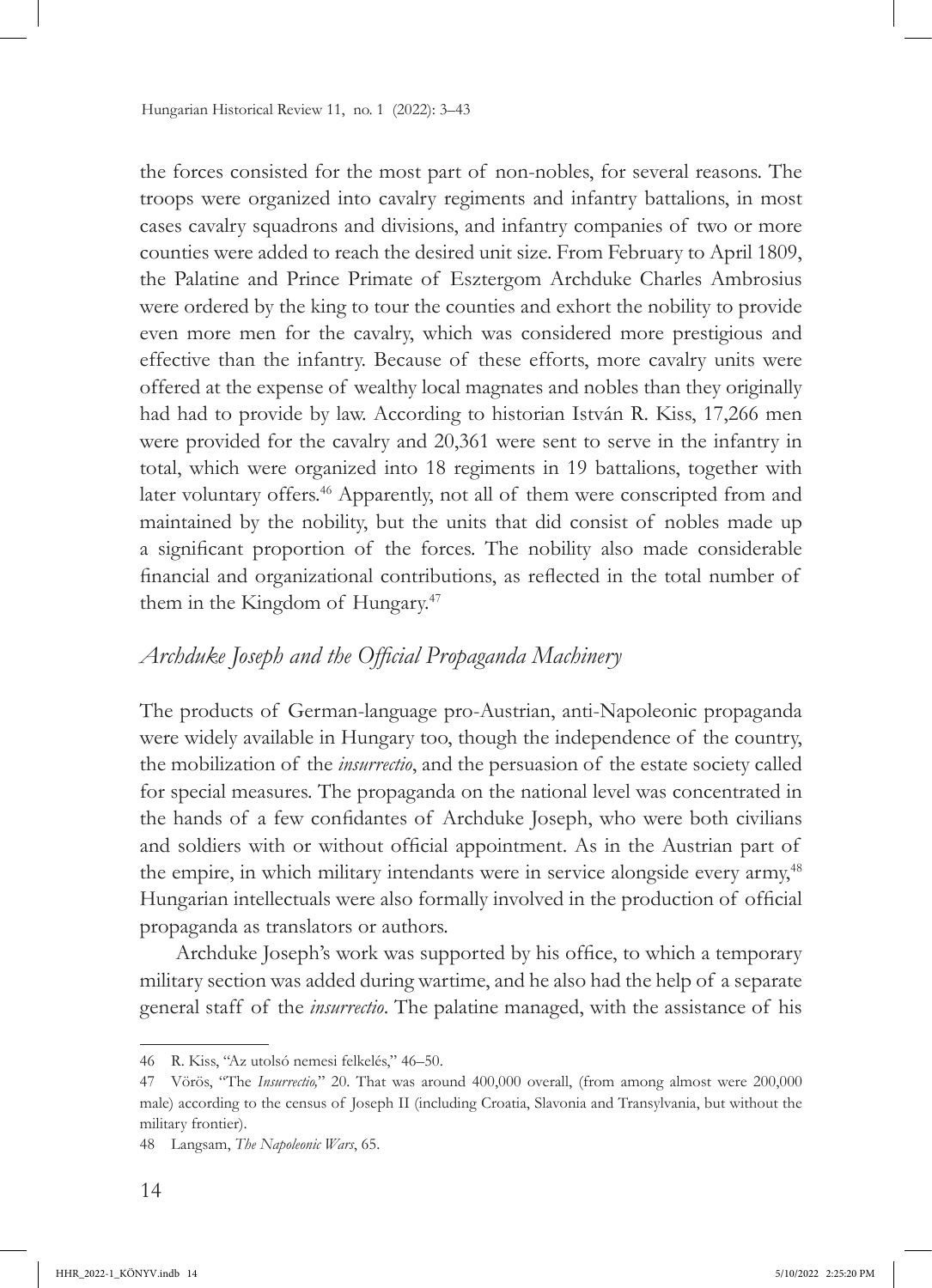the forces consisted for the most part of non-nobles, for several reasons. The troops were organized into cavalry regiments and infantry battalions, in most cases cavalry squadrons and divisions, and infantry companies of two or more counties were added to reach the desired unit size. From February to April 1809, the Palatine and Prince Primate of Esztergom Archduke Charles Ambrosius were ordered by the king to tour the counties and exhort the nobility to provide even more men for the cavalry, which was considered more prestigious and effective than the infantry. Because of these efforts, more cavalry units were offered at the expense of wealthy local magnates and nobles than they originally had had to provide by law. According to historian István R. Kiss, 17,266 men were provided for the cavalry and 20,361 were sent to serve in the infantry in total, which were organized into 18 regiments in 19 battalions, together with later voluntary offers.<sup>46</sup> Apparently, not all of them were conscripted from and maintained by the nobility, but the units that did consist of nobles made up a significant proportion of the forces. The nobility also made considerable financial and organizational contributions, as reflected in the total number of them in the Kingdom of Hungary.47

### *Archduke Joseph and the Official Propaganda Machinery*

The products of German-language pro-Austrian, anti-Napoleonic propaganda were widely available in Hungary too, though the independence of the country, the mobilization of the *insurrectio*, and the persuasion of the estate society called for special measures. The propaganda on the national level was concentrated in the hands of a few confidantes of Archduke Joseph, who were both civilians and soldiers with or without official appointment. As in the Austrian part of the empire, in which military intendants were in service alongside every army,<sup>48</sup> Hungarian intellectuals were also formally involved in the production of official propaganda as translators or authors.

Archduke Joseph's work was supported by his office, to which a temporary military section was added during wartime, and he also had the help of a separate general staff of the *insurrectio*. The palatine managed, with the assistance of his

<sup>46</sup> R. Kiss, "Az utolsó nemesi felkelés," 46–50.

<sup>47</sup> Vörös, "The *Insurrectio,*" 20. That was around 400,000 overall, (from among almost were 200,000 male) according to the census of Joseph II (including Croatia, Slavonia and Transylvania, but without the military frontier).

<sup>48</sup> Langsam, *The Napoleonic Wars*, 65.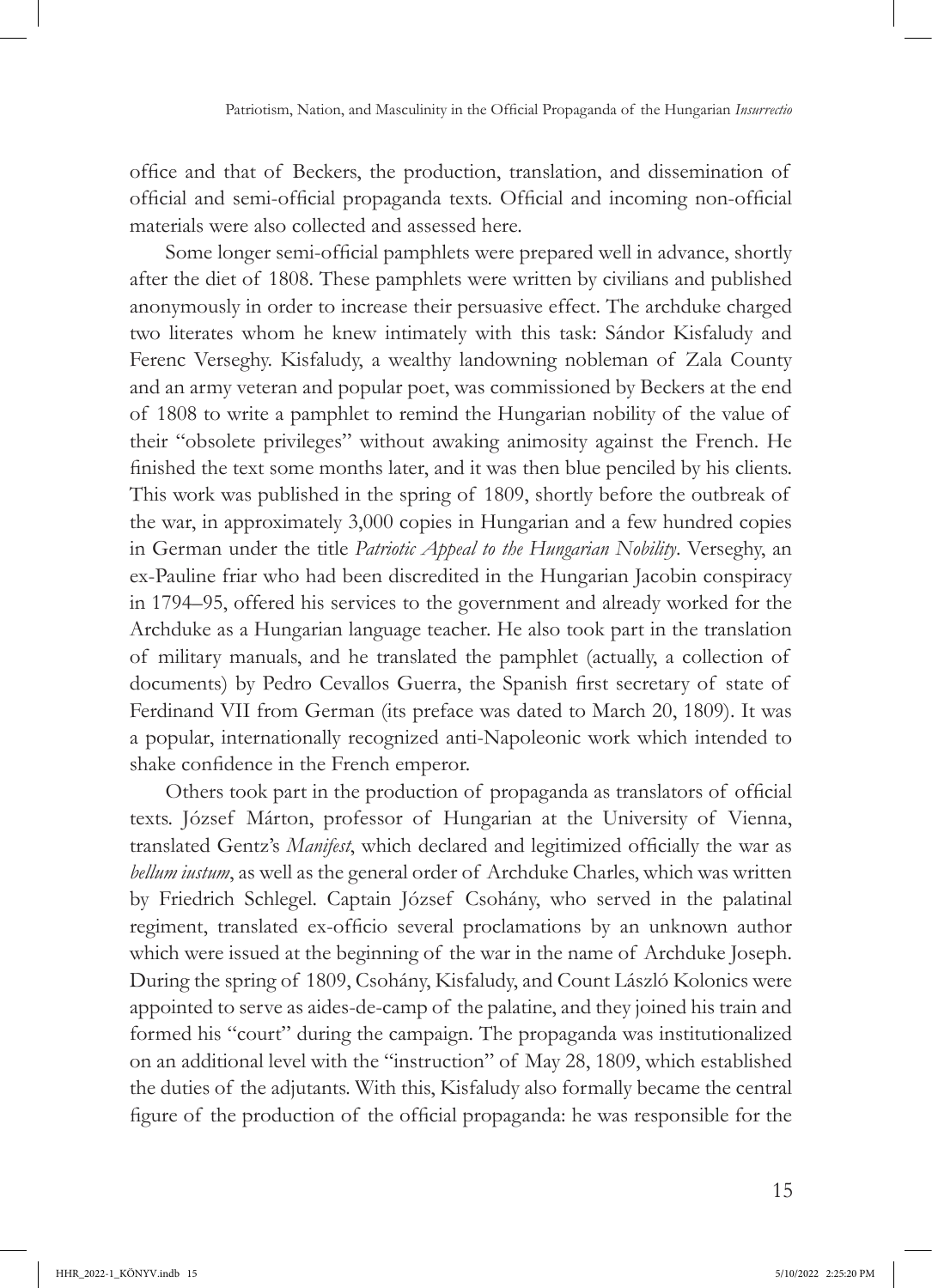office and that of Beckers, the production, translation, and dissemination of official and semi-official propaganda texts. Official and incoming non-official materials were also collected and assessed here.

Some longer semi-official pamphlets were prepared well in advance, shortly after the diet of 1808. These pamphlets were written by civilians and published anonymously in order to increase their persuasive effect. The archduke charged two literates whom he knew intimately with this task: Sándor Kisfaludy and Ferenc Verseghy. Kisfaludy, a wealthy landowning nobleman of Zala County and an army veteran and popular poet, was commissioned by Beckers at the end of 1808 to write a pamphlet to remind the Hungarian nobility of the value of their "obsolete privileges" without awaking animosity against the French. He finished the text some months later, and it was then blue penciled by his clients. This work was published in the spring of 1809, shortly before the outbreak of the war, in approximately 3,000 copies in Hungarian and a few hundred copies in German under the title *Patriotic Appeal to the Hungarian Nobility*. Verseghy, an ex-Pauline friar who had been discredited in the Hungarian Jacobin conspiracy in 1794–95, offered his services to the government and already worked for the Archduke as a Hungarian language teacher. He also took part in the translation of military manuals, and he translated the pamphlet (actually, a collection of documents) by Pedro Cevallos Guerra, the Spanish first secretary of state of Ferdinand VII from German (its preface was dated to March 20, 1809). It was a popular, internationally recognized anti-Napoleonic work which intended to shake confidence in the French emperor.

Others took part in the production of propaganda as translators of official texts. József Márton, professor of Hungarian at the University of Vienna, translated Gentz's *Manifest*, which declared and legitimized officially the war as *bellum iustum*, as well as the general order of Archduke Charles, which was written by Friedrich Schlegel. Captain József Csohány, who served in the palatinal regiment, translated ex-officio several proclamations by an unknown author which were issued at the beginning of the war in the name of Archduke Joseph. During the spring of 1809, Csohány, Kisfaludy, and Count László Kolonics were appointed to serve as aides-de-camp of the palatine, and they joined his train and formed his "court" during the campaign. The propaganda was institutionalized on an additional level with the "instruction" of May 28, 1809, which established the duties of the adjutants. With this, Kisfaludy also formally became the central figure of the production of the official propaganda: he was responsible for the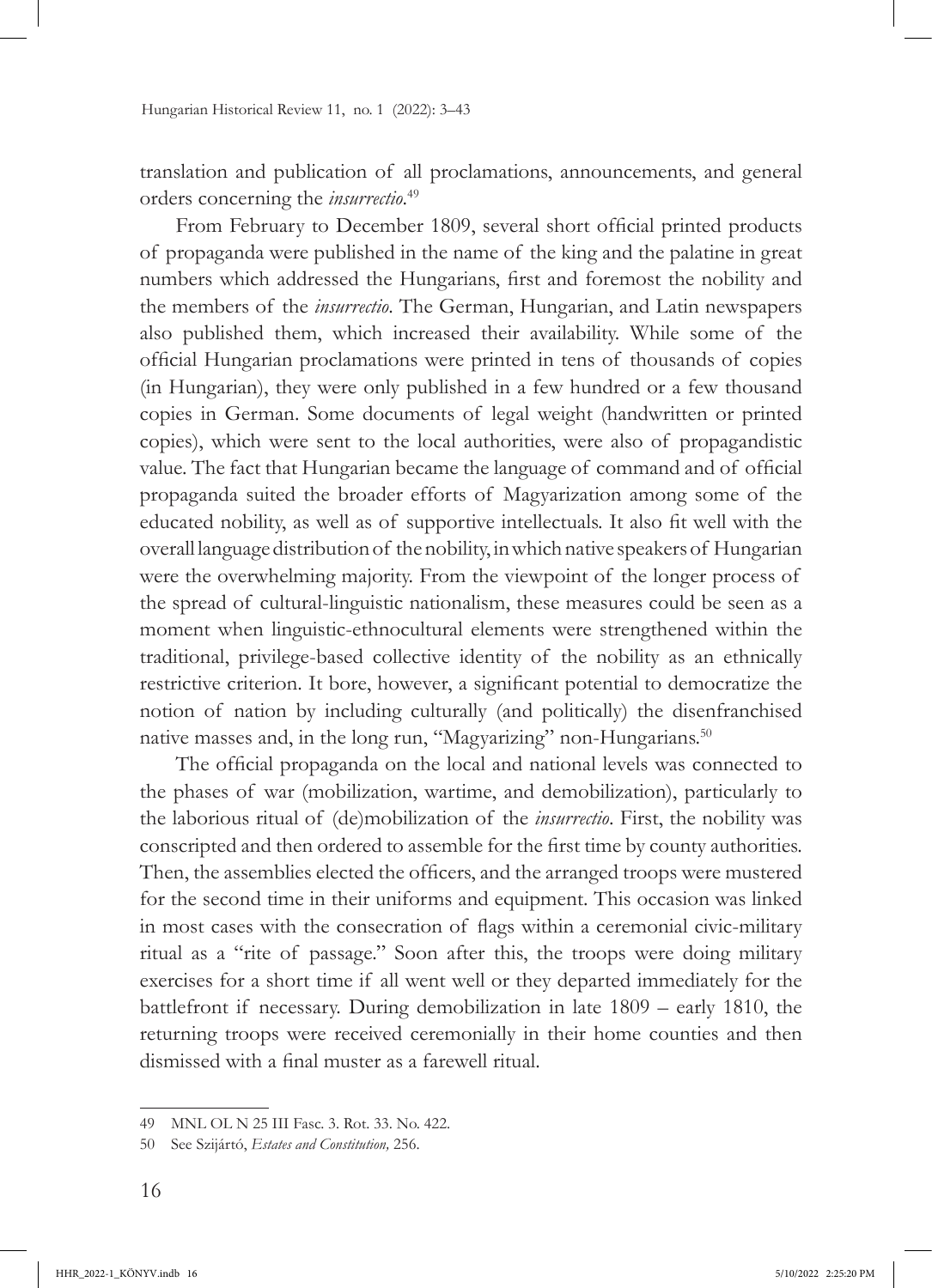translation and publication of all proclamations, announcements, and general orders concerning the *insurrectio*. 49

From February to December 1809, several short official printed products of propaganda were published in the name of the king and the palatine in great numbers which addressed the Hungarians, first and foremost the nobility and the members of the *insurrectio*. The German, Hungarian, and Latin newspapers also published them, which increased their availability. While some of the official Hungarian proclamations were printed in tens of thousands of copies (in Hungarian), they were only published in a few hundred or a few thousand copies in German. Some documents of legal weight (handwritten or printed copies), which were sent to the local authorities, were also of propagandistic value. The fact that Hungarian became the language of command and of official propaganda suited the broader efforts of Magyarization among some of the educated nobility, as well as of supportive intellectuals. It also fit well with the overall language distribution of the nobility, in which native speakers of Hungarian were the overwhelming majority. From the viewpoint of the longer process of the spread of cultural-linguistic nationalism, these measures could be seen as a moment when linguistic-ethnocultural elements were strengthened within the traditional, privilege-based collective identity of the nobility as an ethnically restrictive criterion. It bore, however, a significant potential to democratize the notion of nation by including culturally (and politically) the disenfranchised native masses and, in the long run, "Magyarizing" non-Hungarians.<sup>50</sup>

The official propaganda on the local and national levels was connected to the phases of war (mobilization, wartime, and demobilization), particularly to the laborious ritual of (de)mobilization of the *insurrectio*. First, the nobility was conscripted and then ordered to assemble for the first time by county authorities. Then, the assemblies elected the officers, and the arranged troops were mustered for the second time in their uniforms and equipment. This occasion was linked in most cases with the consecration of flags within a ceremonial civic-military ritual as a "rite of passage." Soon after this, the troops were doing military exercises for a short time if all went well or they departed immediately for the battlefront if necessary. During demobilization in late 1809 – early 1810, the returning troops were received ceremonially in their home counties and then dismissed with a final muster as a farewell ritual.

<sup>49</sup> MNL OL N 25 III Fasc. 3. Rot. 33. No. 422.

<sup>50</sup> See Szijártó, *Estates and Constitution,* 256.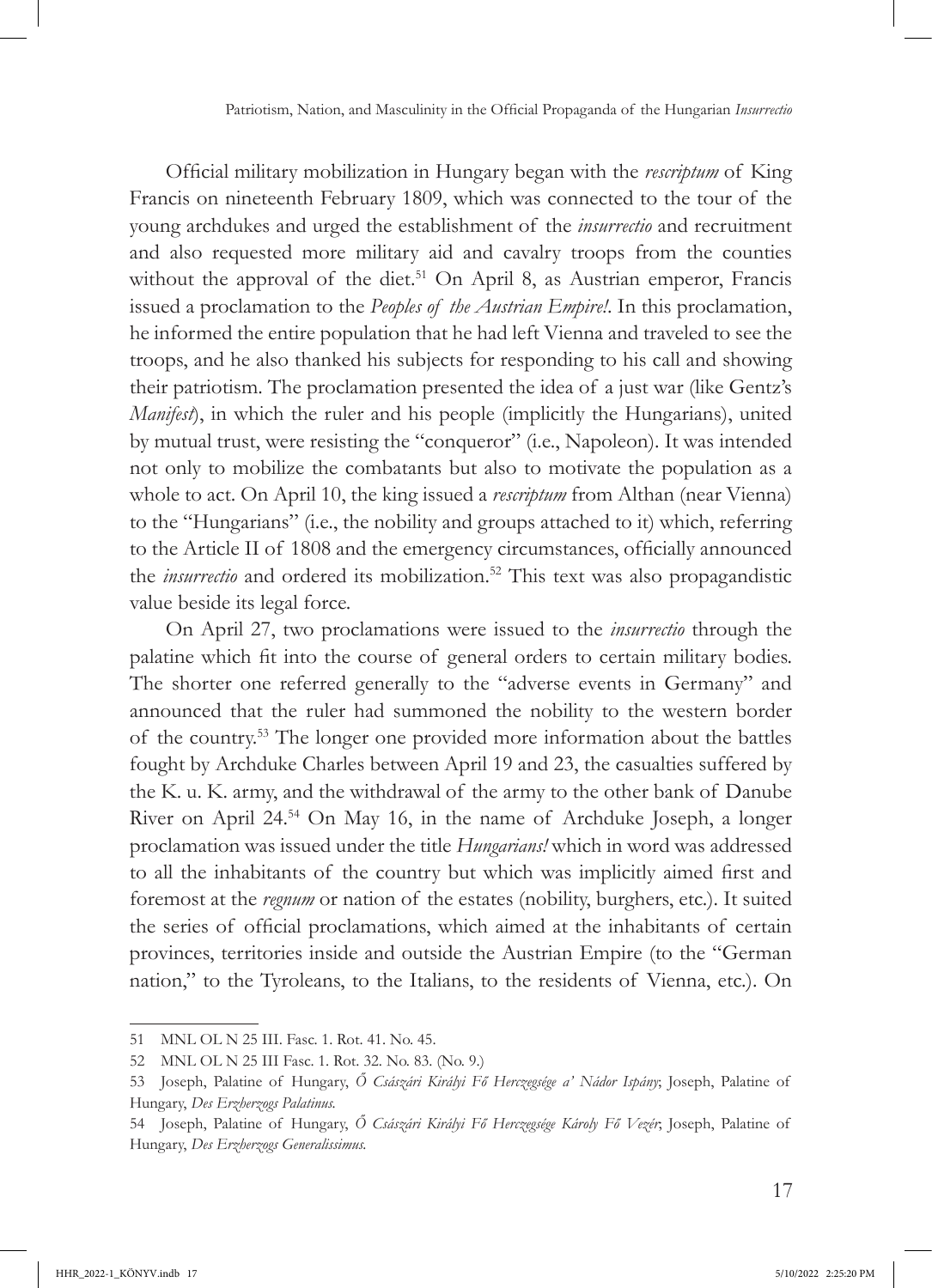Official military mobilization in Hungary began with the *rescriptum* of King Francis on nineteenth February 1809, which was connected to the tour of the young archdukes and urged the establishment of the *insurrectio* and recruitment and also requested more military aid and cavalry troops from the counties without the approval of the diet.<sup>51</sup> On April 8, as Austrian emperor, Francis issued a proclamation to the *Peoples of the Austrian Empire!*. In this proclamation, he informed the entire population that he had left Vienna and traveled to see the troops, and he also thanked his subjects for responding to his call and showing their patriotism. The proclamation presented the idea of a just war (like Gentz's *Manifest*), in which the ruler and his people (implicitly the Hungarians), united by mutual trust, were resisting the "conqueror" (i.e., Napoleon). It was intended not only to mobilize the combatants but also to motivate the population as a whole to act. On April 10, the king issued a *rescriptum* from Althan (near Vienna) to the "Hungarians" (i.e., the nobility and groups attached to it) which, referring to the Article II of 1808 and the emergency circumstances, officially announced the *insurrectio* and ordered its mobilization.<sup>52</sup> This text was also propagandistic value beside its legal force.

On April 27, two proclamations were issued to the *insurrectio* through the palatine which fit into the course of general orders to certain military bodies. The shorter one referred generally to the "adverse events in Germany" and announced that the ruler had summoned the nobility to the western border of the country.53 The longer one provided more information about the battles fought by Archduke Charles between April 19 and 23, the casualties suffered by the K. u. K. army, and the withdrawal of the army to the other bank of Danube River on April 24.54 On May 16, in the name of Archduke Joseph, a longer proclamation was issued under the title *Hungarians!* which in word was addressed to all the inhabitants of the country but which was implicitly aimed first and foremost at the *regnum* or nation of the estates (nobility, burghers, etc.). It suited the series of official proclamations, which aimed at the inhabitants of certain provinces, territories inside and outside the Austrian Empire (to the "German nation," to the Tyroleans, to the Italians, to the residents of Vienna, etc.). On

<sup>51</sup> MNL OL N 25 III. Fasc. 1. Rot. 41. No. 45.

<sup>52</sup> MNL OL N 25 III Fasc. 1. Rot. 32. No. 83. (No. 9.)

<sup>53</sup> Joseph, Palatine of Hungary, *Ő Császári Királyi Fő Herczegsége a' Nádor Ispány*; Joseph, Palatine of Hungary, *Des Erzherzogs Palatinus.*

<sup>54</sup> Joseph, Palatine of Hungary, *Ő Császári Királyi Fő Herczegsége Károly Fő Vezér*; Joseph, Palatine of Hungary, *Des Erzherzogs Generalissimus.*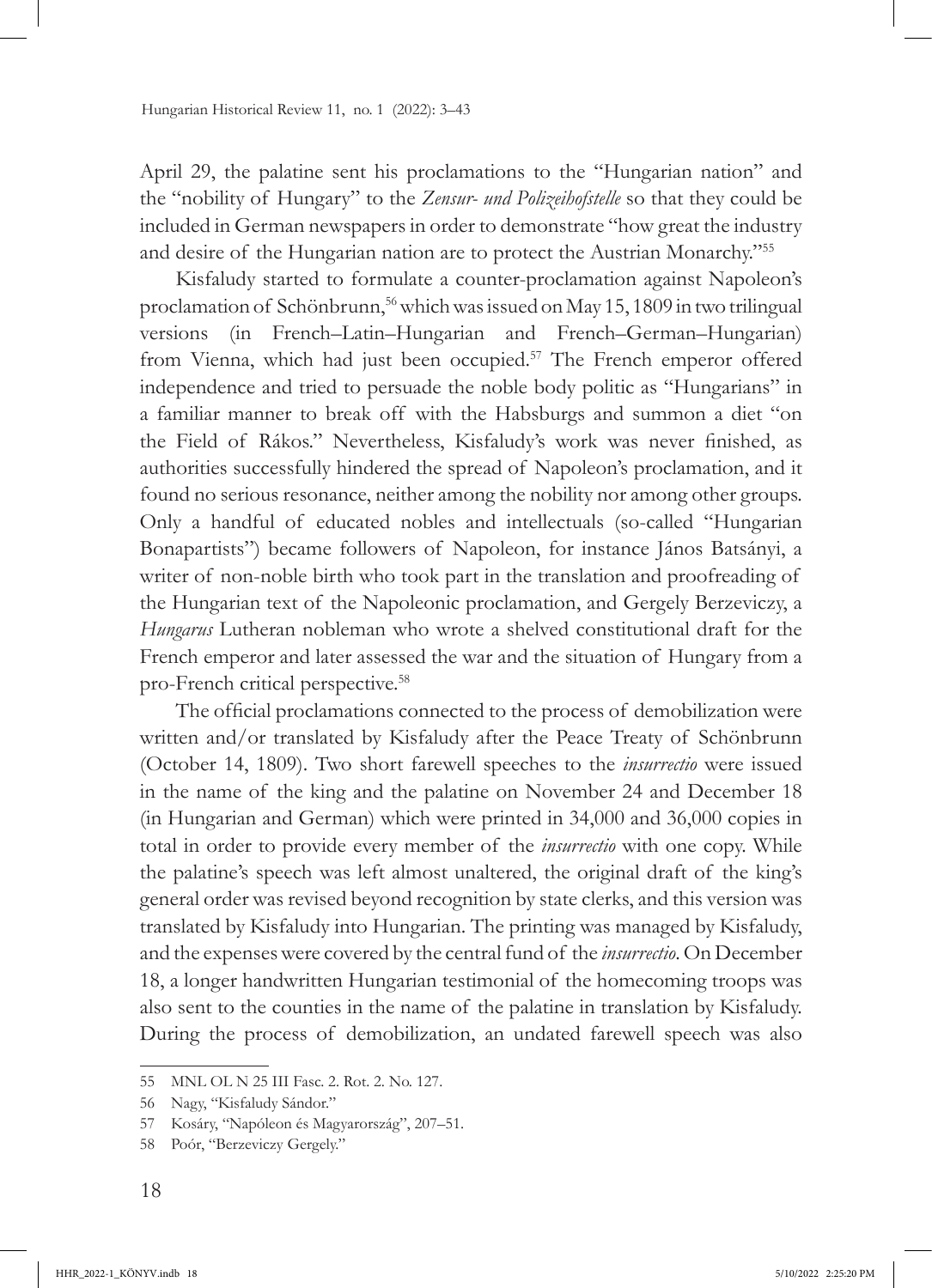April 29, the palatine sent his proclamations to the "Hungarian nation" and the "nobility of Hungary" to the *Zensur- und Polizeihofstelle* so that they could be included in German newspapers in order to demonstrate "how great the industry and desire of the Hungarian nation are to protect the Austrian Monarchy."<sup>55</sup>

Kisfaludy started to formulate a counter-proclamation against Napoleon's proclamation of Schönbrunn,<sup>56</sup> which was issued on May 15, 1809 in two trilingual versions (in French–Latin–Hungarian and French–German–Hungarian) from Vienna, which had just been occupied.<sup>57</sup> The French emperor offered independence and tried to persuade the noble body politic as "Hungarians" in a familiar manner to break off with the Habsburgs and summon a diet "on the Field of Rákos." Nevertheless, Kisfaludy's work was never finished, as authorities successfully hindered the spread of Napoleon's proclamation, and it found no serious resonance, neither among the nobility nor among other groups. Only a handful of educated nobles and intellectuals (so-called "Hungarian Bonapartists") became followers of Napoleon, for instance János Batsányi, a writer of non-noble birth who took part in the translation and proofreading of the Hungarian text of the Napoleonic proclamation, and Gergely Berzeviczy, a *Hungarus* Lutheran nobleman who wrote a shelved constitutional draft for the French emperor and later assessed the war and the situation of Hungary from a pro-French critical perspective.58

The official proclamations connected to the process of demobilization were written and/or translated by Kisfaludy after the Peace Treaty of Schönbrunn (October 14, 1809). Two short farewell speeches to the *insurrectio* were issued in the name of the king and the palatine on November 24 and December 18 (in Hungarian and German) which were printed in 34,000 and 36,000 copies in total in order to provide every member of the *insurrectio* with one copy. While the palatine's speech was left almost unaltered, the original draft of the king's general order was revised beyond recognition by state clerks, and this version was translated by Kisfaludy into Hungarian. The printing was managed by Kisfaludy, and the expenses were covered by the central fund of the *insurrectio*. On December 18, a longer handwritten Hungarian testimonial of the homecoming troops was also sent to the counties in the name of the palatine in translation by Kisfaludy. During the process of demobilization, an undated farewell speech was also

<sup>55</sup> MNL OL N 25 III Fasc. 2. Rot. 2. No. 127.

<sup>56</sup> Nagy, "Kisfaludy Sándor."

<sup>57</sup> Kosáry, "Napóleon és Magyarország", 207–51.

<sup>58</sup> Poór, "Berzeviczy Gergely."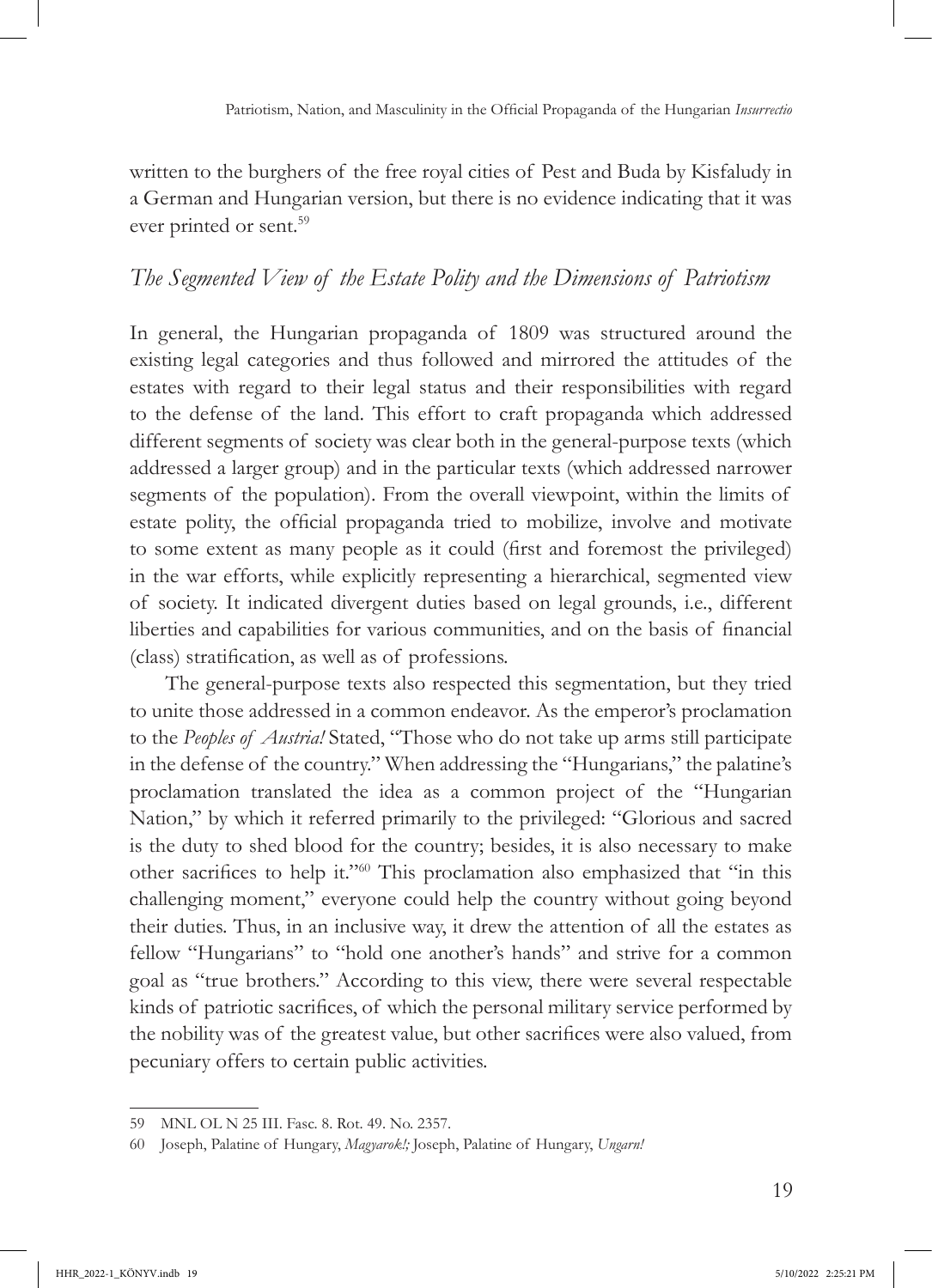written to the burghers of the free royal cities of Pest and Buda by Kisfaludy in a German and Hungarian version, but there is no evidence indicating that it was ever printed or sent.<sup>59</sup>

# *The Segmented View of the Estate Polity and the Dimensions of Patriotism*

In general, the Hungarian propaganda of 1809 was structured around the existing legal categories and thus followed and mirrored the attitudes of the estates with regard to their legal status and their responsibilities with regard to the defense of the land. This effort to craft propaganda which addressed different segments of society was clear both in the general-purpose texts (which addressed a larger group) and in the particular texts (which addressed narrower segments of the population). From the overall viewpoint, within the limits of estate polity, the official propaganda tried to mobilize, involve and motivate to some extent as many people as it could (first and foremost the privileged) in the war efforts, while explicitly representing a hierarchical, segmented view of society. It indicated divergent duties based on legal grounds, i.e., different liberties and capabilities for various communities, and on the basis of financial (class) stratification, as well as of professions.

The general-purpose texts also respected this segmentation, but they tried to unite those addressed in a common endeavor. As the emperor's proclamation to the *Peoples of Austria!* Stated, "Those who do not take up arms still participate in the defense of the country." When addressing the "Hungarians," the palatine's proclamation translated the idea as a common project of the "Hungarian Nation," by which it referred primarily to the privileged: "Glorious and sacred is the duty to shed blood for the country; besides, it is also necessary to make other sacrifices to help it."60 This proclamation also emphasized that "in this challenging moment," everyone could help the country without going beyond their duties. Thus, in an inclusive way, it drew the attention of all the estates as fellow "Hungarians" to "hold one another's hands" and strive for a common goal as "true brothers." According to this view, there were several respectable kinds of patriotic sacrifices, of which the personal military service performed by the nobility was of the greatest value, but other sacrifices were also valued, from pecuniary offers to certain public activities.

<sup>59</sup> MNL OL N 25 III. Fasc. 8. Rot. 49. No. 2357.

<sup>60</sup> Joseph, Palatine of Hungary, *Magyarok!;* Joseph, Palatine of Hungary, *Ungarn!*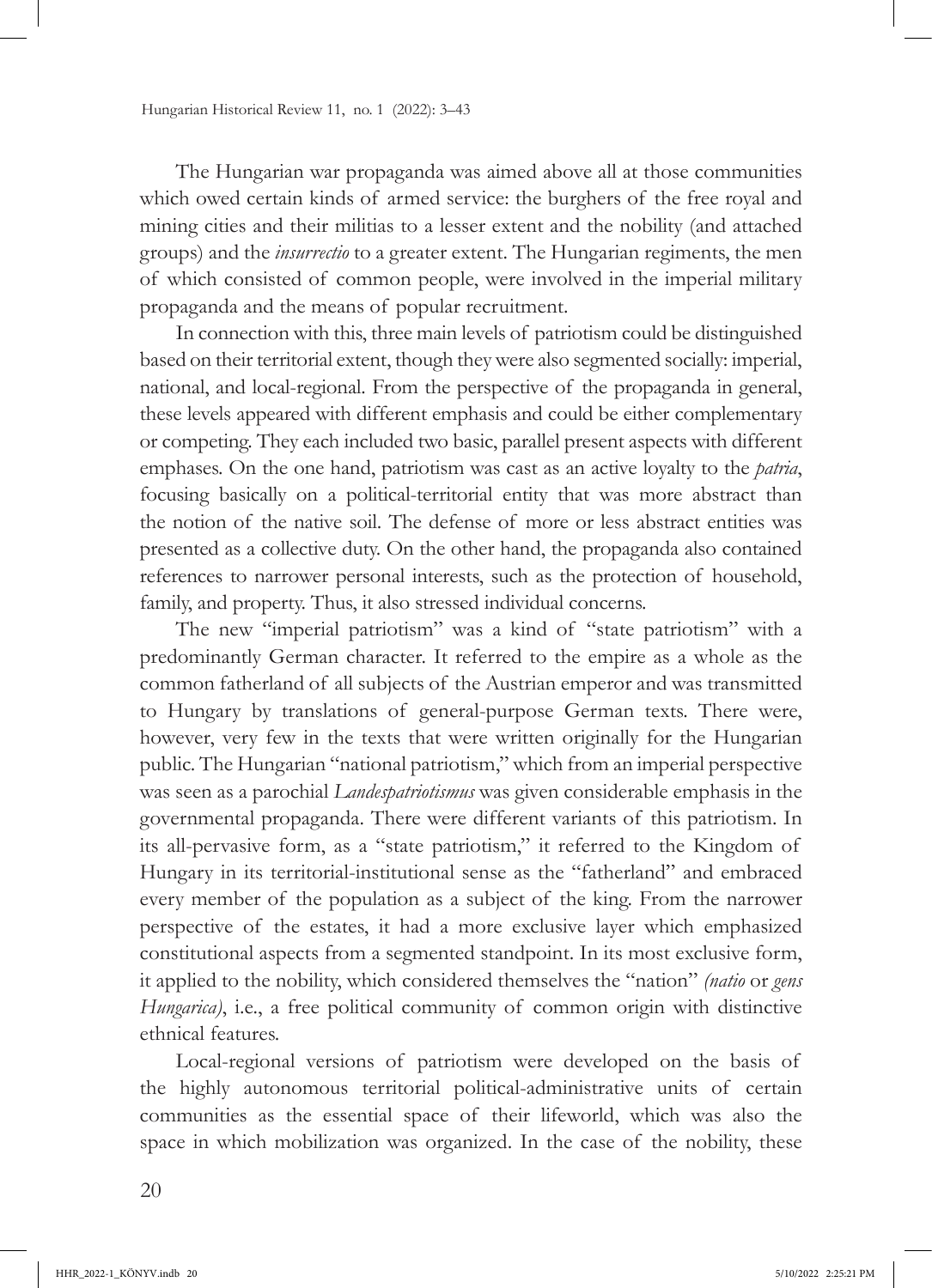The Hungarian war propaganda was aimed above all at those communities which owed certain kinds of armed service: the burghers of the free royal and mining cities and their militias to a lesser extent and the nobility (and attached groups) and the *insurrectio* to a greater extent. The Hungarian regiments, the men of which consisted of common people, were involved in the imperial military propaganda and the means of popular recruitment.

In connection with this, three main levels of patriotism could be distinguished based on their territorial extent, though they were also segmented socially: imperial, national, and local-regional. From the perspective of the propaganda in general, these levels appeared with different emphasis and could be either complementary or competing. They each included two basic, parallel present aspects with different emphases. On the one hand, patriotism was cast as an active loyalty to the *patria*, focusing basically on a political-territorial entity that was more abstract than the notion of the native soil. The defense of more or less abstract entities was presented as a collective duty. On the other hand, the propaganda also contained references to narrower personal interests, such as the protection of household, family, and property. Thus, it also stressed individual concerns.

The new "imperial patriotism" was a kind of "state patriotism" with a predominantly German character. It referred to the empire as a whole as the common fatherland of all subjects of the Austrian emperor and was transmitted to Hungary by translations of general-purpose German texts. There were, however, very few in the texts that were written originally for the Hungarian public. The Hungarian "national patriotism," which from an imperial perspective was seen as a parochial *Landespatriotismus* was given considerable emphasis in the governmental propaganda. There were different variants of this patriotism. In its all-pervasive form, as a "state patriotism," it referred to the Kingdom of Hungary in its territorial-institutional sense as the "fatherland" and embraced every member of the population as a subject of the king. From the narrower perspective of the estates, it had a more exclusive layer which emphasized constitutional aspects from a segmented standpoint. In its most exclusive form, it applied to the nobility, which considered themselves the "nation" *(natio* or *gens Hungarica*), i.e., a free political community of common origin with distinctive ethnical features.

Local-regional versions of patriotism were developed on the basis of the highly autonomous territorial political-administrative units of certain communities as the essential space of their lifeworld, which was also the space in which mobilization was organized. In the case of the nobility, these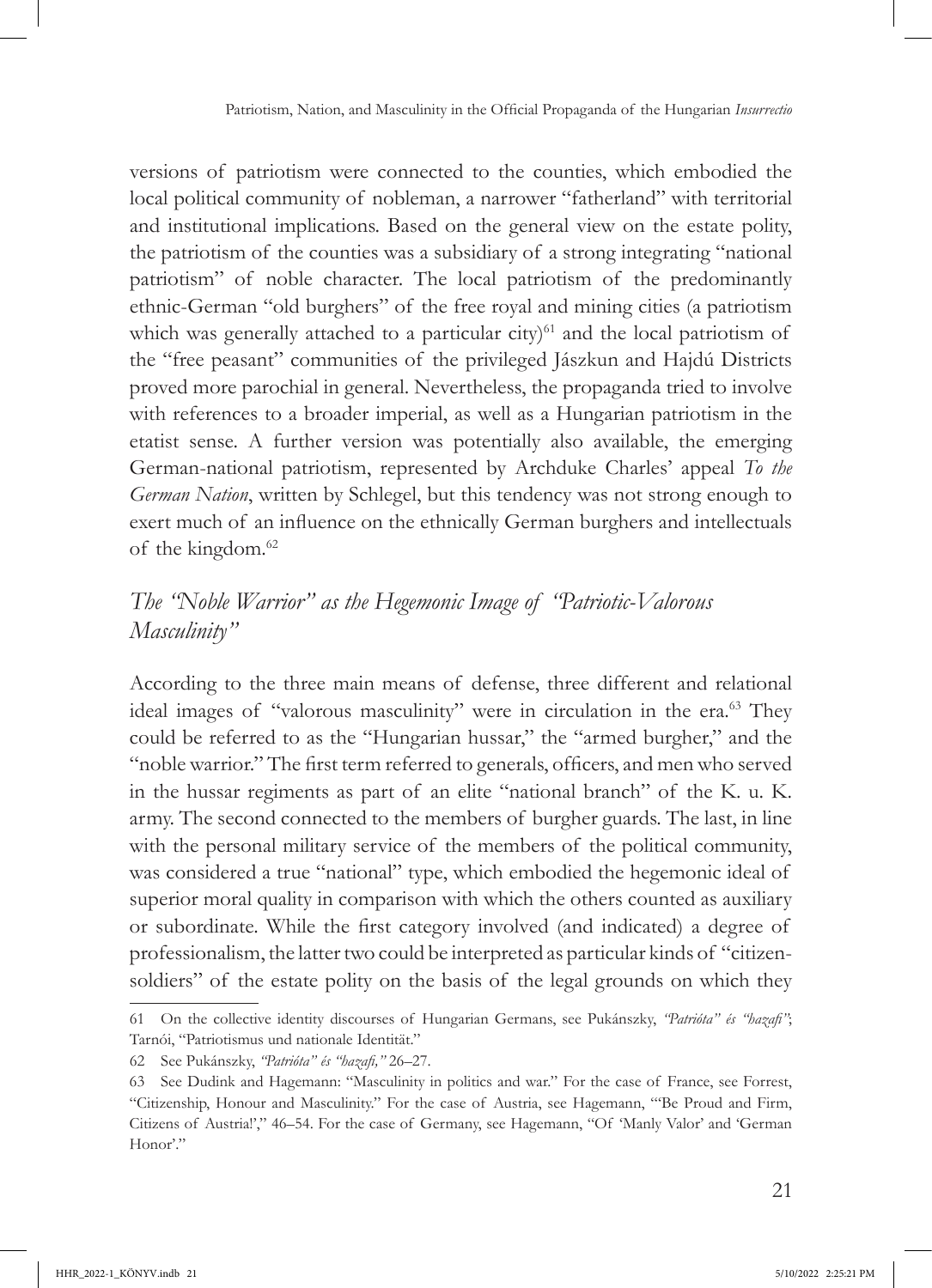versions of patriotism were connected to the counties, which embodied the local political community of nobleman, a narrower "fatherland" with territorial and institutional implications. Based on the general view on the estate polity, the patriotism of the counties was a subsidiary of a strong integrating "national patriotism" of noble character. The local patriotism of the predominantly ethnic-German "old burghers" of the free royal and mining cities (a patriotism which was generally attached to a particular city) $61$  and the local patriotism of the "free peasant" communities of the privileged Jászkun and Hajdú Districts proved more parochial in general. Nevertheless, the propaganda tried to involve with references to a broader imperial, as well as a Hungarian patriotism in the etatist sense. A further version was potentially also available, the emerging German-national patriotism, represented by Archduke Charles' appeal *To the German Nation*, written by Schlegel, but this tendency was not strong enough to exert much of an influence on the ethnically German burghers and intellectuals of the kingdom.<sup>62</sup>

# *The "Noble Warrior" as the Hegemonic Image of "Patriotic-Valorous Masculinity"*

According to the three main means of defense, three different and relational ideal images of "valorous masculinity" were in circulation in the era.<sup>63</sup> They could be referred to as the "Hungarian hussar," the "armed burgher," and the "noble warrior." The first term referred to generals, officers, and men who served in the hussar regiments as part of an elite "national branch" of the K. u. K. army. The second connected to the members of burgher guards. The last, in line with the personal military service of the members of the political community, was considered a true "national" type, which embodied the hegemonic ideal of superior moral quality in comparison with which the others counted as auxiliary or subordinate. While the first category involved (and indicated) a degree of professionalism, the latter two could be interpreted as particular kinds of "citizensoldiers" of the estate polity on the basis of the legal grounds on which they

<sup>61</sup> On the collective identity discourses of Hungarian Germans, see Pukánszky, *"Patrióta" és "hazafi"*; Tarnói, "Patriotismus und nationale Identität."

<sup>62</sup> See Pukánszky, *"Patrióta" és "hazafi,"* 26–27.

<sup>63</sup> See Dudink and Hagemann: "Masculinity in politics and war." For the case of France, see Forrest, "Citizenship, Honour and Masculinity." For the case of Austria, see Hagemann, "'Be Proud and Firm, Citizens of Austria!'," 46–54. For the case of Germany, see Hagemann, "Of 'Manly Valor' and 'German Honor'."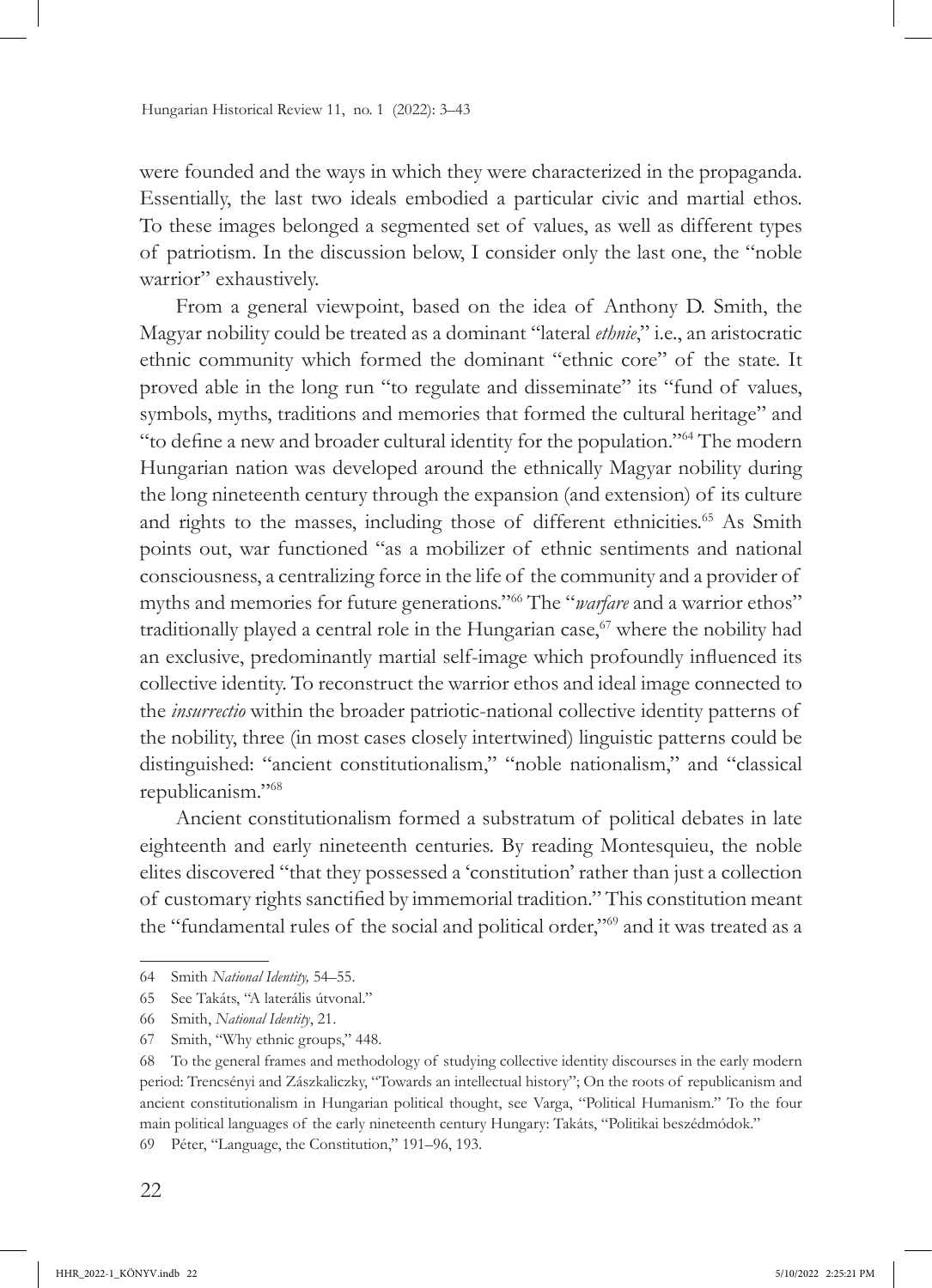were founded and the ways in which they were characterized in the propaganda. Essentially, the last two ideals embodied a particular civic and martial ethos. To these images belonged a segmented set of values, as well as different types of patriotism. In the discussion below, I consider only the last one, the "noble warrior" exhaustively.

From a general viewpoint, based on the idea of Anthony D. Smith, the Magyar nobility could be treated as a dominant "lateral *ethnie*," i.e., an aristocratic ethnic community which formed the dominant "ethnic core" of the state. It proved able in the long run "to regulate and disseminate" its "fund of values, symbols, myths, traditions and memories that formed the cultural heritage" and "to define a new and broader cultural identity for the population."64 The modern Hungarian nation was developed around the ethnically Magyar nobility during the long nineteenth century through the expansion (and extension) of its culture and rights to the masses, including those of different ethnicities.<sup>65</sup> As Smith points out, war functioned "as a mobilizer of ethnic sentiments and national consciousness, a centralizing force in the life of the community and a provider of myths and memories for future generations."66 The "*warfare* and a warrior ethos" traditionally played a central role in the Hungarian case, $67$  where the nobility had an exclusive, predominantly martial self-image which profoundly influenced its collective identity. To reconstruct the warrior ethos and ideal image connected to the *insurrectio* within the broader patriotic-national collective identity patterns of the nobility, three (in most cases closely intertwined) linguistic patterns could be distinguished: "ancient constitutionalism," "noble nationalism," and "classical republicanism."<sup>68</sup>

Ancient constitutionalism formed a substratum of political debates in late eighteenth and early nineteenth centuries. By reading Montesquieu, the noble elites discovered "that they possessed a 'constitution' rather than just a collection of customary rights sanctified by immemorial tradition." This constitution meant the "fundamental rules of the social and political order,"69 and it was treated as a

<sup>64</sup> Smith *National Identity,* 54–55.

<sup>65</sup> See Takáts, "A laterális útvonal."

<sup>66</sup> Smith, *National Identity*, 21.

<sup>67</sup> Smith, "Why ethnic groups," 448.

<sup>68</sup> To the general frames and methodology of studying collective identity discourses in the early modern period: Trencsényi and Zászkaliczky, "Towards an intellectual history"; On the roots of republicanism and ancient constitutionalism in Hungarian political thought, see Varga, "Political Humanism." To the four main political languages of the early nineteenth century Hungary: Takáts, "Politikai beszédmódok."

<sup>69</sup> Péter, "Language, the Constitution," 191–96, 193.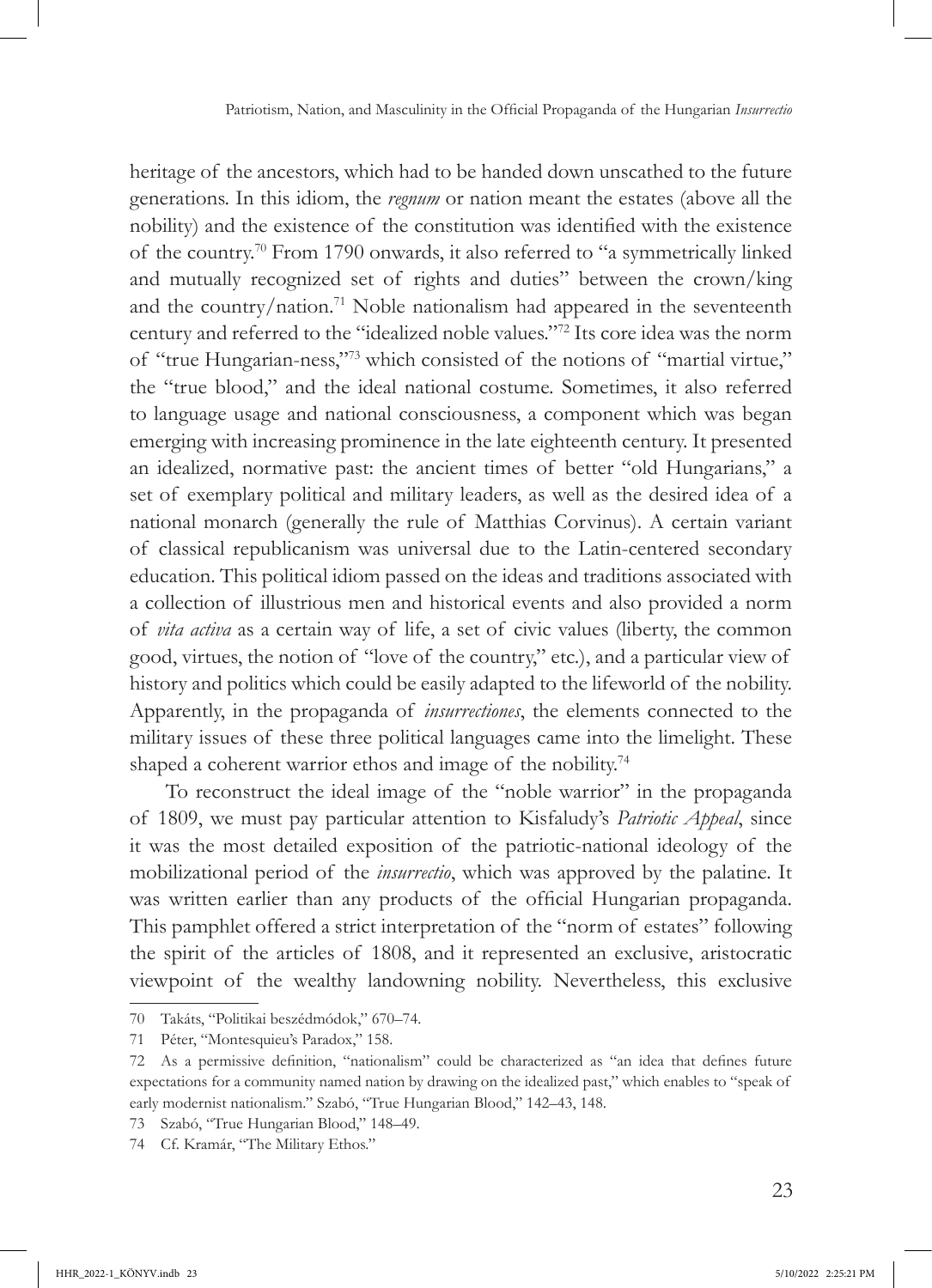heritage of the ancestors, which had to be handed down unscathed to the future generations. In this idiom, the *regnum* or nation meant the estates (above all the nobility) and the existence of the constitution was identified with the existence of the country.70 From 1790 onwards, it also referred to "a symmetrically linked and mutually recognized set of rights and duties" between the crown/king and the country/nation.71 Noble nationalism had appeared in the seventeenth century and referred to the "idealized noble values."72 Its core idea was the norm of "true Hungarian-ness,"<sup>73</sup> which consisted of the notions of "martial virtue," the "true blood," and the ideal national costume. Sometimes, it also referred to language usage and national consciousness, a component which was began emerging with increasing prominence in the late eighteenth century. It presented an idealized, normative past: the ancient times of better "old Hungarians," a set of exemplary political and military leaders, as well as the desired idea of a national monarch (generally the rule of Matthias Corvinus). A certain variant of classical republicanism was universal due to the Latin-centered secondary education. This political idiom passed on the ideas and traditions associated with a collection of illustrious men and historical events and also provided a norm of *vita activa* as a certain way of life, a set of civic values (liberty, the common good, virtues, the notion of "love of the country," etc.), and a particular view of history and politics which could be easily adapted to the lifeworld of the nobility. Apparently, in the propaganda of *insurrectiones*, the elements connected to the military issues of these three political languages came into the limelight. These shaped a coherent warrior ethos and image of the nobility.<sup>74</sup>

To reconstruct the ideal image of the "noble warrior" in the propaganda of 1809, we must pay particular attention to Kisfaludy's *Patriotic Appeal*, since it was the most detailed exposition of the patriotic-national ideology of the mobilizational period of the *insurrectio*, which was approved by the palatine. It was written earlier than any products of the official Hungarian propaganda. This pamphlet offered a strict interpretation of the "norm of estates" following the spirit of the articles of 1808, and it represented an exclusive, aristocratic viewpoint of the wealthy landowning nobility. Nevertheless, this exclusive

<sup>70</sup> Takáts, "Politikai beszédmódok," 670–74.

<sup>71</sup> Péter, "Montesquieu's Paradox," 158.

<sup>72</sup> As a permissive definition, "nationalism" could be characterized as "an idea that defines future expectations for a community named nation by drawing on the idealized past," which enables to "speak of early modernist nationalism." Szabó, "True Hungarian Blood," 142–43, 148.

<sup>73</sup> Szabó, "True Hungarian Blood," 148–49.

<sup>74</sup> Cf. Kramár, "The Military Ethos."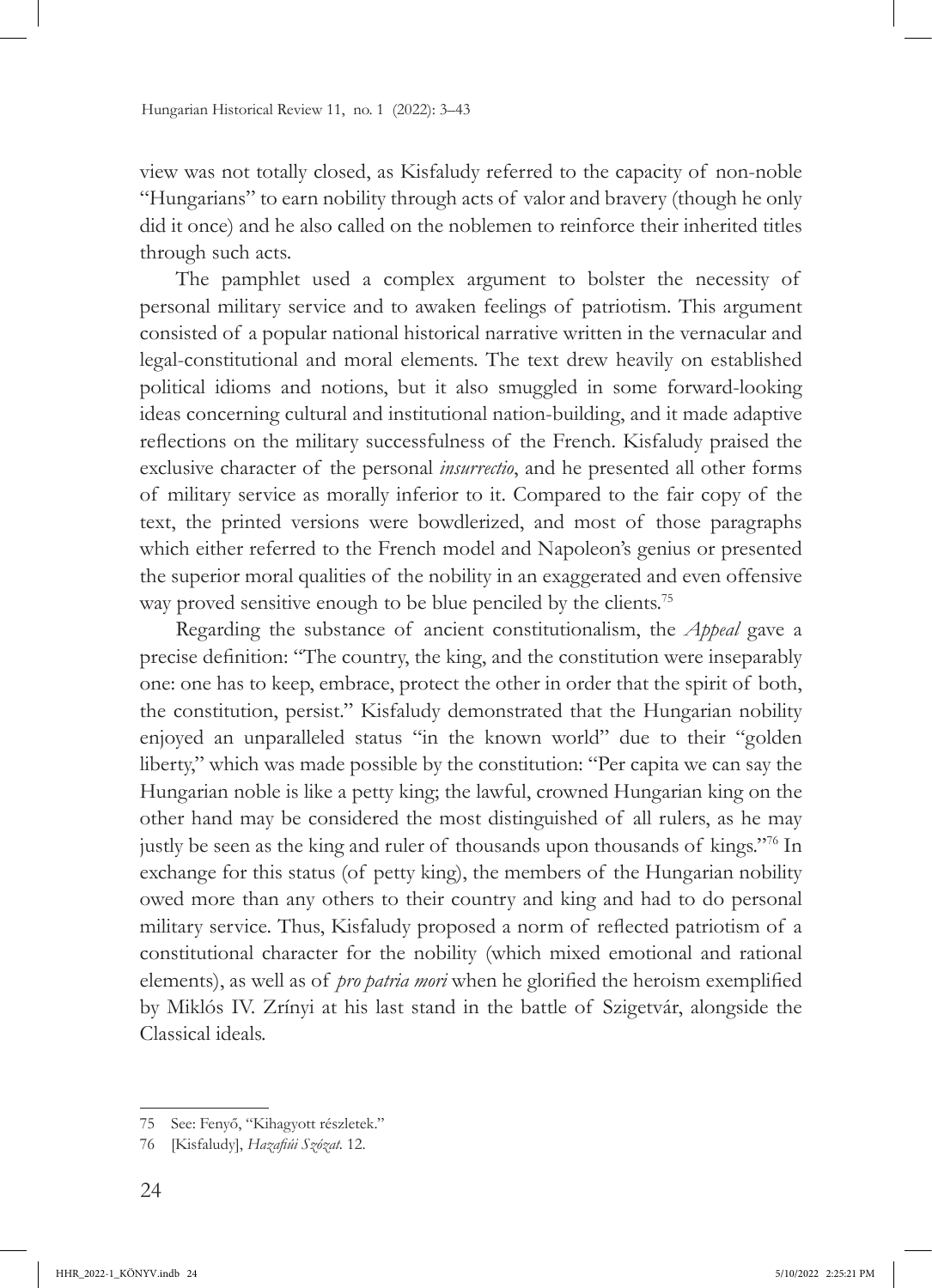view was not totally closed, as Kisfaludy referred to the capacity of non-noble "Hungarians" to earn nobility through acts of valor and bravery (though he only did it once) and he also called on the noblemen to reinforce their inherited titles through such acts*.*

The pamphlet used a complex argument to bolster the necessity of personal military service and to awaken feelings of patriotism. This argument consisted of a popular national historical narrative written in the vernacular and legal-constitutional and moral elements. The text drew heavily on established political idioms and notions, but it also smuggled in some forward-looking ideas concerning cultural and institutional nation-building, and it made adaptive reflections on the military successfulness of the French. Kisfaludy praised the exclusive character of the personal *insurrectio*, and he presented all other forms of military service as morally inferior to it. Compared to the fair copy of the text, the printed versions were bowdlerized, and most of those paragraphs which either referred to the French model and Napoleon's genius or presented the superior moral qualities of the nobility in an exaggerated and even offensive way proved sensitive enough to be blue penciled by the clients.<sup>75</sup>

Regarding the substance of ancient constitutionalism, the *Appeal* gave a precise definition: "The country, the king, and the constitution were inseparably one: one has to keep, embrace, protect the other in order that the spirit of both, the constitution, persist." Kisfaludy demonstrated that the Hungarian nobility enjoyed an unparalleled status "in the known world" due to their "golden liberty," which was made possible by the constitution: "Per capita we can say the Hungarian noble is like a petty king; the lawful, crowned Hungarian king on the other hand may be considered the most distinguished of all rulers, as he may justly be seen as the king and ruler of thousands upon thousands of kings."76 In exchange for this status (of petty king), the members of the Hungarian nobility owed more than any others to their country and king and had to do personal military service. Thus, Kisfaludy proposed a norm of reflected patriotism of a constitutional character for the nobility (which mixed emotional and rational elements), as well as of *pro patria mori* when he glorified the heroism exemplified by Miklós IV. Zrínyi at his last stand in the battle of Szigetvár, alongside the Classical ideals.

<sup>75</sup> See: Fenyő, "Kihagyott részletek."

<sup>76</sup> [Kisfaludy], *Hazafiúi Szózat.* 12.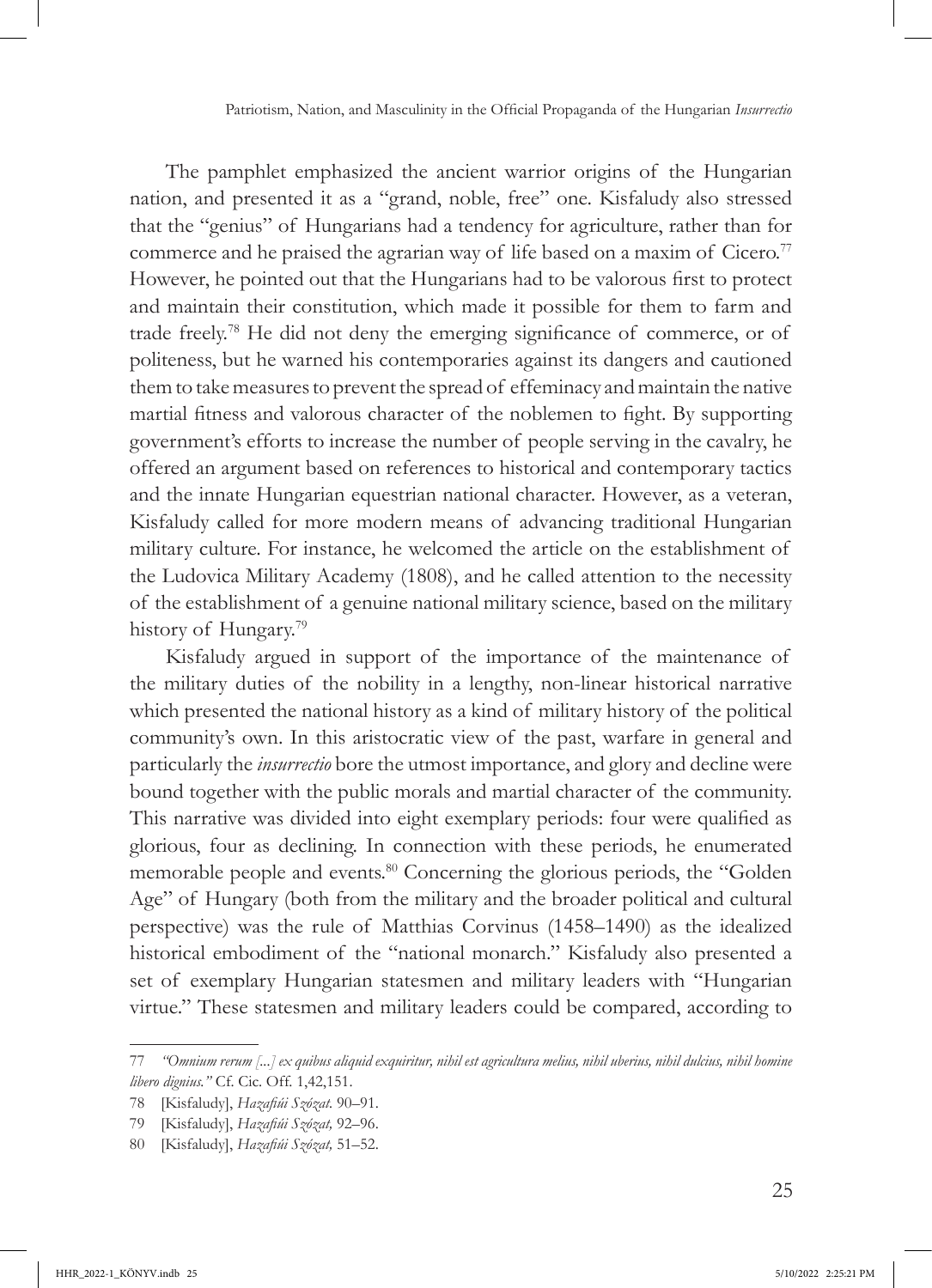The pamphlet emphasized the ancient warrior origins of the Hungarian nation, and presented it as a "grand, noble, free" one. Kisfaludy also stressed that the "genius" of Hungarians had a tendency for agriculture, rather than for commerce and he praised the agrarian way of life based on a maxim of  $Cicero$ .<sup>77</sup> However, he pointed out that the Hungarians had to be valorous first to protect and maintain their constitution, which made it possible for them to farm and trade freely.78 He did not deny the emerging significance of commerce, or of politeness, but he warned his contemporaries against its dangers and cautioned them to take measures to prevent the spread of effeminacy and maintain the native martial fitness and valorous character of the noblemen to fight. By supporting government's efforts to increase the number of people serving in the cavalry, he offered an argument based on references to historical and contemporary tactics and the innate Hungarian equestrian national character. However, as a veteran, Kisfaludy called for more modern means of advancing traditional Hungarian military culture. For instance, he welcomed the article on the establishment of the Ludovica Military Academy (1808), and he called attention to the necessity of the establishment of a genuine national military science, based on the military history of Hungary.<sup>79</sup>

Kisfaludy argued in support of the importance of the maintenance of the military duties of the nobility in a lengthy, non-linear historical narrative which presented the national history as a kind of military history of the political community's own. In this aristocratic view of the past, warfare in general and particularly the *insurrectio* bore the utmost importance, and glory and decline were bound together with the public morals and martial character of the community. This narrative was divided into eight exemplary periods: four were qualified as glorious, four as declining. In connection with these periods, he enumerated memorable people and events.<sup>80</sup> Concerning the glorious periods, the "Golden" Age" of Hungary (both from the military and the broader political and cultural perspective) was the rule of Matthias Corvinus (1458–1490) as the idealized historical embodiment of the "national monarch." Kisfaludy also presented a set of exemplary Hungarian statesmen and military leaders with "Hungarian virtue." These statesmen and military leaders could be compared, according to

<sup>77</sup> *"Omnium rerum [...] ex quibus aliquid exquiritur, nihil est agricultura melius, nihil uberius, nihil dulcius, nihil homine libero dignius."* Cf. Cic. Off. 1,42,151.

<sup>78</sup> [Kisfaludy], *Hazafiúi Szózat.* 90–91.

<sup>79</sup> [Kisfaludy], *Hazafiúi Szózat,* 92–96.

<sup>80</sup> [Kisfaludy], *Hazafiúi Szózat,* 51–52.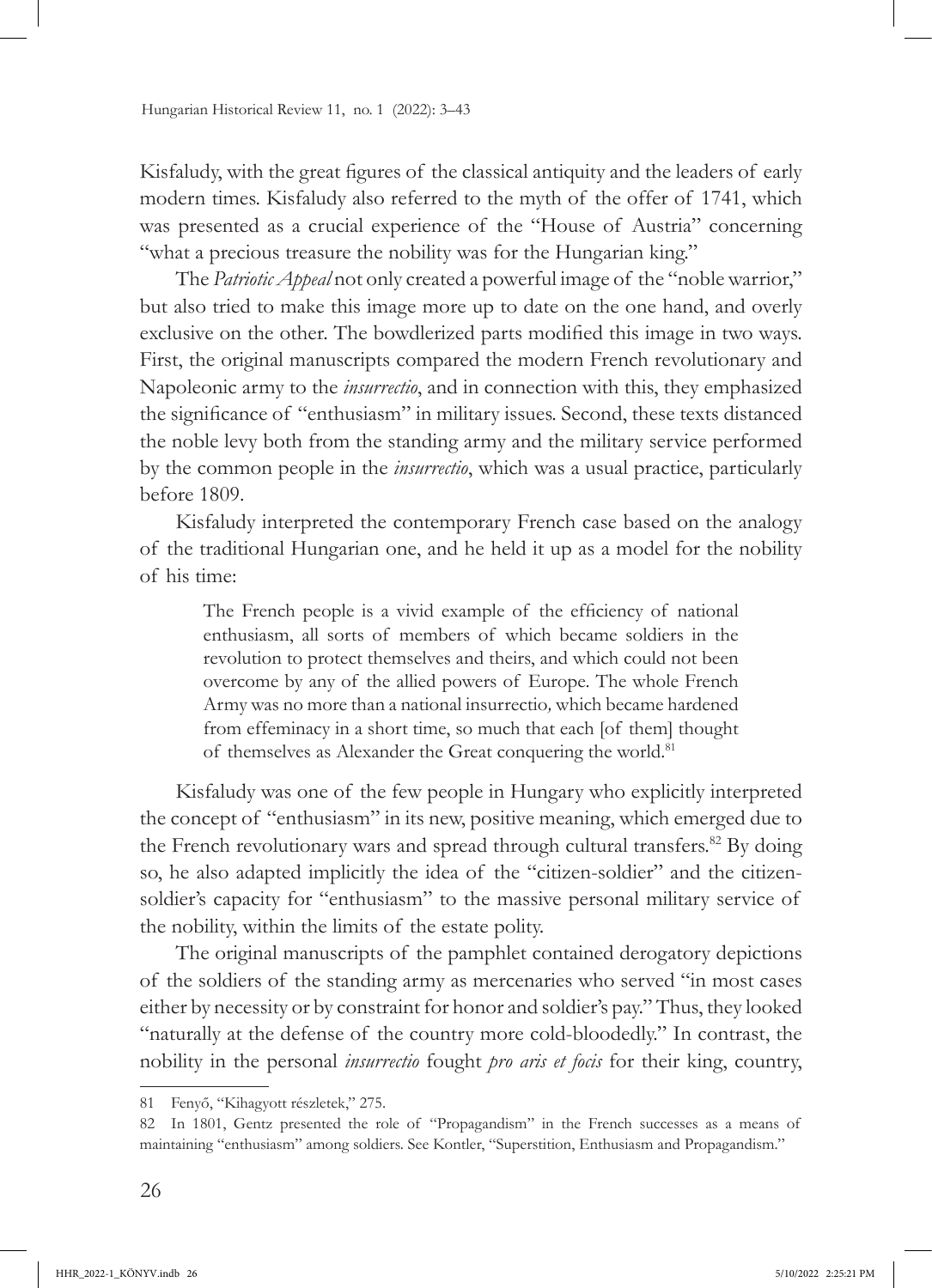Kisfaludy, with the great figures of the classical antiquity and the leaders of early modern times. Kisfaludy also referred to the myth of the offer of 1741, which was presented as a crucial experience of the "House of Austria" concerning "what a precious treasure the nobility was for the Hungarian king."

The *Patriotic Appeal* not only created a powerful image of the "noble warrior," but also tried to make this image more up to date on the one hand, and overly exclusive on the other. The bowdlerized parts modified this image in two ways. First, the original manuscripts compared the modern French revolutionary and Napoleonic army to the *insurrectio*, and in connection with this, they emphasized the significance of "enthusiasm" in military issues. Second, these texts distanced the noble levy both from the standing army and the military service performed by the common people in the *insurrectio*, which was a usual practice, particularly before 1809.

Kisfaludy interpreted the contemporary French case based on the analogy of the traditional Hungarian one, and he held it up as a model for the nobility of his time:

The French people is a vivid example of the efficiency of national enthusiasm, all sorts of members of which became soldiers in the revolution to protect themselves and theirs, and which could not been overcome by any of the allied powers of Europe. The whole French Army was no more than a national insurrectio*,* which became hardened from effeminacy in a short time, so much that each [of them] thought of themselves as Alexander the Great conquering the world.<sup>81</sup>

Kisfaludy was one of the few people in Hungary who explicitly interpreted the concept of "enthusiasm" in its new, positive meaning, which emerged due to the French revolutionary wars and spread through cultural transfers.<sup>82</sup> By doing so, he also adapted implicitly the idea of the "citizen-soldier" and the citizensoldier's capacity for "enthusiasm" to the massive personal military service of the nobility, within the limits of the estate polity.

The original manuscripts of the pamphlet contained derogatory depictions of the soldiers of the standing army as mercenaries who served "in most cases either by necessity or by constraint for honor and soldier's pay." Thus, they looked "naturally at the defense of the country more cold-bloodedly." In contrast, the nobility in the personal *insurrectio* fought *pro aris et focis* for their king, country,

<sup>81</sup> Fenyő, "Kihagyott részletek," 275.

<sup>82</sup> In 1801, Gentz presented the role of "Propagandism" in the French successes as a means of maintaining "enthusiasm" among soldiers. See Kontler, "Superstition, Enthusiasm and Propagandism."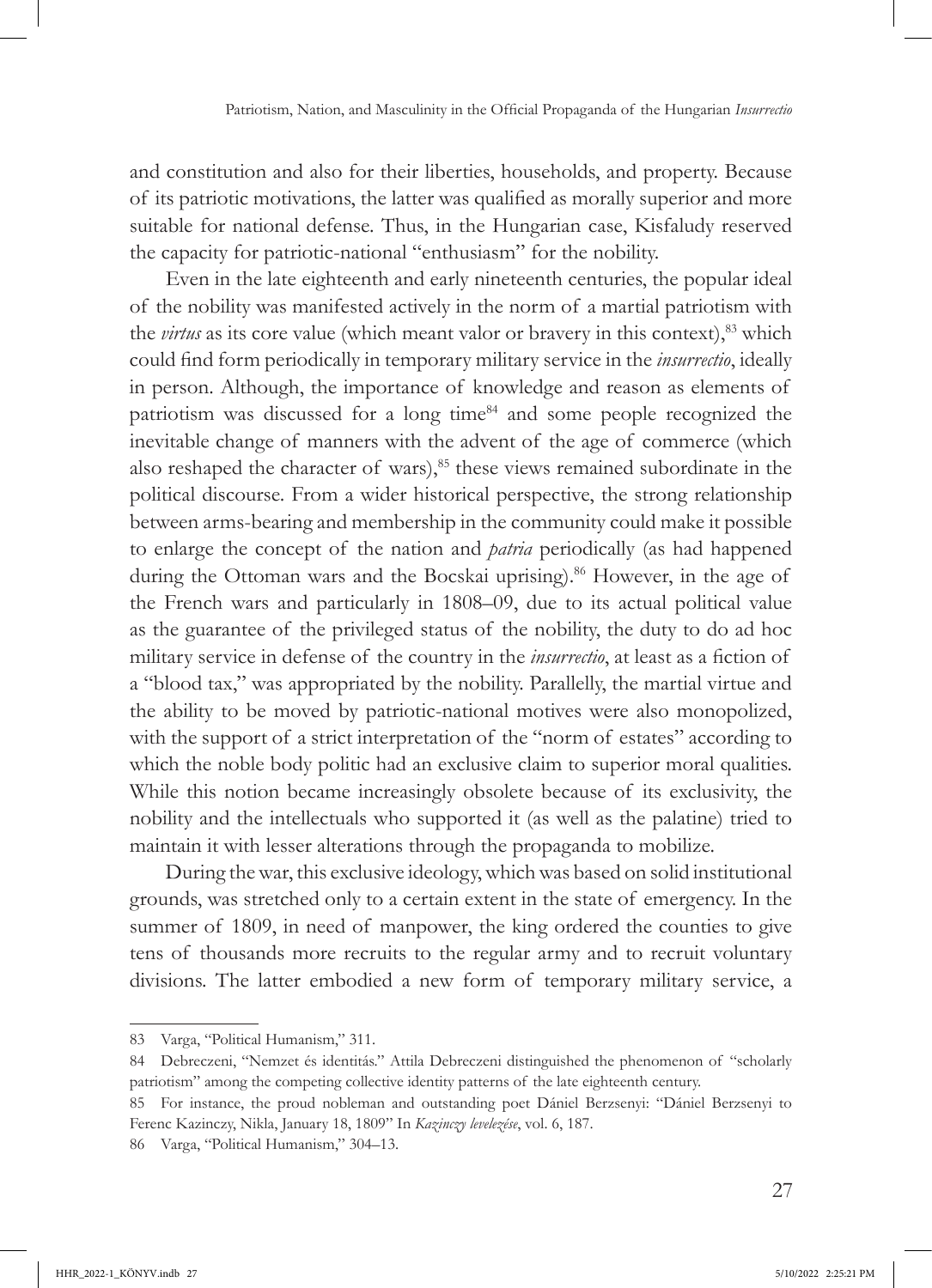and constitution and also for their liberties, households, and property. Because of its patriotic motivations, the latter was qualified as morally superior and more suitable for national defense. Thus, in the Hungarian case, Kisfaludy reserved the capacity for patriotic-national "enthusiasm" for the nobility.

Even in the late eighteenth and early nineteenth centuries, the popular ideal of the nobility was manifested actively in the norm of a martial patriotism with the *virtus* as its core value (which meant valor or bravery in this context),<sup>83</sup> which could find form periodically in temporary military service in the *insurrectio*, ideally in person. Although, the importance of knowledge and reason as elements of patriotism was discussed for a long time<sup>84</sup> and some people recognized the inevitable change of manners with the advent of the age of commerce (which also reshaped the character of wars),<sup>85</sup> these views remained subordinate in the political discourse. From a wider historical perspective, the strong relationship between arms-bearing and membership in the community could make it possible to enlarge the concept of the nation and *patria* periodically (as had happened during the Ottoman wars and the Bocskai uprising).<sup>86</sup> However, in the age of the French wars and particularly in 1808–09, due to its actual political value as the guarantee of the privileged status of the nobility, the duty to do ad hoc military service in defense of the country in the *insurrectio*, at least as a fiction of a "blood tax," was appropriated by the nobility. Parallelly, the martial virtue and the ability to be moved by patriotic-national motives were also monopolized, with the support of a strict interpretation of the "norm of estates" according to which the noble body politic had an exclusive claim to superior moral qualities. While this notion became increasingly obsolete because of its exclusivity, the nobility and the intellectuals who supported it (as well as the palatine) tried to maintain it with lesser alterations through the propaganda to mobilize.

During the war, this exclusive ideology, which was based on solid institutional grounds, was stretched only to a certain extent in the state of emergency. In the summer of 1809, in need of manpower, the king ordered the counties to give tens of thousands more recruits to the regular army and to recruit voluntary divisions. The latter embodied a new form of temporary military service, a

<sup>83</sup> Varga, "Political Humanism," 311.

<sup>84</sup> Debreczeni, "Nemzet és identitás." Attila Debreczeni distinguished the phenomenon of "scholarly patriotism" among the competing collective identity patterns of the late eighteenth century.

<sup>85</sup> For instance, the proud nobleman and outstanding poet Dániel Berzsenyi: "Dániel Berzsenyi to Ferenc Kazinczy, Nikla, January 18, 1809" In *Kazinczy levelezése*, vol. 6, 187.

<sup>86</sup> Varga, "Political Humanism," 304–13.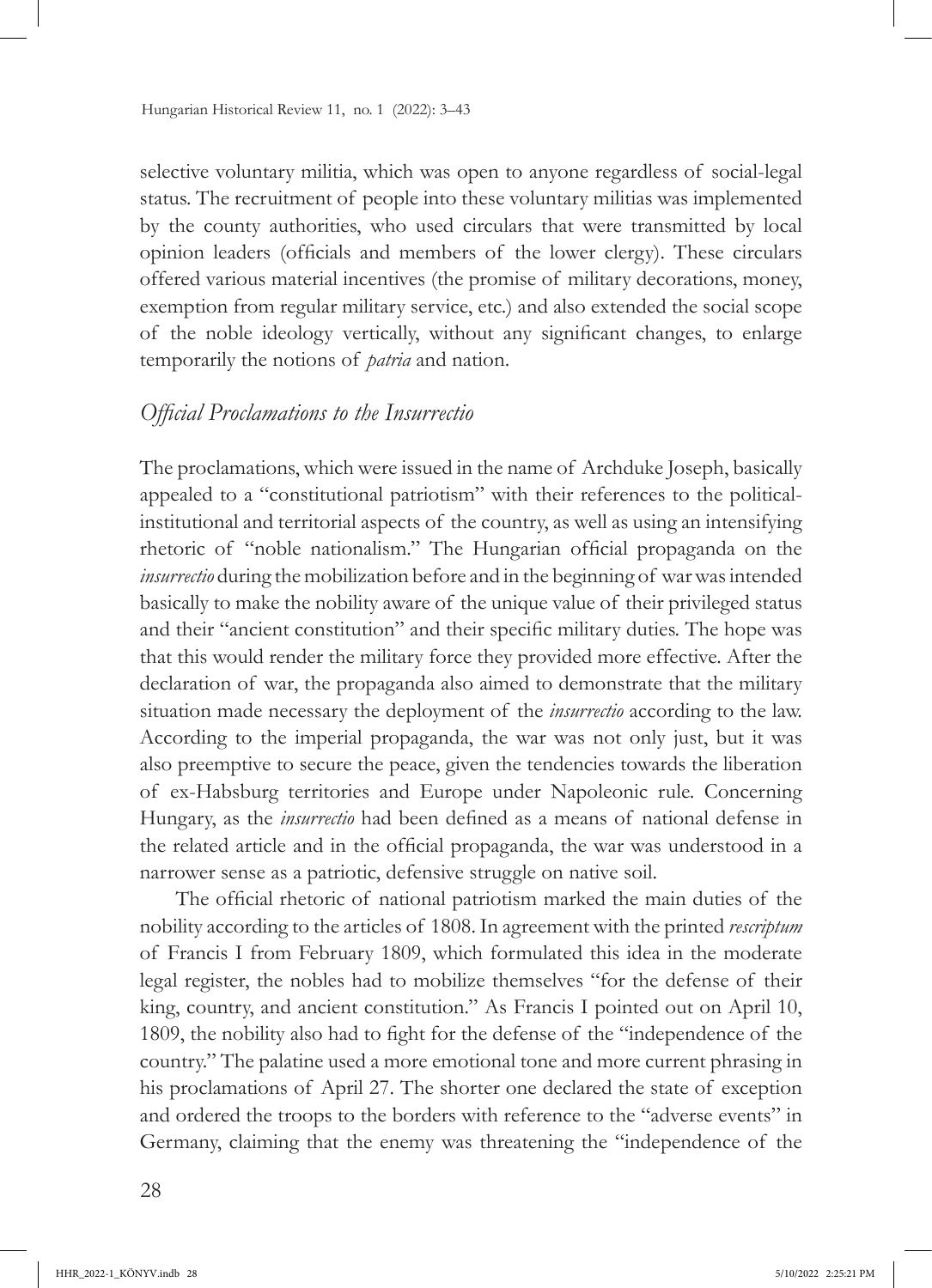selective voluntary militia, which was open to anyone regardless of social-legal status. The recruitment of people into these voluntary militias was implemented by the county authorities, who used circulars that were transmitted by local opinion leaders (officials and members of the lower clergy). These circulars offered various material incentives (the promise of military decorations, money, exemption from regular military service, etc.) and also extended the social scope of the noble ideology vertically, without any significant changes, to enlarge temporarily the notions of *patria* and nation.

### *Official Proclamations to the Insurrectio*

The proclamations, which were issued in the name of Archduke Joseph, basically appealed to a "constitutional patriotism" with their references to the politicalinstitutional and territorial aspects of the country, as well as using an intensifying rhetoric of "noble nationalism." The Hungarian official propaganda on the *insurrectio* during the mobilization before and in the beginning of war was intended basically to make the nobility aware of the unique value of their privileged status and their "ancient constitution" and their specific military duties. The hope was that this would render the military force they provided more effective. After the declaration of war, the propaganda also aimed to demonstrate that the military situation made necessary the deployment of the *insurrectio* according to the law. According to the imperial propaganda, the war was not only just, but it was also preemptive to secure the peace, given the tendencies towards the liberation of ex-Habsburg territories and Europe under Napoleonic rule. Concerning Hungary, as the *insurrectio* had been defined as a means of national defense in the related article and in the official propaganda, the war was understood in a narrower sense as a patriotic, defensive struggle on native soil.

The official rhetoric of national patriotism marked the main duties of the nobility according to the articles of 1808. In agreement with the printed *rescriptum*  of Francis I from February 1809, which formulated this idea in the moderate legal register, the nobles had to mobilize themselves "for the defense of their king, country, and ancient constitution." As Francis I pointed out on April 10, 1809, the nobility also had to fight for the defense of the "independence of the country." The palatine used a more emotional tone and more current phrasing in his proclamations of April 27. The shorter one declared the state of exception and ordered the troops to the borders with reference to the "adverse events" in Germany, claiming that the enemy was threatening the "independence of the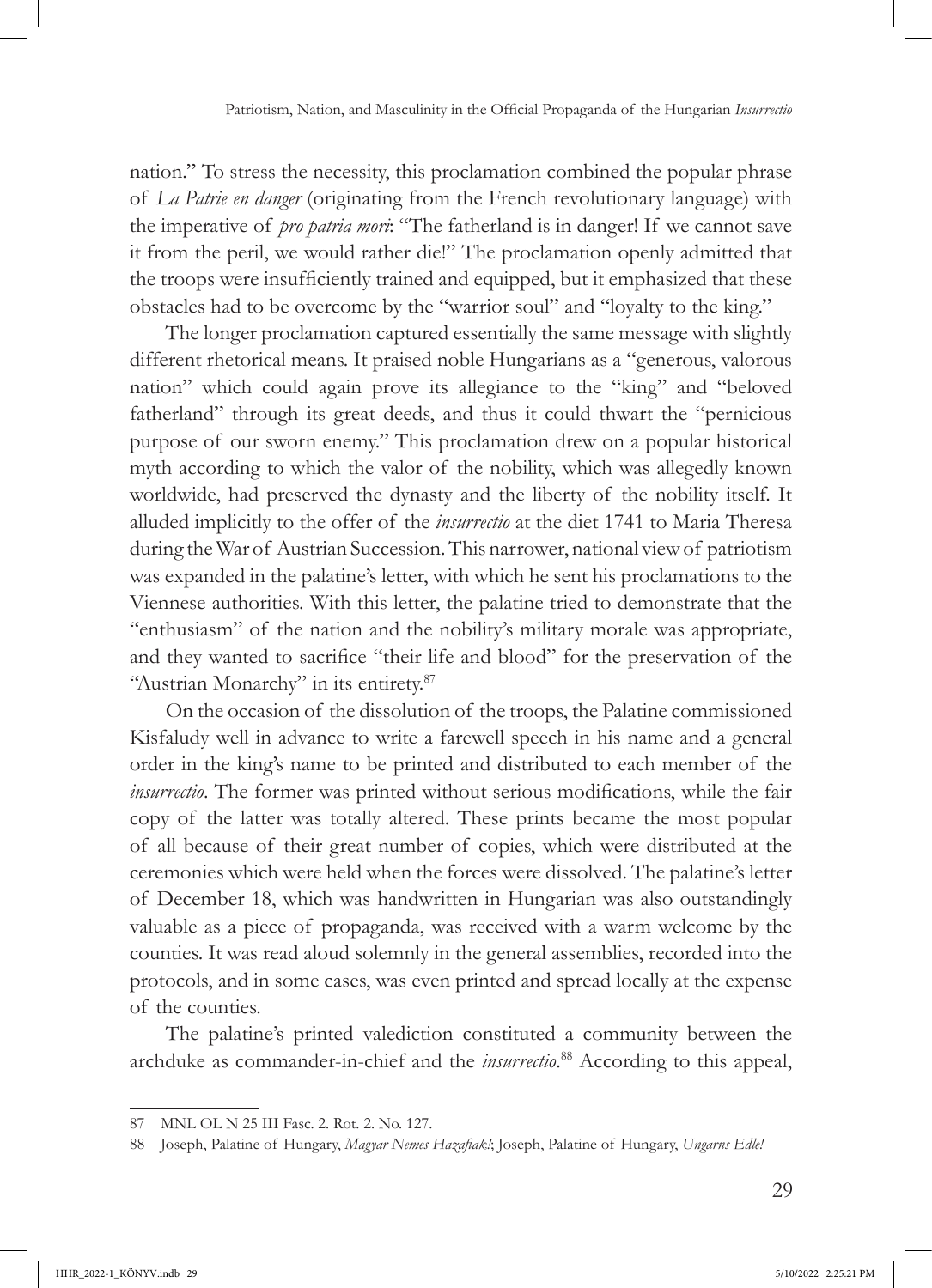nation." To stress the necessity, this proclamation combined the popular phrase of *La Patrie en danger* (originating from the French revolutionary language) with the imperative of *pro patria mori*: "The fatherland is in danger! If we cannot save it from the peril, we would rather die!" The proclamation openly admitted that the troops were insufficiently trained and equipped, but it emphasized that these obstacles had to be overcome by the "warrior soul" and "loyalty to the king."

The longer proclamation captured essentially the same message with slightly different rhetorical means. It praised noble Hungarians as a "generous, valorous nation" which could again prove its allegiance to the "king" and "beloved fatherland" through its great deeds, and thus it could thwart the "pernicious purpose of our sworn enemy." This proclamation drew on a popular historical myth according to which the valor of the nobility, which was allegedly known worldwide, had preserved the dynasty and the liberty of the nobility itself. It alluded implicitly to the offer of the *insurrectio* at the diet 1741 to Maria Theresa during the War of Austrian Succession. This narrower, national view of patriotism was expanded in the palatine's letter, with which he sent his proclamations to the Viennese authorities. With this letter, the palatine tried to demonstrate that the "enthusiasm" of the nation and the nobility's military morale was appropriate, and they wanted to sacrifice "their life and blood" for the preservation of the "Austrian Monarchy" in its entirety.<sup>87</sup>

On the occasion of the dissolution of the troops, the Palatine commissioned Kisfaludy well in advance to write a farewell speech in his name and a general order in the king's name to be printed and distributed to each member of the *insurrectio*. The former was printed without serious modifications, while the fair copy of the latter was totally altered. These prints became the most popular of all because of their great number of copies, which were distributed at the ceremonies which were held when the forces were dissolved. The palatine's letter of December 18, which was handwritten in Hungarian was also outstandingly valuable as a piece of propaganda, was received with a warm welcome by the counties. It was read aloud solemnly in the general assemblies, recorded into the protocols, and in some cases, was even printed and spread locally at the expense of the counties.

The palatine's printed valediction constituted a community between the archduke as commander-in-chief and the *insurrectio*. <sup>88</sup> According to this appeal,

<sup>87</sup> MNL OL N 25 III Fasc. 2. Rot. 2. No. 127.

<sup>88</sup> Joseph, Palatine of Hungary, *Magyar Nemes Hazafiak!*; Joseph, Palatine of Hungary, *Ungarns Edle!*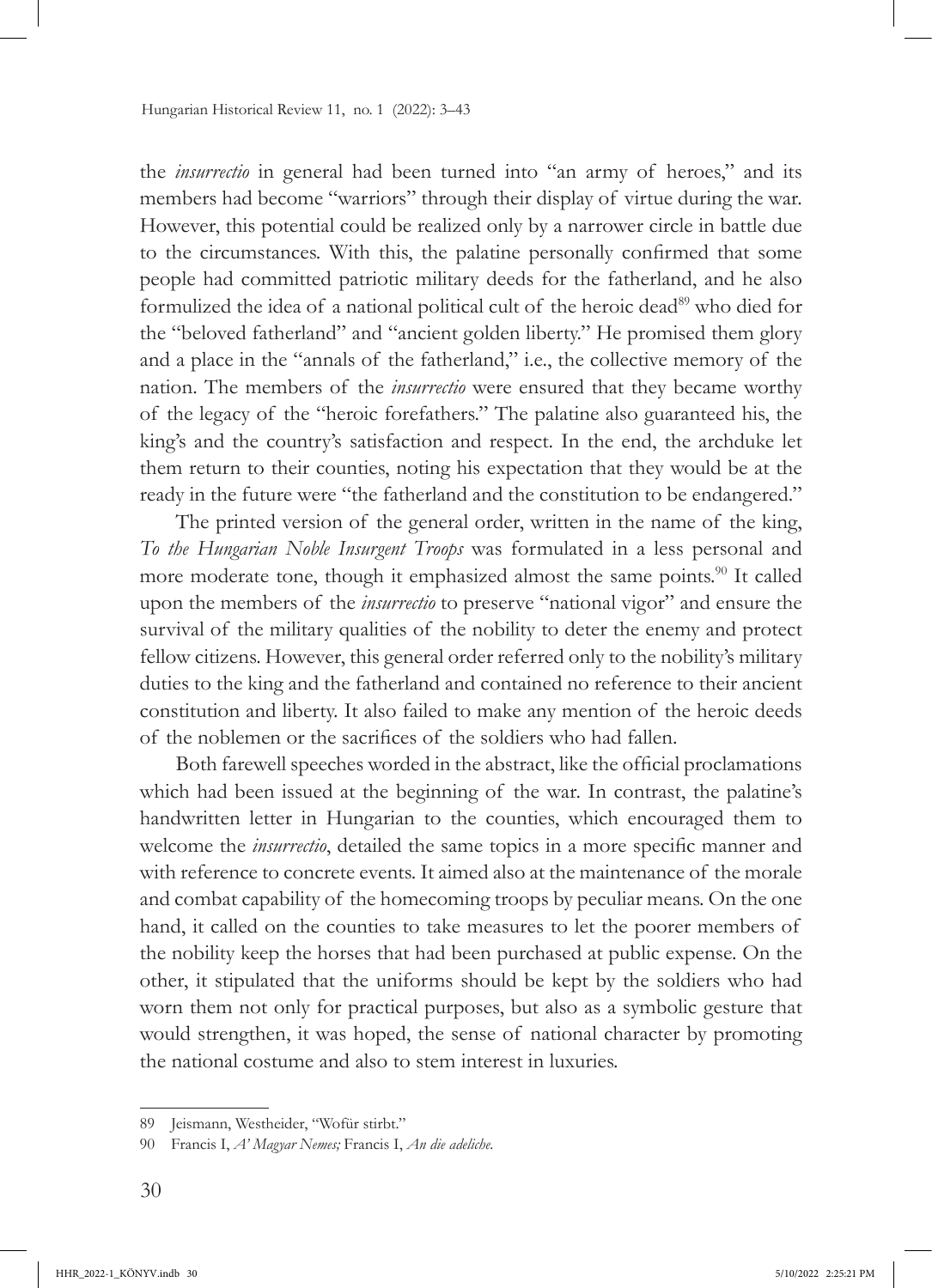the *insurrectio* in general had been turned into "an army of heroes," and its members had become "warriors" through their display of virtue during the war. However, this potential could be realized only by a narrower circle in battle due to the circumstances. With this, the palatine personally confirmed that some people had committed patriotic military deeds for the fatherland, and he also formulized the idea of a national political cult of the heroic dead<sup>89</sup> who died for the "beloved fatherland" and "ancient golden liberty." He promised them glory and a place in the "annals of the fatherland," i.e., the collective memory of the nation. The members of the *insurrectio* were ensured that they became worthy of the legacy of the "heroic forefathers." The palatine also guaranteed his, the king's and the country's satisfaction and respect. In the end, the archduke let them return to their counties, noting his expectation that they would be at the ready in the future were "the fatherland and the constitution to be endangered."

The printed version of the general order, written in the name of the king, *To the Hungarian Noble Insurgent Troops* was formulated in a less personal and more moderate tone, though it emphasized almost the same points.<sup>90</sup> It called upon the members of the *insurrectio* to preserve "national vigor" and ensure the survival of the military qualities of the nobility to deter the enemy and protect fellow citizens. However, this general order referred only to the nobility's military duties to the king and the fatherland and contained no reference to their ancient constitution and liberty. It also failed to make any mention of the heroic deeds of the noblemen or the sacrifices of the soldiers who had fallen.

Both farewell speeches worded in the abstract, like the official proclamations which had been issued at the beginning of the war. In contrast, the palatine's handwritten letter in Hungarian to the counties, which encouraged them to welcome the *insurrectio*, detailed the same topics in a more specific manner and with reference to concrete events. It aimed also at the maintenance of the morale and combat capability of the homecoming troops by peculiar means. On the one hand, it called on the counties to take measures to let the poorer members of the nobility keep the horses that had been purchased at public expense. On the other, it stipulated that the uniforms should be kept by the soldiers who had worn them not only for practical purposes, but also as a symbolic gesture that would strengthen, it was hoped, the sense of national character by promoting the national costume and also to stem interest in luxuries.

<sup>89</sup> Jeismann, Westheider, "Wofür stirbt."

<sup>90</sup> Francis I, *A' Magyar Nemes;* Francis I, *An die adeliche.*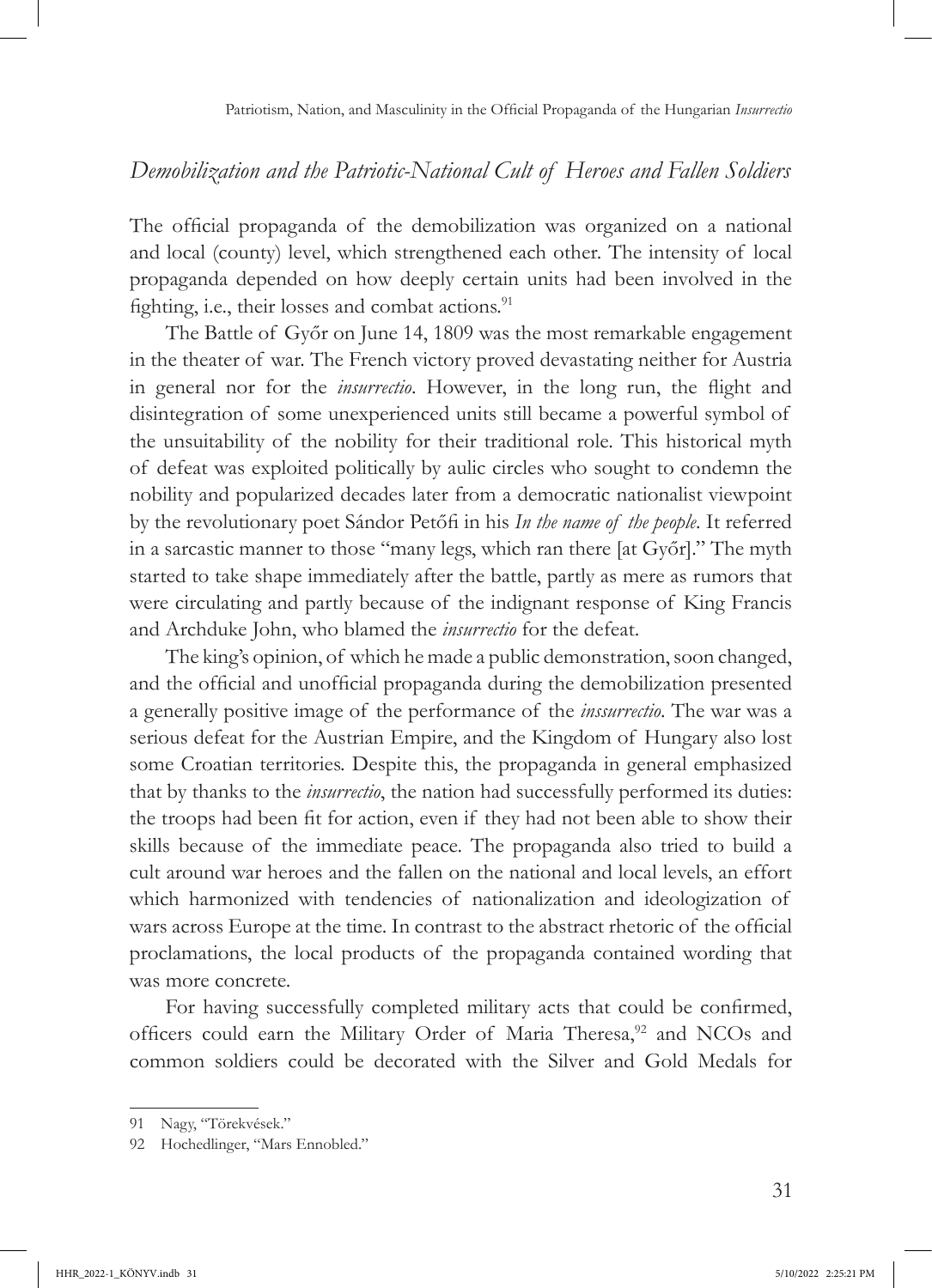### *Demobilization and the Patriotic-National Cult of Heroes and Fallen Soldiers*

The official propaganda of the demobilization was organized on a national and local (county) level, which strengthened each other. The intensity of local propaganda depended on how deeply certain units had been involved in the fighting, i.e., their losses and combat actions. $91$ 

The Battle of Győr on June 14, 1809 was the most remarkable engagement in the theater of war. The French victory proved devastating neither for Austria in general nor for the *insurrectio*. However, in the long run, the flight and disintegration of some unexperienced units still became a powerful symbol of the unsuitability of the nobility for their traditional role. This historical myth of defeat was exploited politically by aulic circles who sought to condemn the nobility and popularized decades later from a democratic nationalist viewpoint by the revolutionary poet Sándor Petőfi in his *In the name of the people*. It referred in a sarcastic manner to those "many legs, which ran there [at Győr]." The myth started to take shape immediately after the battle, partly as mere as rumors that were circulating and partly because of the indignant response of King Francis and Archduke John, who blamed the *insurrectio* for the defeat.

The king's opinion, of which he made a public demonstration, soon changed, and the official and unofficial propaganda during the demobilization presented a generally positive image of the performance of the *inssurrectio*. The war was a serious defeat for the Austrian Empire, and the Kingdom of Hungary also lost some Croatian territories. Despite this, the propaganda in general emphasized that by thanks to the *insurrectio*, the nation had successfully performed its duties: the troops had been fit for action, even if they had not been able to show their skills because of the immediate peace. The propaganda also tried to build a cult around war heroes and the fallen on the national and local levels, an effort which harmonized with tendencies of nationalization and ideologization of wars across Europe at the time. In contrast to the abstract rhetoric of the official proclamations, the local products of the propaganda contained wording that was more concrete.

For having successfully completed military acts that could be confirmed, officers could earn the Military Order of Maria Theresa,<sup>92</sup> and NCOs and common soldiers could be decorated with the Silver and Gold Medals for

<sup>91</sup> Nagy, "Törekvések."

<sup>92</sup> Hochedlinger, "Mars Ennobled."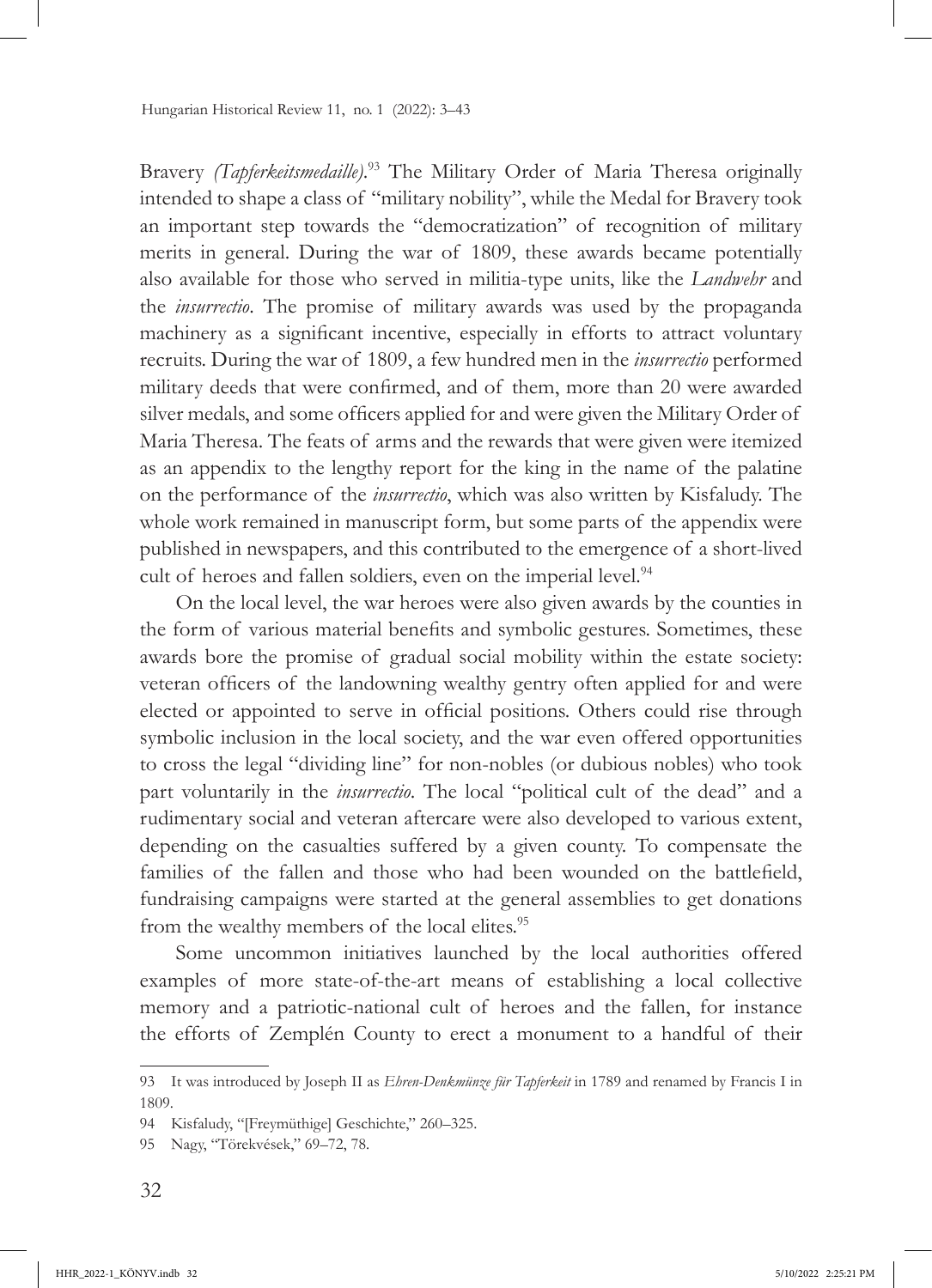Bravery *(Tapferkeitsmedaille)*. 93 The Military Order of Maria Theresa originally intended to shape a class of "military nobility", while the Medal for Bravery took an important step towards the "democratization" of recognition of military merits in general. During the war of 1809, these awards became potentially also available for those who served in militia-type units, like the *Landwehr* and the *insurrectio*. The promise of military awards was used by the propaganda machinery as a significant incentive, especially in efforts to attract voluntary recruits. During the war of 1809, a few hundred men in the *insurrectio* performed military deeds that were confirmed, and of them, more than 20 were awarded silver medals, and some officers applied for and were given the Military Order of Maria Theresa. The feats of arms and the rewards that were given were itemized as an appendix to the lengthy report for the king in the name of the palatine on the performance of the *insurrectio*, which was also written by Kisfaludy. The whole work remained in manuscript form, but some parts of the appendix were published in newspapers, and this contributed to the emergence of a short-lived cult of heroes and fallen soldiers, even on the imperial level.<sup>94</sup>

On the local level, the war heroes were also given awards by the counties in the form of various material benefits and symbolic gestures. Sometimes, these awards bore the promise of gradual social mobility within the estate society: veteran officers of the landowning wealthy gentry often applied for and were elected or appointed to serve in official positions. Others could rise through symbolic inclusion in the local society, and the war even offered opportunities to cross the legal "dividing line" for non-nobles (or dubious nobles) who took part voluntarily in the *insurrectio*. The local "political cult of the dead" and a rudimentary social and veteran aftercare were also developed to various extent, depending on the casualties suffered by a given county. To compensate the families of the fallen and those who had been wounded on the battlefield, fundraising campaigns were started at the general assemblies to get donations from the wealthy members of the local elites.<sup>95</sup>

Some uncommon initiatives launched by the local authorities offered examples of more state-of-the-art means of establishing a local collective memory and a patriotic-national cult of heroes and the fallen, for instance the efforts of Zemplén County to erect a monument to a handful of their

<sup>93</sup> It was introduced by Joseph II as *Ehren-Denkmünze für Tapferkeit* in 1789 and renamed by Francis I in 1809.

<sup>94</sup> Kisfaludy, "[Freymüthige] Geschichte," 260–325.

<sup>95</sup> Nagy, "Törekvések," 69–72, 78.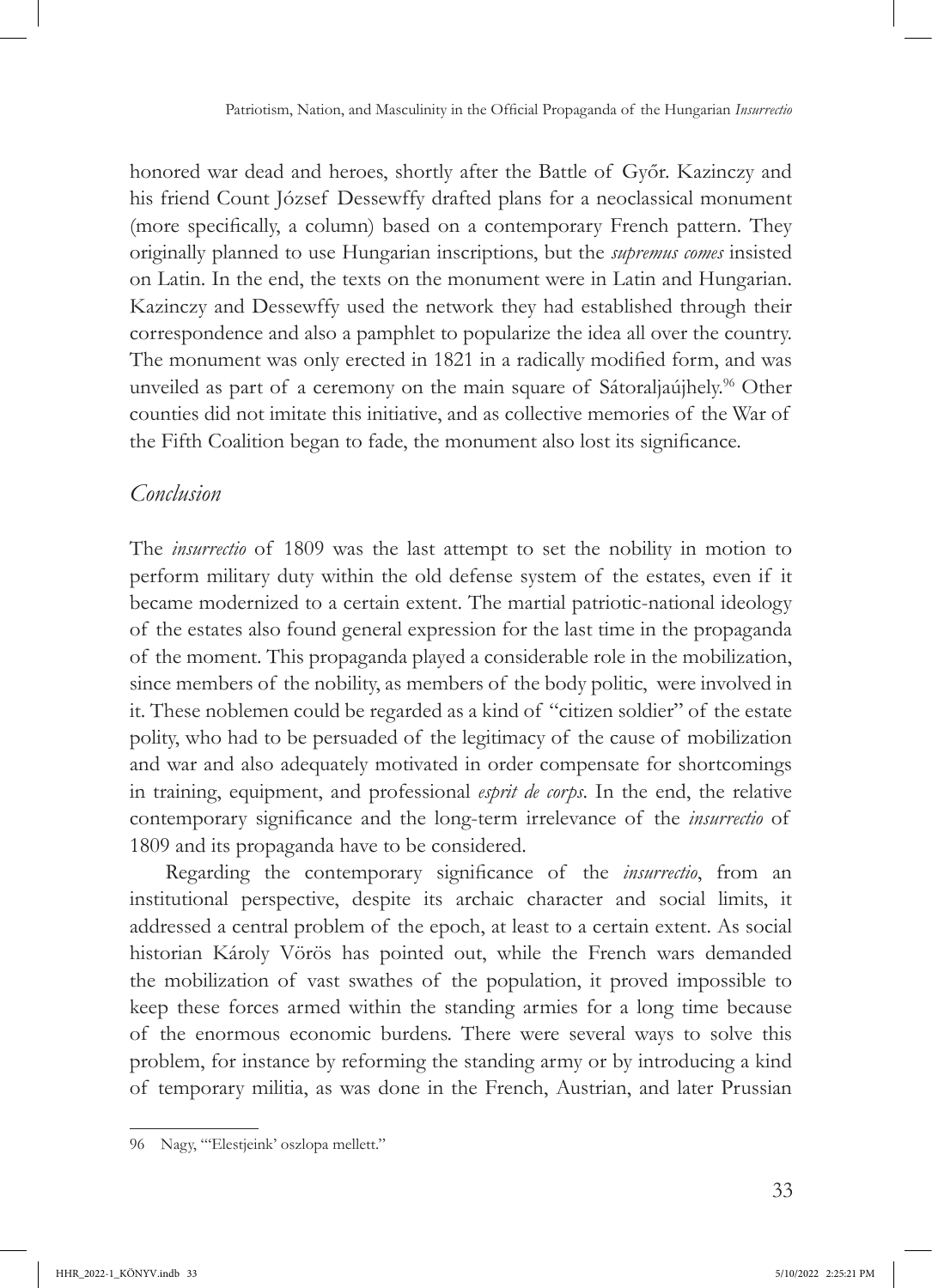honored war dead and heroes, shortly after the Battle of Győr. Kazinczy and his friend Count József Dessewffy drafted plans for a neoclassical monument (more specifically, a column) based on a contemporary French pattern. They originally planned to use Hungarian inscriptions, but the *supremus comes* insisted on Latin. In the end, the texts on the monument were in Latin and Hungarian. Kazinczy and Dessewffy used the network they had established through their correspondence and also a pamphlet to popularize the idea all over the country. The monument was only erected in 1821 in a radically modified form, and was unveiled as part of a ceremony on the main square of Sátoraljaújhely.<sup>96</sup> Other counties did not imitate this initiative, and as collective memories of the War of the Fifth Coalition began to fade, the monument also lost its significance.

# *Conclusion*

The *insurrectio* of 1809 was the last attempt to set the nobility in motion to perform military duty within the old defense system of the estates, even if it became modernized to a certain extent. The martial patriotic-national ideology of the estates also found general expression for the last time in the propaganda of the moment. This propaganda played a considerable role in the mobilization, since members of the nobility, as members of the body politic, were involved in it. These noblemen could be regarded as a kind of "citizen soldier" of the estate polity, who had to be persuaded of the legitimacy of the cause of mobilization and war and also adequately motivated in order compensate for shortcomings in training, equipment, and professional *esprit de corps*. In the end, the relative contemporary significance and the long-term irrelevance of the *insurrectio* of 1809 and its propaganda have to be considered.

Regarding the contemporary significance of the *insurrectio*, from an institutional perspective, despite its archaic character and social limits, it addressed a central problem of the epoch, at least to a certain extent. As social historian Károly Vörös has pointed out, while the French wars demanded the mobilization of vast swathes of the population, it proved impossible to keep these forces armed within the standing armies for a long time because of the enormous economic burdens. There were several ways to solve this problem, for instance by reforming the standing army or by introducing a kind of temporary militia, as was done in the French, Austrian, and later Prussian

<sup>96</sup> Nagy, "'Elestjeink' oszlopa mellett."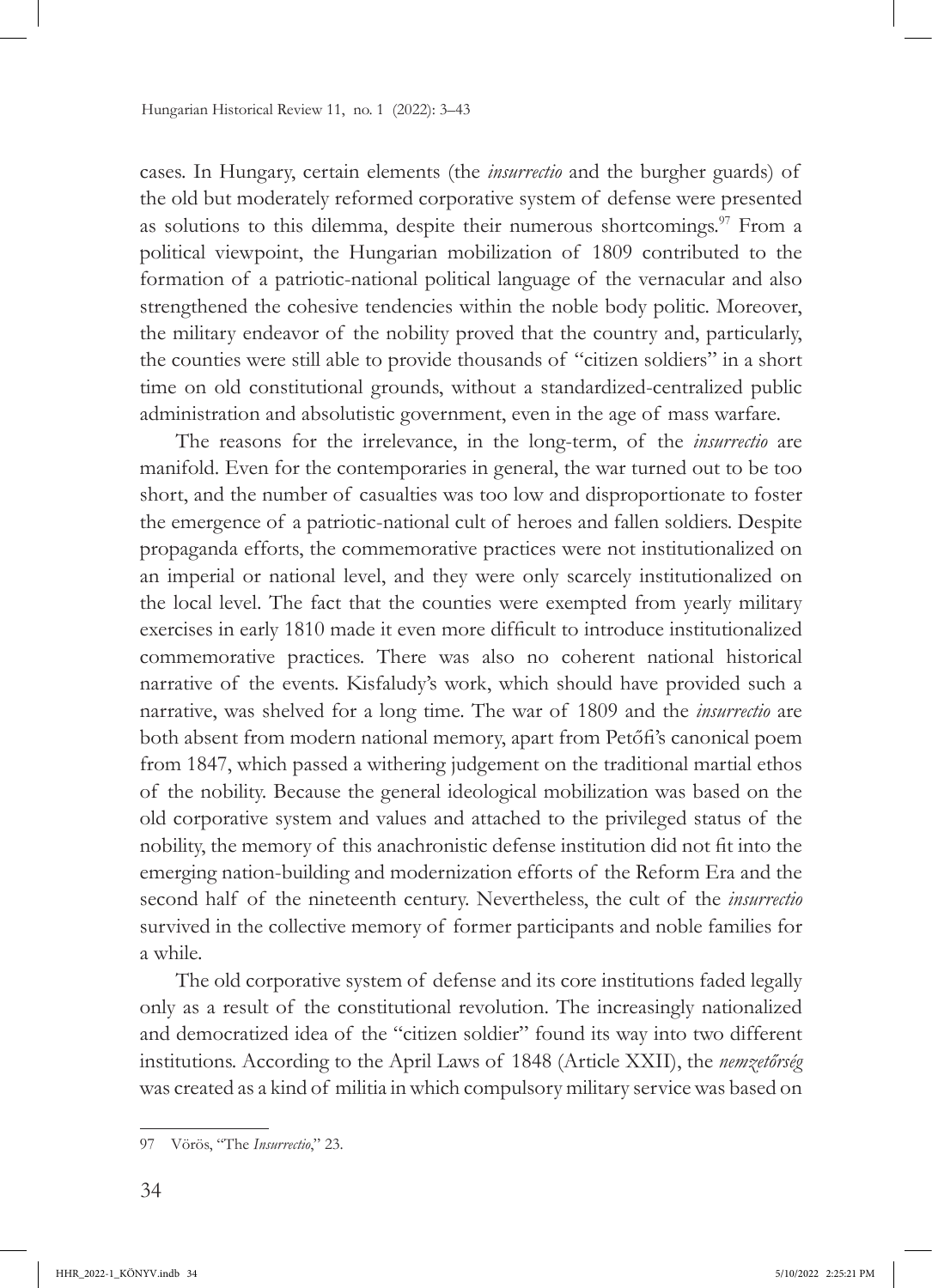cases. In Hungary, certain elements (the *insurrectio* and the burgher guards) of the old but moderately reformed corporative system of defense were presented as solutions to this dilemma, despite their numerous shortcomings.<sup>97</sup> From a political viewpoint, the Hungarian mobilization of 1809 contributed to the formation of a patriotic-national political language of the vernacular and also strengthened the cohesive tendencies within the noble body politic. Moreover, the military endeavor of the nobility proved that the country and, particularly, the counties were still able to provide thousands of "citizen soldiers" in a short time on old constitutional grounds, without a standardized-centralized public administration and absolutistic government, even in the age of mass warfare.

The reasons for the irrelevance, in the long-term, of the *insurrectio* are manifold. Even for the contemporaries in general, the war turned out to be too short, and the number of casualties was too low and disproportionate to foster the emergence of a patriotic-national cult of heroes and fallen soldiers. Despite propaganda efforts, the commemorative practices were not institutionalized on an imperial or national level, and they were only scarcely institutionalized on the local level. The fact that the counties were exempted from yearly military exercises in early 1810 made it even more difficult to introduce institutionalized commemorative practices. There was also no coherent national historical narrative of the events. Kisfaludy's work, which should have provided such a narrative, was shelved for a long time. The war of 1809 and the *insurrectio* are both absent from modern national memory, apart from Petőfi's canonical poem from 1847, which passed a withering judgement on the traditional martial ethos of the nobility. Because the general ideological mobilization was based on the old corporative system and values and attached to the privileged status of the nobility, the memory of this anachronistic defense institution did not fit into the emerging nation-building and modernization efforts of the Reform Era and the second half of the nineteenth century. Nevertheless, the cult of the *insurrectio*  survived in the collective memory of former participants and noble families for a while.

The old corporative system of defense and its core institutions faded legally only as a result of the constitutional revolution. The increasingly nationalized and democratized idea of the "citizen soldier" found its way into two different institutions. According to the April Laws of 1848 (Article XXII), the *nemzetőrség* was created as a kind of militia in which compulsory military service was based on

<sup>97</sup> Vörös, "The *Insurrectio*," 23.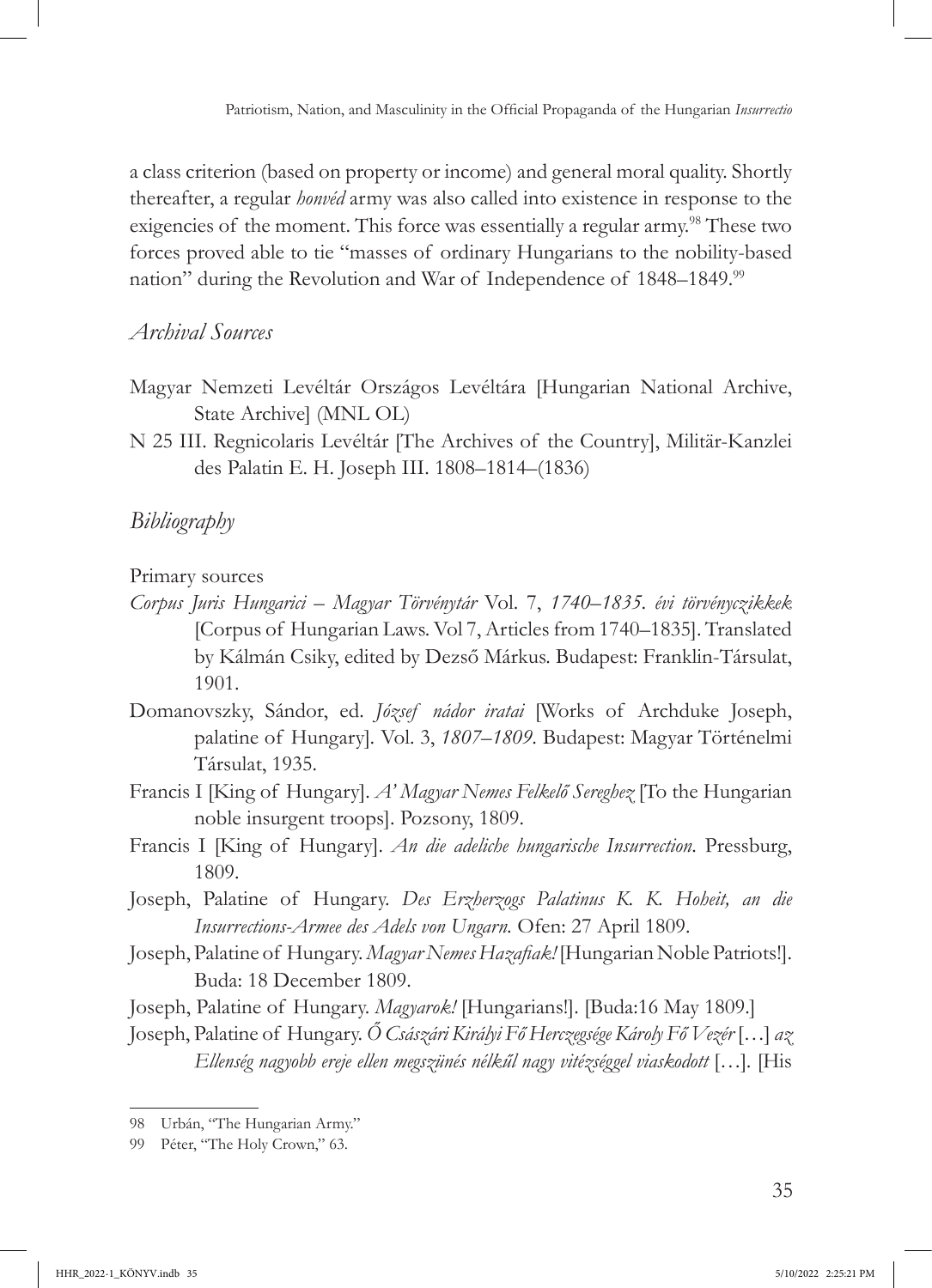a class criterion (based on property or income) and general moral quality. Shortly thereafter, a regular *honvéd* army was also called into existence in response to the exigencies of the moment. This force was essentially a regular army.<sup>98</sup> These two forces proved able to tie "masses of ordinary Hungarians to the nobility-based nation" during the Revolution and War of Independence of 1848–1849.<sup>99</sup>

# *Archival Sources*

- Magyar Nemzeti Levéltár Országos Levéltára [Hungarian National Archive, State Archive] (MNL OL)
- N 25 III. Regnicolaris Levéltár [The Archives of the Country], Militär-Kanzlei des Palatin E. H. Joseph III. 1808–1814–(1836)

# *Bibliography*

Primary sources

- *Corpus Juris Hungarici Magyar Törvénytár* Vol. 7, *1740–1835. évi törvényczikkek*  [Corpus of Hungarian Laws. Vol 7, Articles from 1740–1835]. Translated by Kálmán Csiky, edited by Dezső Márkus. Budapest: Franklin-Társulat, 1901.
- Domanovszky, Sándor, ed. *József nádor iratai* [Works of Archduke Joseph, palatine of Hungary]*.* Vol. 3, *1807–1809.* Budapest: Magyar Történelmi Társulat, 1935.
- Francis I [King of Hungary]. *A' Magyar Nemes Felkelő Sereghez* [To the Hungarian noble insurgent troops]. Pozsony, 1809.
- Francis I [King of Hungary]. *An die adeliche hungarische Insurrection*. Pressburg, 1809.
- Joseph, Palatine of Hungary. *Des Erzherzogs Palatinus K. K. Hoheit, an die Insurrections-Armee des Adels von Ungarn.* Ofen: 27 April 1809.
- Joseph, Palatine of Hungary. *Magyar Nemes Hazafiak!* [Hungarian Noble Patriots!]. Buda: 18 December 1809.
- Joseph, Palatine of Hungary. *Magyarok!* [Hungarians!]. [Buda:16 May 1809.]

Joseph, Palatine of Hungary. *Ő Császári Királyi Fő Herczegsége Károly Fő Vezér* […] *az Ellenség nagyobb ereje ellen megszünés nélkűl nagy vitézséggel viaskodott* […]*.* [His

<sup>98</sup> Urbán, "The Hungarian Army."

<sup>99</sup> Péter, "The Holy Crown," 63.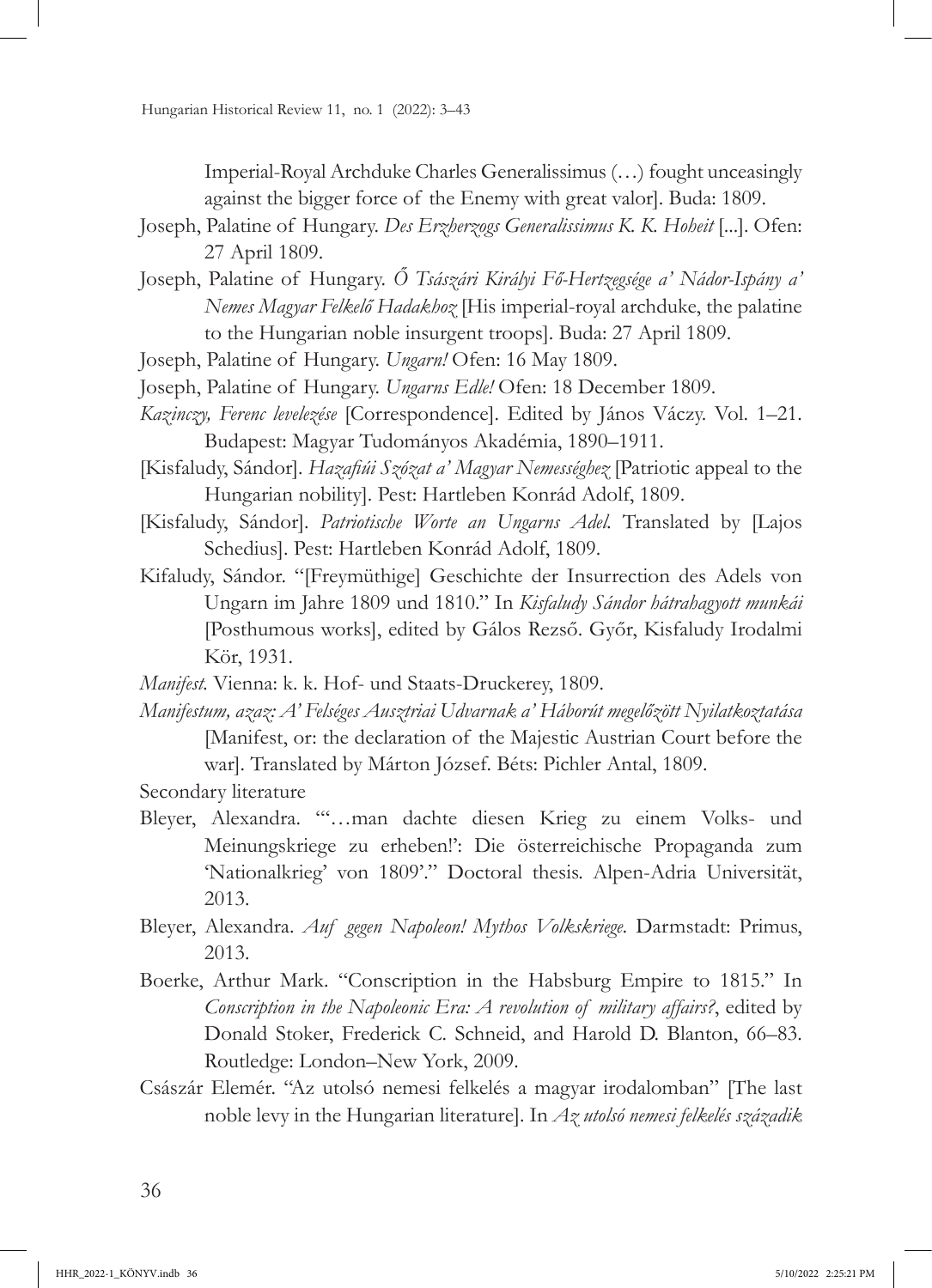Imperial-Royal Archduke Charles Generalissimus (…) fought unceasingly against the bigger force of the Enemy with great valor]. Buda: 1809.

- Joseph, Palatine of Hungary. *Des Erzherzogs Generalissimus K. K. Hoheit* [...]. Ofen: 27 April 1809.
- Joseph, Palatine of Hungary. *Ő Tsászári Királyi Fő-Hertzegsége a' Nádor-Ispány a' Nemes Magyar Felkelő Hadakhoz* [His imperial-royal archduke, the palatine to the Hungarian noble insurgent troops]. Buda: 27 April 1809.
- Joseph, Palatine of Hungary. *Ungarn!* Ofen: 16 May 1809.
- Joseph, Palatine of Hungary. *Ungarns Edle!* Ofen: 18 December 1809.
- *Kazinczy, Ferenc levelezése* [Correspondence]. Edited by János Váczy. Vol. 1–21. Budapest: Magyar Tudományos Akadémia, 1890–1911.
- [Kisfaludy, Sándor]. *Hazafiúi Szózat a' Magyar Nemességhez* [Patriotic appeal to the Hungarian nobility]. Pest: Hartleben Konrád Adolf, 1809.
- [Kisfaludy, Sándor]. *Patriotische Worte an Ungarns Adel.* Translated by [Lajos Schedius]. Pest: Hartleben Konrád Adolf, 1809.
- Kifaludy, Sándor. "[Freymüthige] Geschichte der Insurrection des Adels von Ungarn im Jahre 1809 und 1810." In *Kisfaludy Sándor hátrahagyott munkái*  [Posthumous works], edited by Gálos Rezső. Győr, Kisfaludy Irodalmi Kör, 1931.

*Manifest.* Vienna: k. k. Hof- und Staats-Druckerey, 1809.

*Manifestum, azaz: A' Felséges Ausztriai Udvarnak a' Háborút megelőzött Nyilatkoztatása*  [Manifest, or: the declaration of the Majestic Austrian Court before the war]. Translated by Márton József. Béts: Pichler Antal, 1809.

Secondary literature

- Bleyer, Alexandra. "'…man dachte diesen Krieg zu einem Volks- und Meinungskriege zu erheben!': Die österreichische Propaganda zum 'Nationalkrieg' von 1809'." Doctoral thesis. Alpen-Adria Universität, 2013.
- Bleyer, Alexandra. *Auf gegen Napoleon! Mythos Volkskriege.* Darmstadt: Primus, 2013.
- Boerke, Arthur Mark. "Conscription in the Habsburg Empire to 1815." In *Conscription in the Napoleonic Era: A revolution of military affairs?*, edited by Donald Stoker, Frederick C. Schneid, and Harold D. Blanton, 66–83. Routledge: London–New York, 2009.
- Császár Elemér. "Az utolsó nemesi felkelés a magyar irodalomban" [The last noble levy in the Hungarian literature]. In *Az utolsó nemesi felkelés századik*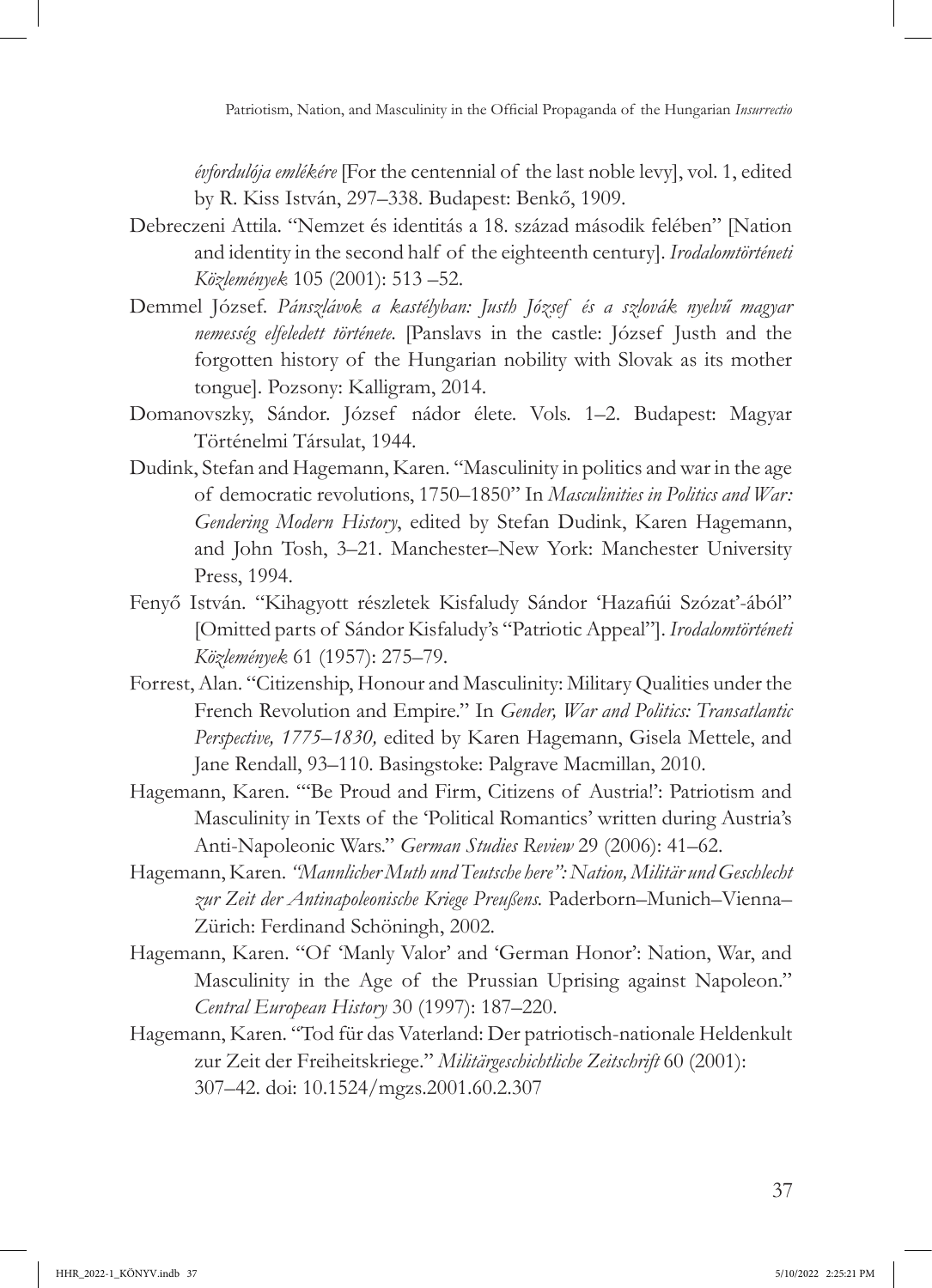*évfordulója emlékére* [For the centennial of the last noble levy], vol. 1, edited by R. Kiss István, 297–338. Budapest: Benkő, 1909.

- Debreczeni Attila. "Nemzet és identitás a 18. század második felében" [Nation and identity in the second half of the eighteenth century]. *Irodalomtörténeti Közlemények* 105 (2001): 513 –52.
- Demmel József. *Pánszlávok a kastélyban: Justh József és a szlovák nyelvű magyar nemesség elfeledett története.* [Panslavs in the castle: József Justh and the forgotten history of the Hungarian nobility with Slovak as its mother tongue]. Pozsony: Kalligram, 2014.
- Domanovszky, Sándor. József nádor élete. Vols. 1–2. Budapest: Magyar Történelmi Társulat, 1944.
- Dudink, Stefan and Hagemann, Karen. "Masculinity in politics and war in the age of democratic revolutions, 1750–1850" In *Masculinities in Politics and War: Gendering Modern History*, edited by Stefan Dudink, Karen Hagemann, and John Tosh, 3–21. Manchester–New York: Manchester University Press, 1994.
- Fenyő István. "Kihagyott részletek Kisfaludy Sándor 'Hazafiúi Szózat'-ából" [Omitted parts of Sándor Kisfaludy's "Patriotic Appeal"]. *Irodalomtörténeti Közlemények* 61 (1957): 275–79.
- Forrest, Alan. "Citizenship, Honour and Masculinity: Military Qualities under the French Revolution and Empire." In *Gender, War and Politics: Transatlantic Perspective, 1775–1830,* edited by Karen Hagemann, Gisela Mettele, and Jane Rendall, 93–110. Basingstoke: Palgrave Macmillan, 2010.
- Hagemann, Karen. "'Be Proud and Firm, Citizens of Austria!': Patriotism and Masculinity in Texts of the 'Political Romantics' written during Austria's Anti-Napoleonic Wars." *German Studies Review* 29 (2006): 41–62.
- Hagemann, Karen. *"Mannlicher Muth und Teutsche here": Nation, Militär und Geschlecht zur Zeit der Antinapoleonische Kriege Preußens.* Paderborn–Munich–Vienna– Zürich: Ferdinand Schöningh, 2002.
- Hagemann, Karen. "Of 'Manly Valor' and 'German Honor': Nation, War, and Masculinity in the Age of the Prussian Uprising against Napoleon." *Central European History* 30 (1997): 187–220.
- Hagemann, Karen. "Tod für das Vaterland: Der patriotisch-nationale Heldenkult zur Zeit der Freiheitskriege." *Militärgeschichtliche Zeitschrift* 60 (2001): 307–42. doi: [10.1524/mgzs.2001.60.2.307](https://doi.org/10.1524/mgzs.2001.60.2.307)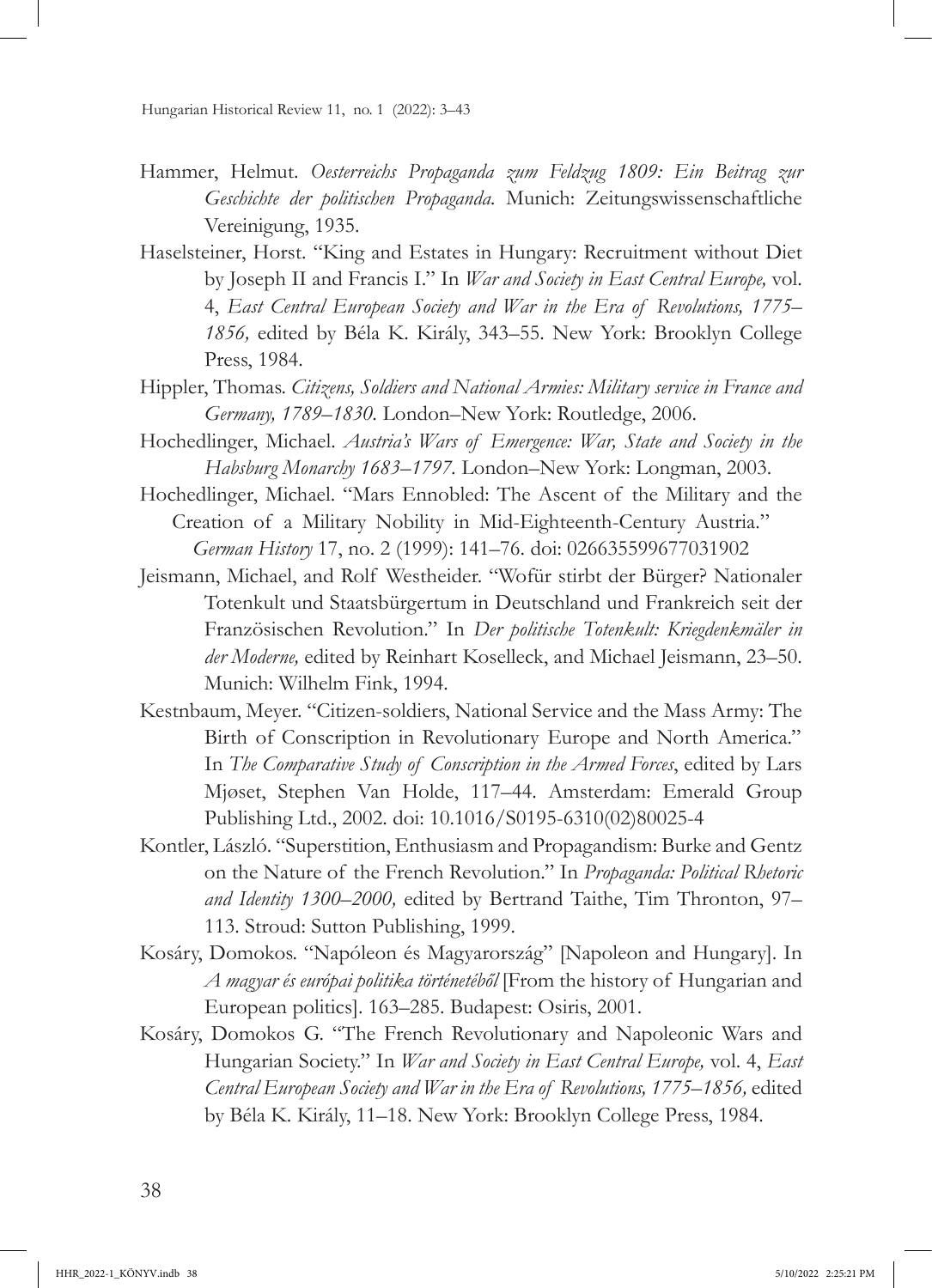- Hammer, Helmut. *Oesterreichs Propaganda zum Feldzug 1809: Ein Beitrag zur Geschichte der politischen Propaganda.* Munich: Zeitungswissenschaftliche Vereinigung, 1935.
- Haselsteiner, Horst. "King and Estates in Hungary: Recruitment without Diet by Joseph II and Francis I." In *War and Society in East Central Europe,* vol. 4, *East Central European Society and War in the Era of Revolutions, 1775– 1856,* edited by Béla K. Király, 343–55. New York: Brooklyn College Press, 1984.
- Hippler, Thomas. *Citizens, Soldiers and National Armies: Military service in France and Germany, 1789–1830.* London–New York: Routledge, 2006.
- Hochedlinger, Michael. *Austria's Wars of Emergence: War, State and Society in the Habsburg Monarchy 1683–1797.* London–New York: Longman, 2003.
- Hochedlinger, Michael. "Mars Ennobled: The Ascent of the Military and the Creation of a Military Nobility in Mid-Eighteenth-Century Austria." *German History* 17, no. 2 (1999): 141–76. doi: [026635599677031902](https://doi.org/10.1191/026635599677031902)
- Jeismann, Michael, and Rolf Westheider. "Wofür stirbt der Bürger? Nationaler Totenkult und Staatsbürgertum in Deutschland und Frankreich seit der Französischen Revolution." In *Der politische Totenkult: Kriegdenkmäler in der Moderne,* edited by Reinhart Koselleck, and Michael Jeismann, 23–50. Munich: Wilhelm Fink, 1994.
- Kestnbaum, Meyer. "Citizen-soldiers, National Service and the Mass Army: The Birth of Conscription in Revolutionary Europe and North America." In *The Comparative Study of Conscription in the Armed Forces*, edited by Lars Mjøset, Stephen Van Holde, 117–44. Amsterdam: Emerald Group Publishing Ltd., 2002. doi: [10.1016/S0195-6310\(02\)80025-4](https://doi.org/10.1016/S0195-6310(02)80025-4)
- Kontler, László. "Superstition, Enthusiasm and Propagandism: Burke and Gentz on the Nature of the French Revolution." In *Propaganda: Political Rhetoric and Identity 1300–2000,* edited by Bertrand Taithe, Tim Thronton, 97– 113. Stroud: Sutton Publishing, 1999.
- Kosáry, Domokos. "Napóleon és Magyarország" [Napoleon and Hungary]. In *A magyar és európai politika történetéből* [From the history of Hungarian and European politics]. 163–285. Budapest: Osiris, 2001.
- Kosáry, Domokos G. "The French Revolutionary and Napoleonic Wars and Hungarian Society." In *War and Society in East Central Europe,* vol. 4, *East Central European Society and War in the Era of Revolutions, 1775–1856,* edited by Béla K. Király, 11–18. New York: Brooklyn College Press, 1984.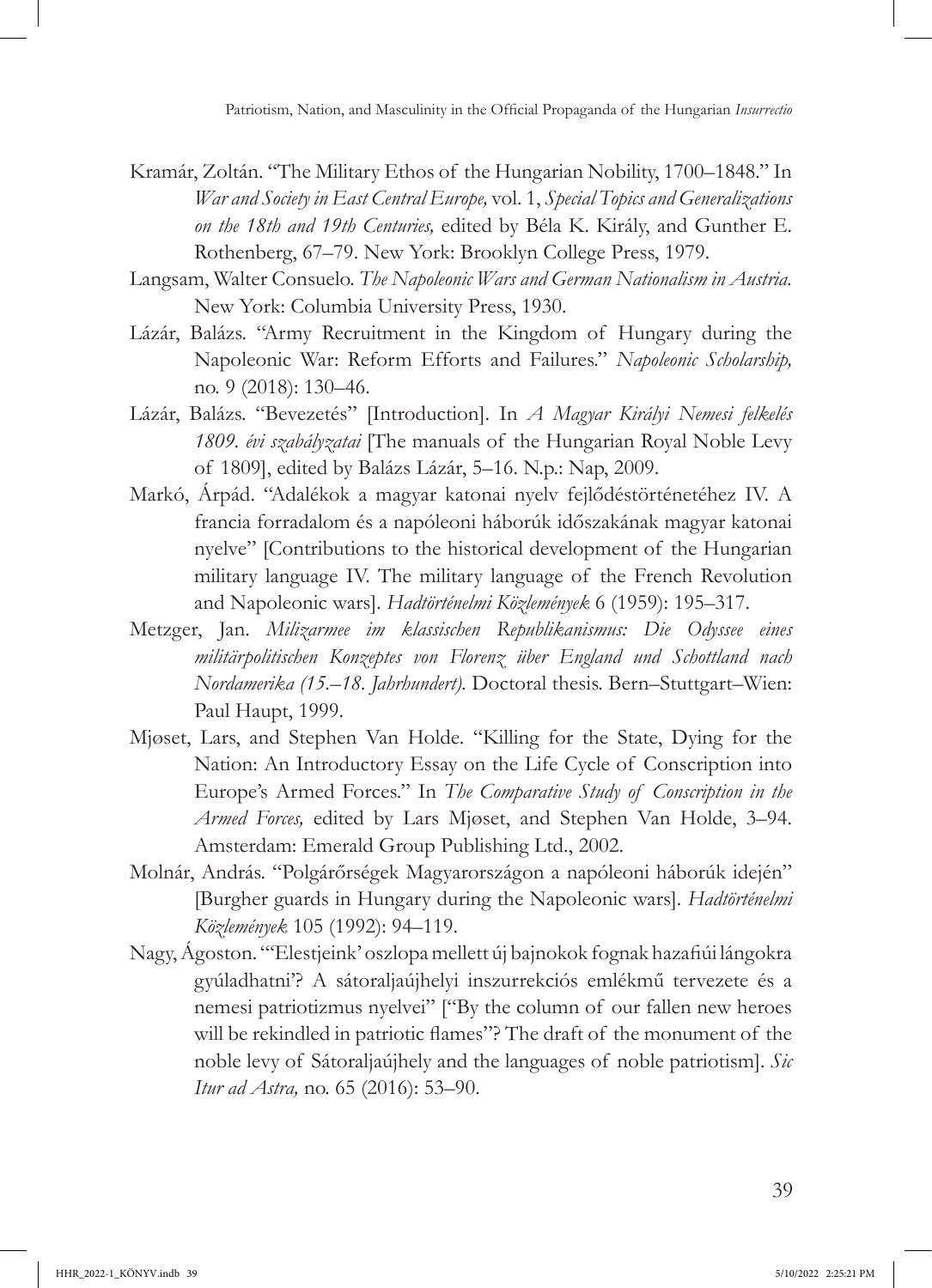- Kramár, Zoltán. "The Military Ethos of the Hungarian Nobility, 1700–1848." In *War and Society in East Central Europe,* vol. 1, *Special Topics and Generalizations on the 18th and 19th Centuries,* edited by Béla K. Király, and Gunther E. Rothenberg, 67–79. New York: Brooklyn College Press, 1979.
- Langsam, Walter Consuelo. *The Napoleonic Wars and German Nationalism in Austria.* New York: Columbia University Press, 1930.
- Lázár, Balázs. "Army Recruitment in the Kingdom of Hungary during the Napoleonic War: Reform Efforts and Failures." *Napoleonic Scholarship,*  no. 9 (2018): 130–46.
- Lázár, Balázs. "Bevezetés" [Introduction]. In *A Magyar Királyi Nemesi felkelés 1809. évi szabályzatai* [The manuals of the Hungarian Royal Noble Levy of 1809], edited by Balázs Lázár, 5–16. N.p.: Nap, 2009.
- Markó, Árpád. "Adalékok a magyar katonai nyelv fejlődéstörténetéhez IV. A francia forradalom és a napóleoni háborúk időszakának magyar katonai nyelve" [Contributions to the historical development of the Hungarian military language IV. The military language of the French Revolution and Napoleonic wars]. *Hadtörténelmi Közlemények* 6 (1959): 195–317.
- Metzger, Jan. *Milizarmee im klassischen Republikanismus: Die Odyssee eines militärpolitischen Konzeptes von Florenz über England und Schottland nach Nordamerika (15.–18. Jahrhundert).* Doctoral thesis. Bern–Stuttgart–Wien: Paul Haupt, 1999.
- Mjøset, Lars, and Stephen Van Holde. "Killing for the State, Dying for the Nation: An Introductory Essay on the Life Cycle of Conscription into Europe's Armed Forces." In *The Comparative Study of Conscription in the Armed Forces,* edited by Lars Mjøset, and Stephen Van Holde, 3–94. Amsterdam: Emerald Group Publishing Ltd., 2002.
- Molnár, András. "Polgárőrségek Magyarországon a napóleoni háborúk idején" [Burgher guards in Hungary during the Napoleonic wars]. *Hadtörténelmi Közlemények* 105 (1992): 94–119.
- Nagy, Ágoston. "'Elestjeink' oszlopa mellett új bajnokok fognak hazafiúi lángokra gyúladhatni'? A sátoraljaújhelyi inszurrekciós emlékmű tervezete és a nemesi patriotizmus nyelvei" ["By the column of our fallen new heroes will be rekindled in patriotic flames"? The draft of the monument of the noble levy of Sátoraljaújhely and the languages of noble patriotism]. *Sic Itur ad Astra,* no. 65 (2016): 53–90.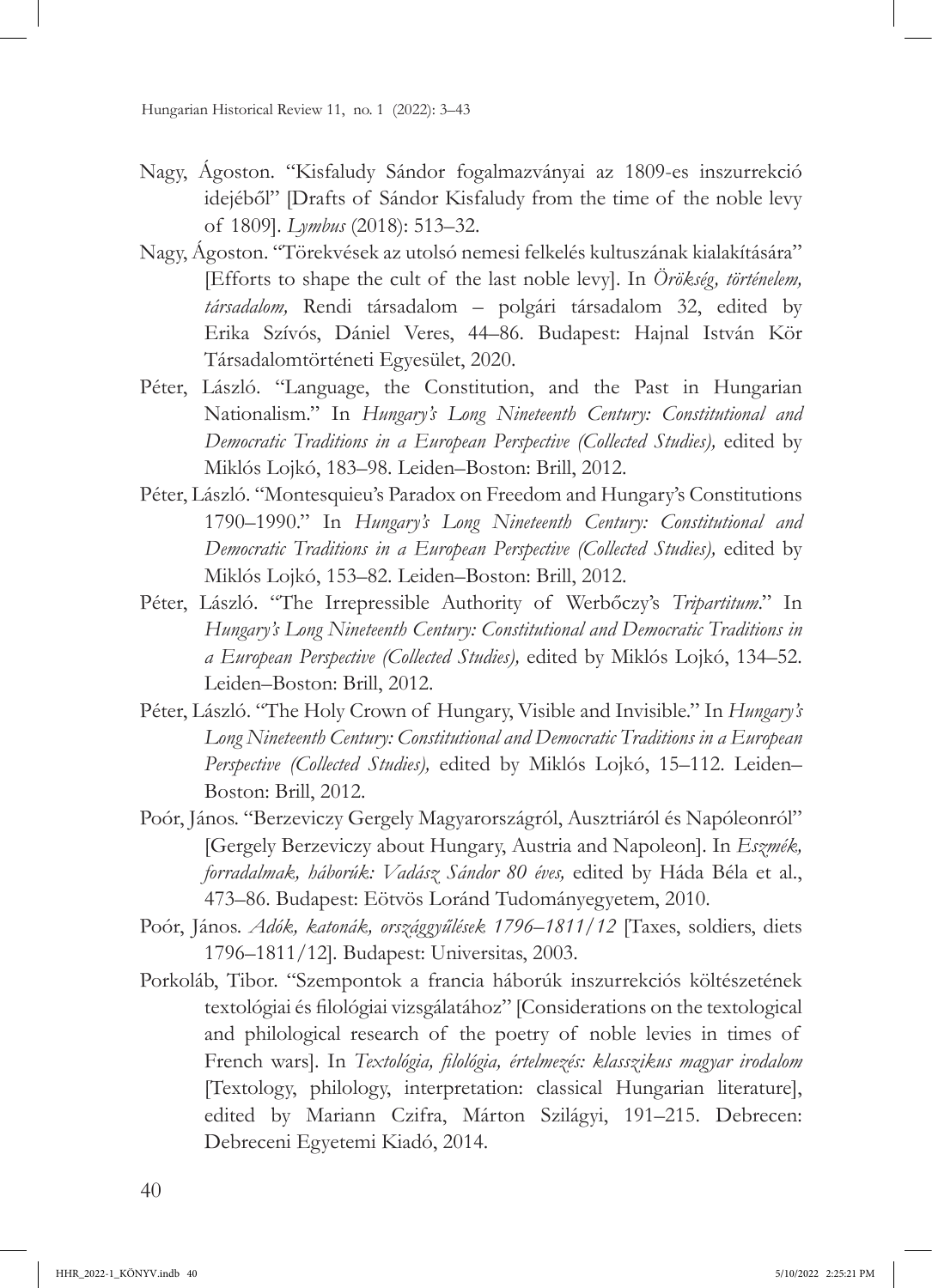- Nagy, Ágoston. "Kisfaludy Sándor fogalmazványai az 1809-es inszurrekció idejéből" [Drafts of Sándor Kisfaludy from the time of the noble levy of 1809]. *Lymbus* (2018): 513–32.
- Nagy, Ágoston. "Törekvések az utolsó nemesi felkelés kultuszának kialakítására" [Efforts to shape the cult of the last noble levy]. In *Örökség, történelem, társadalom,* Rendi társadalom – polgári társadalom 32, edited by Erika Szívós, Dániel Veres, 44–86. Budapest: Hajnal István Kör Társadalomtörténeti Egyesület, 2020.
- Péter, László. "Language, the Constitution, and the Past in Hungarian Nationalism." In *Hungary's Long Nineteenth Century: Constitutional and Democratic Traditions in a European Perspective (Collected Studies),* edited by Miklós Lojkó, 183–98. Leiden–Boston: Brill, 2012.
- Péter, László. "Montesquieu's Paradox on Freedom and Hungary's Constitutions 1790–1990." In *Hungary's Long Nineteenth Century: Constitutional and Democratic Traditions in a European Perspective (Collected Studies),* edited by Miklós Lojkó, 153–82. Leiden–Boston: Brill, 2012.
- Péter, László. "The Irrepressible Authority of Werbőczy's *Tripartitum*." In *Hungary's Long Nineteenth Century: Constitutional and Democratic Traditions in a European Perspective (Collected Studies),* edited by Miklós Lojkó, 134–52. Leiden–Boston: Brill, 2012.
- Péter, László. "The Holy Crown of Hungary, Visible and Invisible." In *Hungary's Long Nineteenth Century: Constitutional and Democratic Traditions in a European Perspective (Collected Studies),* edited by Miklós Lojkó, 15–112. Leiden– Boston: Brill, 2012.
- Poór, János. "Berzeviczy Gergely Magyarországról, Ausztriáról és Napóleonról" [Gergely Berzeviczy about Hungary, Austria and Napoleon]. In *Eszmék, forradalmak, háborúk: Vadász Sándor 80 éves,* edited by Háda Béla et al., 473–86. Budapest: Eötvös Loránd Tudományegyetem, 2010.
- Poór, János. *Adók, katonák, országgyűlések 1796–1811/12* [Taxes, soldiers, diets 1796–1811/12]*.* Budapest: Universitas, 2003.
- Porkoláb, Tibor. "Szempontok a francia háborúk inszurrekciós költészetének textológiai és filológiai vizsgálatához" [Considerations on the textological and philological research of the poetry of noble levies in times of French wars]*.* In *Textológia, filológia, értelmezés: klasszikus magyar irodalom*  [Textology, philology, interpretation: classical Hungarian literature], edited by Mariann Czifra, Márton Szilágyi, 191–215. Debrecen: Debreceni Egyetemi Kiadó, 2014.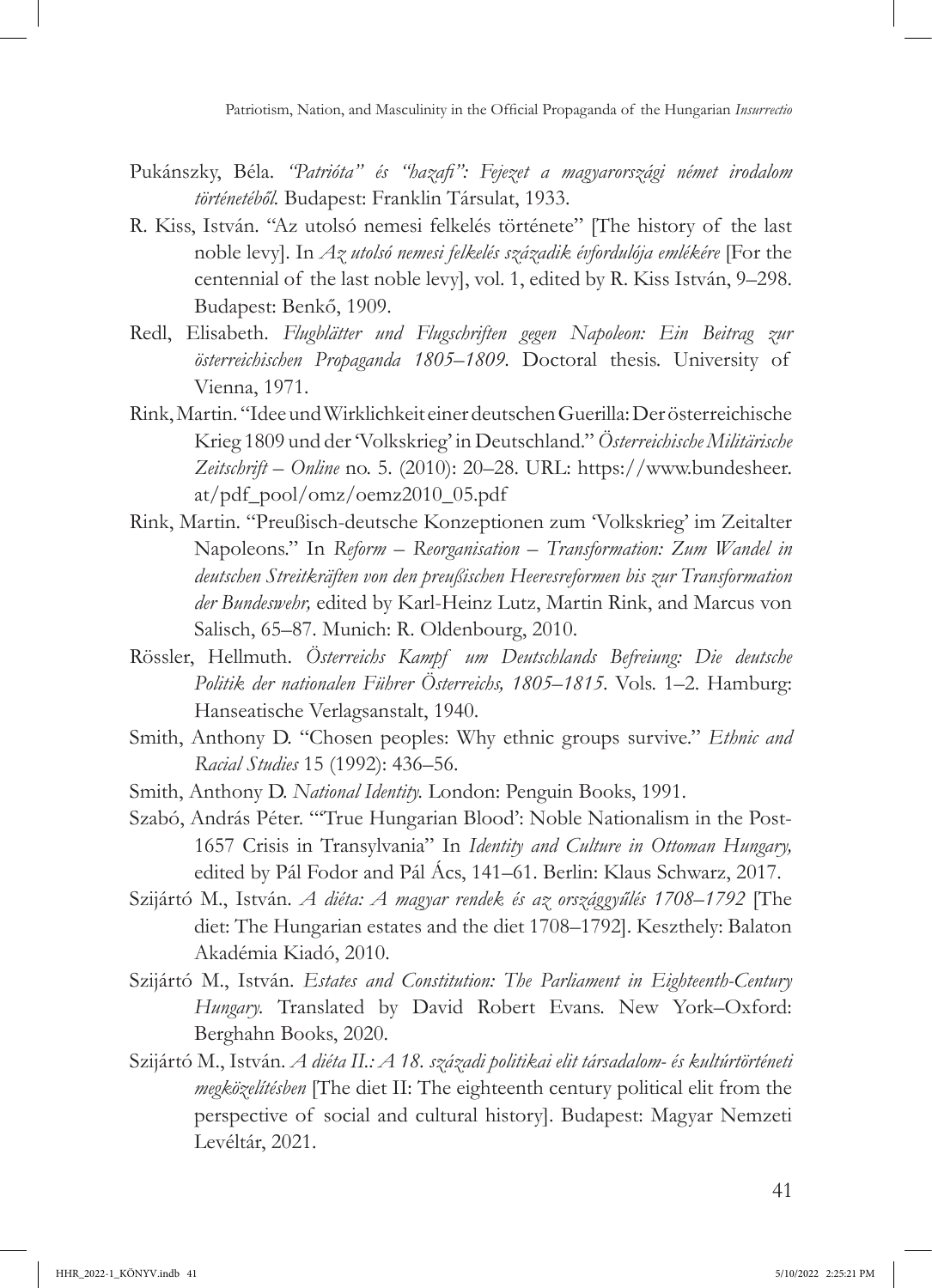- Pukánszky, Béla. *"Patrióta" és "hazafi": Fejezet a magyarországi német irodalom történetéből.* Budapest: Franklin Társulat, 1933.
- R. Kiss, István. "Az utolsó nemesi felkelés története" [The history of the last noble levy]. In *Az utolsó nemesi felkelés századik évfordulója emlékére* [For the centennial of the last noble levy], vol. 1, edited by R. Kiss István, 9–298. Budapest: Benkő, 1909.
- Redl, Elisabeth. *Flugblätter und Flugschriften gegen Napoleon: Ein Beitrag zur österreichischen Propaganda 1805–1809.* Doctoral thesis. University of Vienna, 1971.
- Rink, Martin. "Idee und Wirklichkeit einer deutschen Guerilla: Der österreichische Krieg 1809 und der 'Volkskrieg' in Deutschland." *Österreichische Militärische Zeitschrift – Online* no. 5. (2010): 20–28. URL: https://www.bundesheer. at/pdf\_pool/omz/oemz2010\_05.pdf
- Rink, Martin. "Preußisch-deutsche Konzeptionen zum 'Volkskrieg' im Zeitalter Napoleons." In *Reform – Reorganisation – Transformation: Zum Wandel in deutschen Streitkräften von den preußischen Heeresreformen bis zur Transformation der Bundeswehr,* edited by Karl-Heinz Lutz, Martin Rink, and Marcus von Salisch, 65–87. Munich: R. Oldenbourg, 2010.
- Rössler, Hellmuth. *Österreichs Kampf um Deutschlands Befreiung: Die deutsche Politik der nationalen Führer Österreichs, 1805–1815*. Vols. 1–2. Hamburg: Hanseatische Verlagsanstalt, 1940.
- Smith, Anthony D. "Chosen peoples: Why ethnic groups survive." *Ethnic and Racial Studies* 15 (1992): 436–56.
- Smith, Anthony D. *National Identity.* London: Penguin Books, 1991.
- Szabó, András Péter. "'True Hungarian Blood': Noble Nationalism in the Post-1657 Crisis in Transylvania" In *Identity and Culture in Ottoman Hungary,*  edited by Pál Fodor and Pál Ács, 141–61. Berlin: Klaus Schwarz, 2017.
- Szijártó M., István. *A diéta: A magyar rendek és az országgyűlés 1708–1792* [The diet: The Hungarian estates and the diet 1708–1792]. Keszthely: Balaton Akadémia Kiadó, 2010.
- Szijártó M., István. *Estates and Constitution: The Parliament in Eighteenth-Century Hungary.* Translated by David Robert Evans. New York–Oxford: Berghahn Books, 2020.
- Szijártó M., István. *A diéta II.: A 18. századi politikai elit társadalom- és kultúrtörténeti megközelítésben* [The diet II: The eighteenth century political elit from the perspective of social and cultural history]. Budapest: Magyar Nemzeti Levéltár, 2021.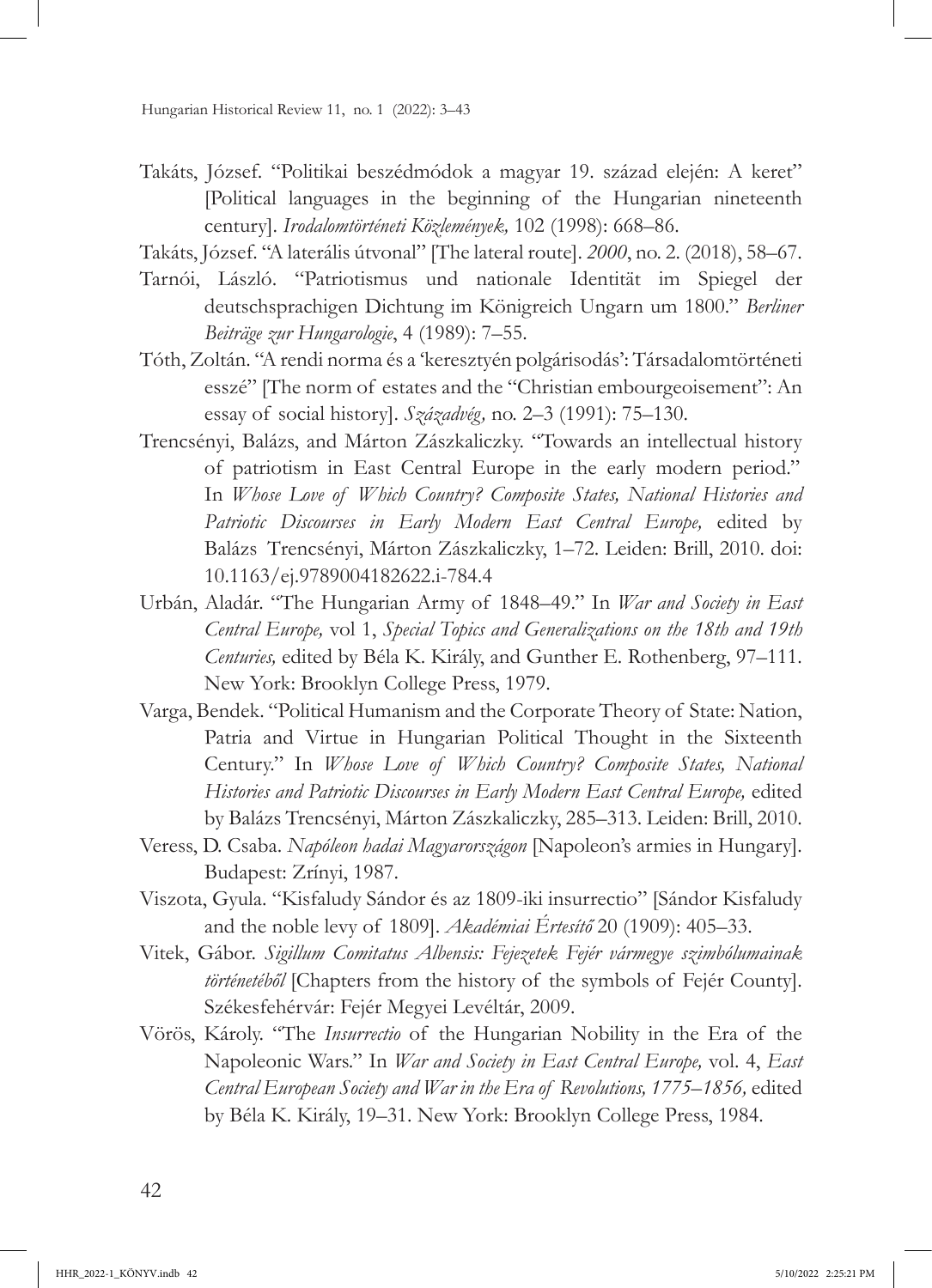- Takáts, József. "Politikai beszédmódok a magyar 19. század elején: A keret" [Political languages in the beginning of the Hungarian nineteenth century]. *Irodalomtörténeti Közlemények,* 102 (1998): 668–86.
- Takáts, József. "A laterális útvonal" [The lateral route]. *2000*, no. 2. (2018), 58–67.
- Tarnói, László. "Patriotismus und nationale Identität im Spiegel der deutschsprachigen Dichtung im Königreich Ungarn um 1800." *Berliner Beiträge zur Hungarologie*, 4 (1989): 7–55.
- Tóth, Zoltán. "A rendi norma és a 'keresztyén polgárisodás': Társadalomtörténeti esszé" [The norm of estates and the "Christian embourgeoisement": An essay of social history]. *Századvég,* no. 2–3 (1991): 75–130.
- Trencsényi, Balázs, and Márton Zászkaliczky. "Towards an intellectual history of patriotism in East Central Europe in the early modern period." In *Whose Love of Which Country? Composite States, National Histories and Patriotic Discourses in Early Modern East Central Europe,* edited by Balázs Trencsényi, Márton Zászkaliczky, 1–72. Leiden: Brill, 2010. doi: 10.1163/[ej.9789004182622.i-784.4](https://doi.org/10.1163/ej.9789004182622.i-784.4)
- Urbán, Aladár. "The Hungarian Army of 1848–49." In *War and Society in East Central Europe,* vol 1, *Special Topics and Generalizations on the 18th and 19th Centuries,* edited by Béla K. Király, and Gunther E. Rothenberg, 97–111. New York: Brooklyn College Press, 1979.
- Varga, Bendek. "Political Humanism and the Corporate Theory of State: Nation, Patria and Virtue in Hungarian Political Thought in the Sixteenth Century." In *Whose Love of Which Country? Composite States, National Histories and Patriotic Discourses in Early Modern East Central Europe,* edited by Balázs Trencsényi, Márton Zászkaliczky, 285–313. Leiden: Brill, 2010.
- Veress, D. Csaba. *Napóleon hadai Magyarországon* [Napoleon's armies in Hungary]. Budapest: Zrínyi, 1987.
- Viszota, Gyula. "Kisfaludy Sándor és az 1809-iki insurrectio" [Sándor Kisfaludy and the noble levy of 1809]. *Akadémiai Értesítő* 20 (1909): 405–33.
- Vitek, Gábor. *Sigillum Comitatus Albensis: Fejezetek Fejér vármegye szimbólumainak történetéből* [Chapters from the history of the symbols of Fejér County]. Székesfehérvár: Fejér Megyei Levéltár, 2009.
- Vörös, Károly. "The *Insurrectio* of the Hungarian Nobility in the Era of the Napoleonic Wars." In *War and Society in East Central Europe,* vol. 4, *East Central European Society and War in the Era of Revolutions, 1775–1856,* edited by Béla K. Király, 19–31. New York: Brooklyn College Press, 1984.